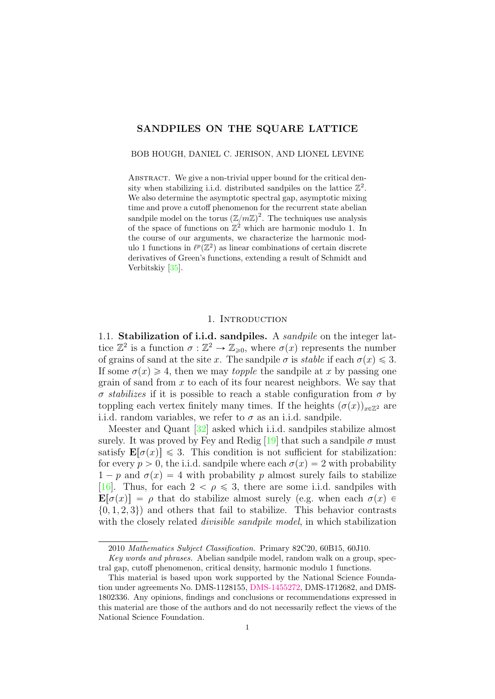## SANDPILES ON THE SQUARE LATTICE

BOB HOUGH, DANIEL C. JERISON, AND LIONEL LEVINE

ABSTRACT. We give a non-trivial upper bound for the critical density when stabilizing i.i.d. distributed sandpiles on the lattice  $\mathbb{Z}^2$ . We also determine the asymptotic spectral gap, asymptotic mixing time and prove a cutoff phenomenon for the recurrent state abelian sandpile model on the torus  $(\mathbb{Z}/m\mathbb{Z})^2$ . The techniques use analysis of the space of functions on  $\mathbb{Z}^2$  which are harmonic modulo 1. In the course of our arguments, we characterize the harmonic modulo 1 functions in  $\ell^p(\mathbb{Z}^2)$  as linear combinations of certain discrete derivatives of Green's functions, extending a result of Schmidt and Verbitskiy [\[35\]](#page-58-0).

## 1. INTRODUCTION

1.1. Stabilization of i.i.d. sandpiles. A sandpile on the integer lattice  $\mathbb{Z}^2$  is a function  $\sigma : \mathbb{Z}^2 \to \mathbb{Z}_{\geqslant 0}$ , where  $\sigma(x)$  represents the number of grains of sand at the site x. The sandpile  $\sigma$  is stable if each  $\sigma(x) \leq 3$ . If some  $\sigma(x) \geq 4$ , then we may *topple* the sandpile at x by passing one grain of sand from  $x$  to each of its four nearest neighbors. We say that σ stabilizes if it is possible to reach a stable configuration from σ by toppling each vertex finitely many times. If the heights  $(\sigma(x))_{x\in\mathbb{Z}^2}$  are i.i.d. random variables, we refer to  $\sigma$  as an i.i.d. sandpile.

Meester and Quant [\[32\]](#page-57-0) asked which i.i.d. sandpiles stabilize almost surely. It was proved by Fey and Redig [\[19\]](#page-57-1) that such a sandpile  $\sigma$  must satisfy  $\mathbf{E}[\sigma(x)] \leq 3$ . This condition is not sufficient for stabilization: for every  $p > 0$ , the i.i.d. sandpile where each  $\sigma(x) = 2$  with probability  $1 - p$  and  $\sigma(x) = 4$  with probability p almost surely fails to stabilize [\[16\]](#page-57-2). Thus, for each  $2 < \rho \le 3$ , there are some i.i.d. sandpiles with  $\mathbf{E}[\sigma(x)] = \rho$  that do stabilize almost surely (e.g. when each  $\sigma(x)$ )  $\{0, 1, 2, 3\}$  and others that fail to stabilize. This behavior contrasts with the closely related *divisible sandpile model*, in which stabilization

<sup>2010</sup> Mathematics Subject Classification. Primary 82C20, 60B15, 60J10.

Key words and phrases. Abelian sandpile model, random walk on a group, spectral gap, cutoff phenomenon, critical density, harmonic modulo 1 functions.

This material is based upon work supported by the National Science Foundation under agreements No. DMS-1128155, [DMS-1455272,](http://www.nsf.gov/awardsearch/showAward?AWD_ID=1455272) DMS-1712682, and DMS-1802336. Any opinions, findings and conclusions or recommendations expressed in this material are those of the authors and do not necessarily reflect the views of the National Science Foundation.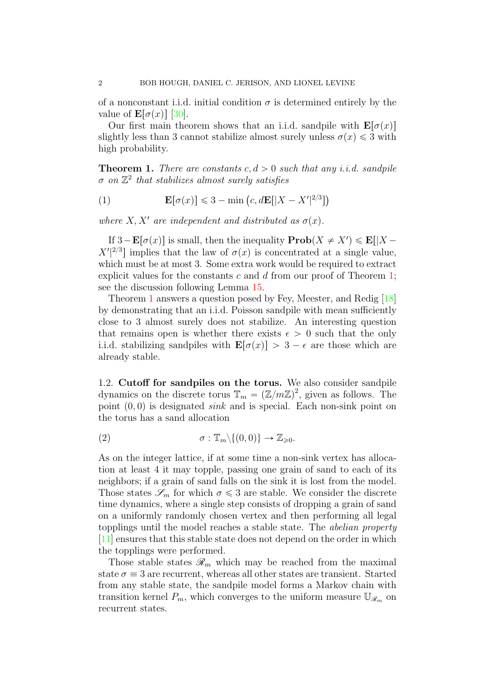of a nonconstant i.i.d. initial condition  $\sigma$  is determined entirely by the value of  $\mathbf{E}[\sigma(x)]$  [\[30\]](#page-57-3).

Our first main theorem shows that an i.i.d. sandpile with  $\mathbf{E}[\sigma(x)]$ slightly less than 3 cannot stabilize almost surely unless  $\sigma(x) \leq 3$  with high probability.

<span id="page-1-0"></span>**Theorem 1.** There are constants c,  $d > 0$  such that any *i.i.d.* sandpile  $\sigma$  on  $\mathbb{Z}^2$  that stabilizes almost surely satisfies

(1) 
$$
\mathbf{E}[\sigma(x)] \leq 3 - \min\left(c, d\mathbf{E}[|X - X'|^{2/3}]\right)
$$

where  $X, X'$  are independent and distributed as  $\sigma(x)$ .

If  $3 - \mathbf{E}[\sigma(x)]$  is small, then the inequality  $\mathbf{Prob}(X \neq X') \leq \mathbf{E}[|X X'|^{2/3}$  implies that the law of  $\sigma(x)$  is concentrated at a single value, which must be at most 3. Some extra work would be required to extract explicit values for the constants c and d from our proof of Theorem [1;](#page-1-0) see the discussion following Lemma [15.](#page-19-0)

Theorem [1](#page-1-0) answers a question posed by Fey, Meester, and Redig [\[18\]](#page-57-4) by demonstrating that an i.i.d. Poisson sandpile with mean sufficiently close to 3 almost surely does not stabilize. An interesting question that remains open is whether there exists  $\epsilon > 0$  such that the only i.i.d. stabilizing sandpiles with  $\mathbf{E}[\sigma(x)] > 3 - \epsilon$  are those which are already stable.

1.2. Cutoff for sandpiles on the torus. We also consider sandpile dynamics on the discrete torus  $\mathbb{T}_m = (\mathbb{Z}/m\mathbb{Z})^2$ , given as follows. The point  $(0, 0)$  is designated *sink* and is special. Each non-sink point on the torus has a sand allocation

(2) 
$$
\sigma: \mathbb{T}_m \setminus \{(0,0)\} \to \mathbb{Z}_{\geq 0}.
$$

As on the integer lattice, if at some time a non-sink vertex has allocation at least 4 it may topple, passing one grain of sand to each of its neighbors; if a grain of sand falls on the sink it is lost from the model. Those states  $\mathscr{S}_m$  for which  $\sigma \leq 3$  are stable. We consider the discrete time dynamics, where a single step consists of dropping a grain of sand on a uniformly randomly chosen vertex and then performing all legal topplings until the model reaches a stable state. The abelian property [\[11\]](#page-56-0) ensures that this stable state does not depend on the order in which the topplings were performed.

Those stable states  $\mathcal{R}_m$  which may be reached from the maximal state  $\sigma \equiv 3$  are recurrent, whereas all other states are transient. Started from any stable state, the sandpile model forms a Markov chain with transition kernel  $P_m$ , which converges to the uniform measure  $\mathbb{U}_{\mathscr{R}_m}$  on recurrent states.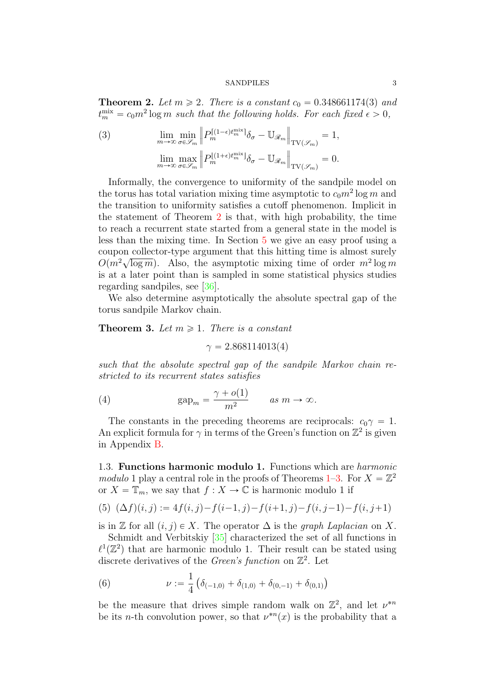<span id="page-2-0"></span>**Theorem 2.** Let  $m \ge 2$ . There is a constant  $c_0 = 0.348661174(3)$  and  $t_m^{\text{mix}} = c_0 m^2 \log m$  such that the following holds. For each fixed  $\epsilon > 0$ ,  $\ldots$   $\ldots$ 

(3) 
$$
\lim_{m \to \infty} \min_{\sigma \in \mathcal{S}_m} \left\| P_m^{\left[ (1-\epsilon)t_m^{\text{mix}} \right]} \delta_\sigma - \mathbb{U}_{\mathcal{R}_m} \right\|_{\text{TV}(\mathcal{S}_m)} = 1,
$$

$$
\lim_{m \to \infty} \max_{\sigma \in \mathcal{S}_m} \left\| P_m^{\left[ (1+\epsilon)t_m^{\text{mix}} \right]} \delta_\sigma - \mathbb{U}_{\mathcal{R}_m} \right\|_{\text{TV}(\mathcal{S}_m)} = 0.
$$

Informally, the convergence to uniformity of the sandpile model on the torus has total variation mixing time asymptotic to  $c_0m^2 \log m$  and the transition to uniformity satisfies a cutoff phenomenon. Implicit in the statement of Theorem [2](#page-2-0) is that, with high probability, the time to reach a recurrent state started from a general state in the model is less than the mixing time. In Section [5](#page-20-0) we give an easy proof using a coupon collector-type argument that this hitting time is almost surely coupon conector-type argument that this intting time is almost surely<br> $O(m^2\sqrt{\log m})$ . Also, the asymptotic mixing time of order  $m^2 \log m$ is at a later point than is sampled in some statistical physics studies regarding sandpiles, see [\[36\]](#page-58-1).

We also determine asymptotically the absolute spectral gap of the torus sandpile Markov chain.

<span id="page-2-1"></span>**Theorem 3.** Let  $m \geq 1$ . There is a constant

 $\gamma = 2.868114013(4)$ 

such that the absolute spectral gap of the sandpile Markov chain restricted to its recurrent states satisfies

(4) 
$$
\text{gap}_m = \frac{\gamma + o(1)}{m^2} \quad \text{as } m \to \infty.
$$

The constants in the preceding theorems are reciprocals:  $c_0\gamma = 1$ . An explicit formula for  $\gamma$  in terms of the Green's function on  $\mathbb{Z}^2$  is given in Appendix [B.](#page-53-0)

1.3. Functions harmonic modulo 1. Functions which are harmonic modulo 1 play a central role in the proofs of Theorems [1–](#page-1-0)[3.](#page-2-1) For  $X = \mathbb{Z}^2$ or  $X = \mathbb{T}_m$ , we say that  $f : X \to \mathbb{C}$  is harmonic modulo 1 if

<span id="page-2-2"></span>(5) 
$$
(\Delta f)(i, j) := 4f(i, j) - f(i - 1, j) - f(i + 1, j) - f(i, j - 1) - f(i, j + 1)
$$

is in Z for all  $(i, j) \in X$ . The operator  $\Delta$  is the *graph Laplacian* on X.

Schmidt and Verbitskiy [\[35\]](#page-58-0) characterized the set of all functions in  $\ell^1(\mathbb{Z}^2)$  that are harmonic modulo 1. Their result can be stated using discrete derivatives of the *Green's function* on  $\mathbb{Z}^2$ . Let

<span id="page-2-3"></span>(6) 
$$
\nu := \frac{1}{4} \left( \delta_{(-1,0)} + \delta_{(1,0)} + \delta_{(0,-1)} + \delta_{(0,1)} \right)
$$

be the measure that drives simple random walk on  $\mathbb{Z}^2$ , and let  $\nu^{*n}$ be its *n*-th convolution power, so that  $\nu^{*n}(x)$  is the probability that a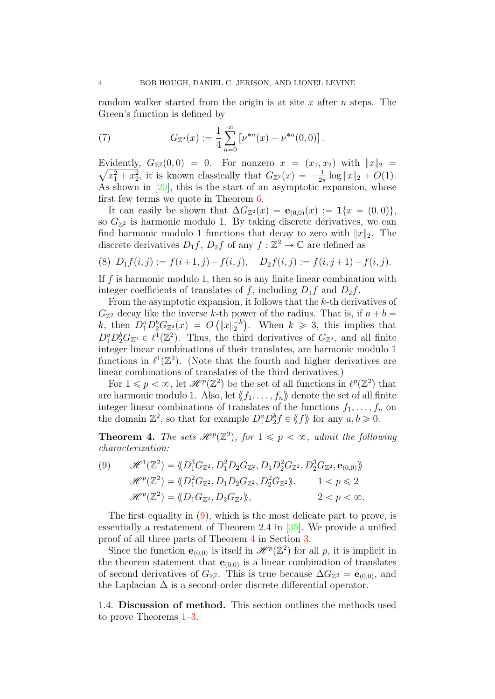random walker started from the origin is at site x after  $n$  steps. The Green's function is defined by

<span id="page-3-3"></span>(7) 
$$
G_{\mathbb{Z}^2}(x) := \frac{1}{4} \sum_{n=0}^{\infty} \left[ \nu^{*n}(x) - \nu^{*n}(0,0) \right].
$$

Evidently,  $G_{\mathbb{Z}^2}(0,0) = 0$ . For nonzero  $x = (x_1, x_2)$  with  $||x||_2 =$  $\overline{x_1^2 + x_2^2}$ , it is known classically that  $G_{\mathbb{Z}^2}(x) = -\frac{1}{2\pi} \log ||x||_2 + O(1)$ . As shown in [\[20\]](#page-57-5), this is the start of an asymptotic expansion, whose first few terms we quote in Theorem [6.](#page-13-0)

It can easily be shown that  $\Delta G_{\mathbb{Z}^2}(x) = e_{(0,0)}(x) := \mathbf{1}\{x = (0,0)\},\$ so  $G_{\mathbb{Z}^2}$  is harmonic modulo 1. By taking discrete derivatives, we can find harmonic modulo 1 functions that decay to zero with  $||x||_2$ . The discrete derivatives  $D_1 f$ ,  $D_2 f$  of any  $f : \mathbb{Z}^2 \to \mathbb{C}$  are defined as

<span id="page-3-2"></span>
$$
(8) D_1 f(i, j) := f(i+1, j) - f(i, j), D_2 f(i, j) := f(i, j+1) - f(i, j).
$$

If  $f$  is harmonic modulo 1, then so is any finite linear combination with integer coefficients of translates of f, including  $D_1f$  and  $D_2f$ .

From the asymptotic expansion, it follows that the k-th derivatives of  $G_{\mathbb{Z}^2}$  decay like the inverse k-th power of the radius. That is, if  $a + b =$ k, then  $D_1^a D_2^b G_{\mathbb{Z}^2}(x) = O(|x|_2^{-k})$ . When  $k \geq 3$ , this implies that  $D_1^a D_2^b G_{\mathbb{Z}^2} \in \ell^1(\mathbb{Z}^2)$ . Thus, the third derivatives of  $G_{\mathbb{Z}^2}$ , and all finite integer linear combinations of their translates, are harmonic modulo 1 functions in  $\ell^1(\mathbb{Z}^2)$ . (Note that the fourth and higher derivatives are linear combinations of translates of the third derivatives.)

For  $1 \leqslant p < \infty$ , let  $\mathscr{H}^p(\mathbb{Z}^2)$  be the set of all functions in  $\ell^p(\mathbb{Z}^2)$  that are harmonic modulo 1. Also, let  $\langle f_1, \ldots, f_n \rangle$  denote the set of all finite integer linear combinations of translates of the functions  $f_1, \ldots, f_n$  on the domain  $\mathbb{Z}^2$ , so that for example  $D_1^a D_2^b f \in \langle f \rangle$  for any  $a, b \geq 0$ .

<span id="page-3-1"></span>**Theorem 4.** The sets  $\mathscr{H}^p(\mathbb{Z}^2)$ , for  $1 \leq p < \infty$ , admit the following characterization:

<span id="page-3-0"></span>(9) 
$$
\mathcal{H}^{1}(\mathbb{Z}^{2}) = \langle D_{1}^{3}G_{\mathbb{Z}^{2}}, D_{1}^{2}D_{2}G_{\mathbb{Z}^{2}}, D_{1}D_{2}^{2}G_{\mathbb{Z}^{2}}, D_{2}^{3}G_{\mathbb{Z}^{2}}, \mathbf{e}_{(0,0)} \rangle
$$

$$
\mathcal{H}^{p}(\mathbb{Z}^{2}) = \langle D_{1}^{2}G_{\mathbb{Z}^{2}}, D_{1}D_{2}G_{\mathbb{Z}^{2}}, D_{2}^{2}G_{\mathbb{Z}^{2}} \rangle, \qquad 1 < p \leq 2
$$

$$
\mathcal{H}^{p}(\mathbb{Z}^{2}) = \langle D_{1}G_{\mathbb{Z}^{2}}, D_{2}G_{\mathbb{Z}^{2}} \rangle, \qquad 2 < p < \infty.
$$

The first equality in [\(9\)](#page-3-0), which is the most delicate part to prove, is essentially a restatement of Theorem 2.4 in [\[35\]](#page-58-0). We provide a unified proof of all three parts of Theorem [4](#page-3-1) in Section [3.](#page-15-0)

Since the function  $\mathbf{e}_{(0,0)}$  is itself in  $\mathcal{H}^p(\mathbb{Z}^2)$  for all p, it is implicit in the theorem statement that  $e_{(0,0)}$  is a linear combination of translates of second derivatives of  $G_{\mathbb{Z}^2}$ . This is true because  $\Delta G_{\mathbb{Z}^2} = \mathbf{e}_{(0,0)}$ , and the Laplacian  $\Delta$  is a second-order discrete differential operator.

<span id="page-3-4"></span>1.4. Discussion of method. This section outlines the methods used to prove Theorems [1–](#page-1-0)[3.](#page-2-1)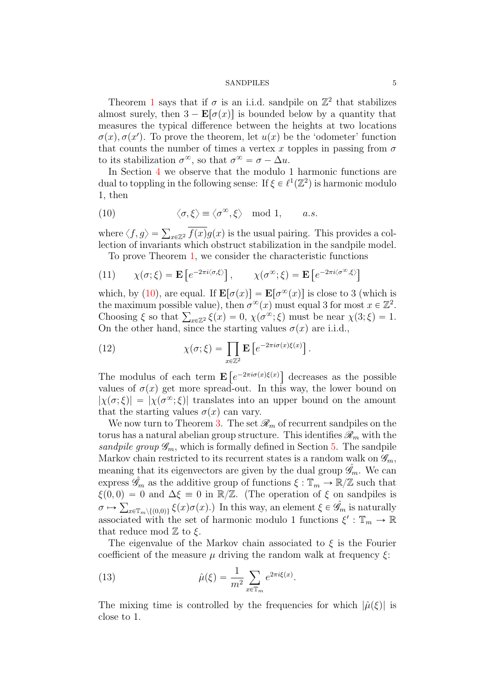Theorem [1](#page-1-0) says that if  $\sigma$  is an i.i.d. sandpile on  $\mathbb{Z}^2$  that stabilizes almost surely, then  $3 - \mathbf{E}[\sigma(x)]$  is bounded below by a quantity that measures the typical difference between the heights at two locations  $\sigma(x), \sigma(x')$ . To prove the theorem, let  $u(x)$  be the 'odometer' function that counts the number of times a vertex x topples in passing from  $\sigma$ to its stabilization  $\sigma^{\infty}$ , so that  $\sigma^{\infty} = \sigma - \Delta u$ .

In Section [4](#page-17-0) we observe that the modulo 1 harmonic functions are dual to toppling in the following sense: If  $\xi \in \ell^1(\mathbb{Z}^2)$  is harmonic modulo 1, then

<span id="page-4-0"></span>(10) 
$$
\langle \sigma, \xi \rangle \equiv \langle \sigma^{\infty}, \xi \rangle \mod 1, \quad a.s.
$$

where  $\langle f, g \rangle = \sum_{x \in \mathbb{Z}^2} \overline{f(x)} g(x)$  is the usual pairing. This provides a collection of invariants which obstruct stabilization in the sandpile model. To prove Theorem [1,](#page-1-0) we consider the characteristic functions

(11) 
$$
\chi(\sigma;\xi) = \mathbf{E}\left[e^{-2\pi i \langle \sigma,\xi \rangle}\right], \qquad \chi(\sigma^{\infty};\xi) = \mathbf{E}\left[e^{-2\pi i \langle \sigma^{\infty},\xi \rangle}\right]
$$

which, by [\(10\)](#page-4-0), are equal. If  $\mathbf{E}[\sigma(x)] = \mathbf{E}[\sigma^{\infty}(x)]$  is close to 3 (which is the maximum possible value), then  $\sigma^{\infty}(x)$  must equal 3 for most  $x \in \mathbb{Z}^2$ . the maximum possible value), then  $\sigma^{\infty}(x)$  must equal 3 for most  $x \in \mathbb{Z}^2$ .<br>Choosing  $\xi$  so that  $\sum_{x \in \mathbb{Z}^2} \xi(x) = 0$ ,  $\chi(\sigma^{\infty}; \xi)$  must be near  $\chi(3; \xi) = 1$ . On the other hand, since the starting values  $\sigma(x)$  are i.i.d.,

(12) 
$$
\chi(\sigma;\xi) = \prod_{x \in \mathbb{Z}^2} \mathbf{E} \left[ e^{-2\pi i \sigma(x)\xi(x)} \right].
$$

The modulus of each term E ε<br>  $e^{-2\pi i \sigma(x)\xi(x)}$ decreases as the possible values of  $\sigma(x)$  get more spread-out. In this way, the lower bound on  $|\chi(\sigma;\xi)| = |\chi(\sigma^\infty;\xi)|$  translates into an upper bound on the amount that the starting values  $\sigma(x)$  can vary.

We now turn to Theorem [3.](#page-2-1) The set  $\mathcal{R}_m$  of recurrent sandpiles on the torus has a natural abelian group structure. This identifies  $\mathscr{R}_m$  with the sandpile group  $\mathscr{G}_m$ , which is formally defined in Section [5.](#page-20-0) The sandpile Markov chain restricted to its recurrent states is a random walk on  $\mathscr{G}_m$ . meaning that its eigenvectors are given by the dual group  $\hat{\mathscr{G}}_m$ . We can express  $\mathscr{G}_m$  as the additive group of functions  $\xi : \mathbb{T}_m \to \mathbb{R}/\mathbb{Z}$  such that  $\xi(0,0) = 0$  and  $\Delta \xi \equiv 0$  in  $\mathbb{R}/\mathbb{Z}$ . (The operation of  $\xi$  on sandpiles is  $\sigma \mapsto \sum_{x \in \mathbb{T}_m \setminus \{(0,0)\}} \xi(x) \sigma(x).$  In this way, an element  $\xi \in \hat{\mathscr{G}}_m$  is naturally associated with the set of harmonic modulo 1 functions  $\xi': \mathbb{T}_m \to \mathbb{R}$ that reduce mod  $\mathbb Z$  to  $\xi$ .

The eigenvalue of the Markov chain associated to  $\xi$  is the Fourier coefficient of the measure  $\mu$  driving the random walk at frequency  $\xi$ :

(13) 
$$
\hat{\mu}(\xi) = \frac{1}{m^2} \sum_{x \in \mathbb{T}_m} e^{2\pi i \xi(x)}.
$$

The mixing time is controlled by the frequencies for which  $|\hat{u}(\xi)|$  is close to 1.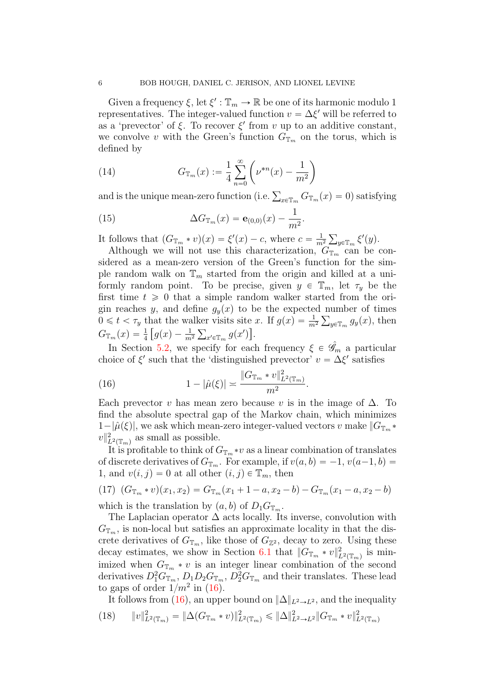Given a frequency  $\xi$ , let  $\xi': \mathbb{T}_m \to \mathbb{R}$  be one of its harmonic modulo 1 representatives. The integer-valued function  $v = \Delta \xi'$  will be referred to as a 'prevector' of  $\xi$ . To recover  $\xi'$  from v up to an additive constant, we convolve v with the Green's function  $G_{\mathbb{T}_m}$  on the torus, which is defined by ˆ ˙

<span id="page-5-1"></span>(14) 
$$
G_{\mathbb{T}_m}(x) := \frac{1}{4} \sum_{n=0}^{\infty} \left( \nu^{*n}(x) - \frac{1}{m^2} \right)
$$

and is the unique mean-zero function (i.e.  $\sum_{x \in \mathbb{T}_m} G_{\mathbb{T}_m}(x) = 0$ ) satisfying

.

(15) 
$$
\Delta G_{\mathbb{T}_m}(x) = \mathbf{e}_{(0,0)}(x) - \frac{1}{m^2}
$$

It follows that  $(G_{\mathbb{T}_m} * v)(x) = \xi'(x) - c$ , where  $c = \frac{1}{m}$  $\overline{m^2}$  $y \in \mathbb{F}_m$   $\xi'(y)$ .

Although we will not use this characterization,  $G_{\mathbb{T}_m}$  can be considered as a mean-zero version of the Green's function for the simple random walk on  $\mathbb{T}_m$  started from the origin and killed at a uniformly random point. To be precise, given  $y \in \mathbb{T}_m$ , let  $\tau_y$  be the first time  $t \geq 0$  that a simple random walker started from the origin reaches y, and define  $g_y(x)$  to be the expected number of times  $0 \leq t < \tau_y$  that the walker visits site x. If  $g(x) = \frac{1}{m^2} \sum_{y \in \mathbb{T}_m} g_y(x)$ , then  $G_{\mathbb{T}_m}(x) = \frac{1}{4} \left[ g(x) - \frac{1}{m^2} \sum_{x' \in \mathbb{T}_m} g(x') \right].$ 

In Section [5.2,](#page-23-0) we specify for each frequency  $\xi \in \mathscr{G}_m$  a particular choice of  $\xi'$  such that the 'distinguished prevector'  $v = \Delta \xi'$  satisfies

<span id="page-5-0"></span>(16) 
$$
1 - |\hat{\mu}(\xi)| \approx \frac{\|G_{\mathbb{T}_m} * v\|_{L^2(\mathbb{T}_m)}^2}{m^2}.
$$

Each prevector v has mean zero because v is in the image of  $\Delta$ . To find the absolute spectral gap of the Markov chain, which minimizes  $1-|\hat{\mu}(\xi)|$ , we ask which mean-zero integer-valued vectors v make  $\|G_{\mathbb{T}_m}\ast\|$  $v\|_{L^2(\mathbb{T}_m)}^2$  as small as possible.

It is profitable to think of  $G_{\mathbb{T}_m} * v$  as a linear combination of translates of discrete derivatives of  $G_{\mathbb{T}_m}$ . For example, if  $v(a, b) = -1$ ,  $v(a-1, b) =$ 1, and  $v(i, j) = 0$  at all other  $(i, j) \in \mathbb{T}_m$ , then

$$
(17) (G_{\mathbb{T}_m} * v)(x_1, x_2) = G_{\mathbb{T}_m}(x_1 + 1 - a, x_2 - b) - G_{\mathbb{T}_m}(x_1 - a, x_2 - b)
$$

which is the translation by  $(a, b)$  of  $D_1G_{\mathbb{T}_m}$ .

The Laplacian operator  $\Delta$  acts locally. Its inverse, convolution with  $G_{\mathbb{T}_m}$ , is non-local but satisfies an approximate locality in that the discrete derivatives of  $G_{\mathbb{T}_m}$ , like those of  $G_{\mathbb{Z}^2}$ , decay to zero. Using these decay estimates, we show in Section [6.1](#page-26-0) that  $||G_{\mathbb{T}_m}*v||^2_{L^2(\mathbb{T}_m)}$  is minimized when  $G_{\mathbb{T}_m} * v$  is an integer linear combination of the second derivatives  $D_1^2 G_{\mathbb{T}_m}, D_1 D_2 G_{\mathbb{T}_m}, D_2^2 G_{\mathbb{T}_m}$  and their translates. These lead to gaps of order  $1/m^2$  in [\(16\)](#page-5-0).

It follows from [\(16\)](#page-5-0), an upper bound on  $\|\Delta\|_{L^2\to L^2}$ , and the inequality  $(18)$   $||v||_{L^{2}(\mathbb{T}_{m})}^{2} = ||\Delta(G_{\mathbb{T}_{m}} * v)||_{L^{2}(\mathbb{T}_{m})}^{2} \leq ||\Delta||_{L^{2} \rightarrow L^{2}}^{2} ||G_{\mathbb{T}_{m}} * v||_{L^{2}(\mathbb{T}_{m})}^{2}$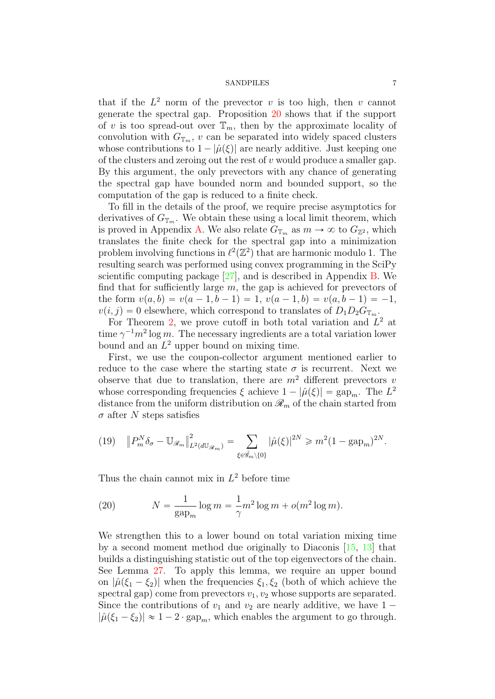that if the  $L^2$  norm of the prevector v is too high, then v cannot generate the spectral gap. Proposition [20](#page-27-0) shows that if the support of v is too spread-out over  $\mathbb{T}_m$ , then by the approximate locality of convolution with  $G_{\mathbb{T}_m}$ , v can be separated into widely spaced clusters whose contributions to  $1 - |\hat{\mu}(\xi)|$  are nearly additive. Just keeping one of the clusters and zeroing out the rest of  $v$  would produce a smaller gap. By this argument, the only prevectors with any chance of generating the spectral gap have bounded norm and bounded support, so the computation of the gap is reduced to a finite check.

To fill in the details of the proof, we require precise asymptotics for derivatives of  $G_{\mathbb{T}_m}$ . We obtain these using a local limit theorem, which is proved in Appendix [A.](#page-46-0) We also relate  $G_{\mathbb{T}_m}$  as  $m \to \infty$  to  $G_{\mathbb{Z}^2}$ , which translates the finite check for the spectral gap into a minimization problem involving functions in  $\ell^2(\mathbb{Z}^2)$  that are harmonic modulo 1. The resulting search was performed using convex programming in the SciPy scientific computing package [\[27\]](#page-57-6), and is described in Appendix [B.](#page-53-0) We find that for sufficiently large  $m$ , the gap is achieved for prevectors of the form  $v(a, b) = v(a - 1, b - 1) = 1$ ,  $v(a - 1, b) = v(a, b - 1) = -1$ ,  $v(i, j) = 0$  elsewhere, which correspond to translates of  $D_1D_2G_{\mathbb{T}_m}$ .

For Theorem [2,](#page-2-0) we prove cutoff in both total variation and  $L^2$  at time  $\gamma^{-1} m^2 \log m$ . The necessary ingredients are a total variation lower bound and an  $L^2$  upper bound on mixing time.

First, we use the coupon-collector argument mentioned earlier to reduce to the case where the starting state  $\sigma$  is recurrent. Next we observe that due to translation, there are  $m^2$  different prevectors v whose corresponding frequencies  $\xi$  achieve  $1 - |\hat{\mu}(\xi)| = \text{gap}_{m}$ . The  $L^2$ distance from the uniform distribution on  $\mathcal{R}_m$  of the chain started from  $\sigma$  after N steps satisfies

$$
(19) \quad \left\|P_m^N\delta_\sigma - \mathbb{U}_{\mathcal{R}_m}\right\|_{L^2(d\mathbb{U}_{\mathcal{R}_m})}^2 = \sum_{\xi \in \hat{\mathcal{G}}_m \setminus \{0\}} |\hat{\mu}(\xi)|^{2N} \geq m^2 (1 - \text{gap}_m)^{2N}.
$$

Thus the chain cannot mix in  $L^2$  before time

(20) 
$$
N = \frac{1}{\text{gap}_m} \log m = \frac{1}{\gamma} m^2 \log m + o(m^2 \log m).
$$

We strengthen this to a lower bound on total variation mixing time by a second moment method due originally to Diaconis [\[15,](#page-57-7) [13\]](#page-56-1) that builds a distinguishing statistic out of the top eigenvectors of the chain. See Lemma [27.](#page-42-0) To apply this lemma, we require an upper bound on  $|\hat{\mu}(\xi_1 - \xi_2)|$  when the frequencies  $\xi_1, \xi_2$  (both of which achieve the spectral gap) come from prevectors  $v_1, v_2$  whose supports are separated. Since the contributions of  $v_1$  and  $v_2$  are nearly additive, we have  $1 |\hat{\mu}(\xi_1 - \xi_2)| \approx 1 - 2 \cdot \text{gap}_m$ , which enables the argument to go through.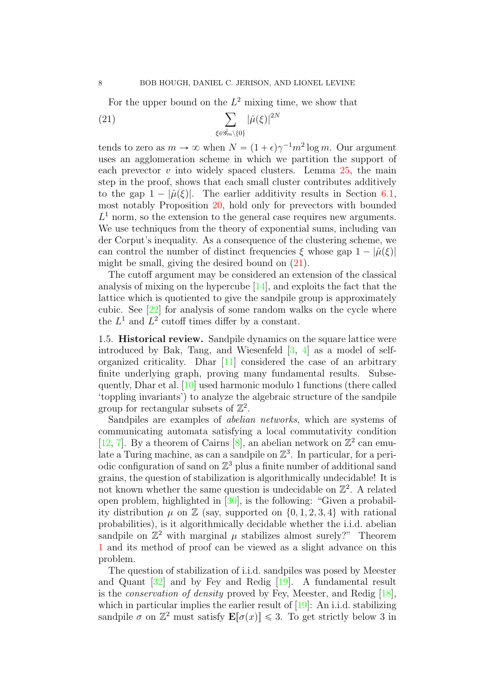<span id="page-7-0"></span>

For the upper bound on the 
$$
L^2
$$
 mixing time, we show that  
\n(21) 
$$
\sum_{\xi \in \mathscr{G}_m \setminus \{0\}} |\hat{\mu}(\xi)|^{2N}
$$

tends to zero as  $m \to \infty$  when  $N = (1 + \epsilon) \gamma^{-1} m^2 \log m$ . Our argument uses an agglomeration scheme in which we partition the support of each prevector  $v$  into widely spaced clusters. Lemma  $25$ , the main step in the proof, shows that each small cluster contributes additively to the gap  $1 - |\hat{\mu}(\xi)|$ . The earlier additivity results in Section [6.1,](#page-26-0) most notably Proposition [20,](#page-27-0) hold only for prevectors with bounded  $L<sup>1</sup>$  norm, so the extension to the general case requires new arguments. We use techniques from the theory of exponential sums, including van der Corput's inequality. As a consequence of the clustering scheme, we can control the number of distinct frequencies  $\xi$  whose gap  $1 - |\hat{\mu}(\xi)|$ might be small, giving the desired bound on [\(21\)](#page-7-0).

The cutoff argument may be considered an extension of the classical analysis of mixing on the hypercube [\[14\]](#page-56-2), and exploits the fact that the lattice which is quotiented to give the sandpile group is approximately cubic. See [\[22\]](#page-57-8) for analysis of some random walks on the cycle where the  $L^1$  and  $L^2$  cutoff times differ by a constant.

1.5. Historical review. Sandpile dynamics on the square lattice were introduced by Bak, Tang, and Wiesenfeld  $[3, 4]$  $[3, 4]$  as a model of selforganized criticality. Dhar [\[11\]](#page-56-0) considered the case of an arbitrary finite underlying graph, proving many fundamental results. Subsequently, Dhar et al. [\[10\]](#page-56-5) used harmonic modulo 1 functions (there called 'toppling invariants') to analyze the algebraic structure of the sandpile group for rectangular subsets of  $\mathbb{Z}^2$ .

Sandpiles are examples of abelian networks, which are systems of communicating automata satisfying a local commutativity condition [\[12,](#page-56-6) [7\]](#page-56-7). By a theorem of Cairns [\[8\]](#page-56-8), an abelian network on  $\mathbb{Z}^2$  can emulate a Turing machine, as can a sandpile on  $\mathbb{Z}^3$ . In particular, for a periodic configuration of sand on  $\mathbb{Z}^3$  plus a finite number of additional sand grains, the question of stabilization is algorithmically undecidable! It is not known whether the same question is undecidable on  $\mathbb{Z}^2$ . A related open problem, highlighted in [\[30\]](#page-57-3), is the following: "Given a probability distribution  $\mu$  on  $\mathbb{Z}$  (say, supported on  $\{0, 1, 2, 3, 4\}$  with rational probabilities), is it algorithmically decidable whether the i.i.d. abelian sandpile on  $\mathbb{Z}^2$  with marginal  $\mu$  stabilizes almost surely?" Theorem [1](#page-1-0) and its method of proof can be viewed as a slight advance on this problem.

The question of stabilization of i.i.d. sandpiles was posed by Meester and Quant [\[32\]](#page-57-0) and by Fey and Redig [\[19\]](#page-57-1). A fundamental result is the conservation of density proved by Fey, Meester, and Redig [\[18\]](#page-57-4), which in particular implies the earlier result of [\[19\]](#page-57-1): An i.i.d. stabilizing sandpile  $\sigma$  on  $\mathbb{Z}^2$  must satisfy  $\mathbf{E}[\sigma(x)] \leq 3$ . To get strictly below 3 in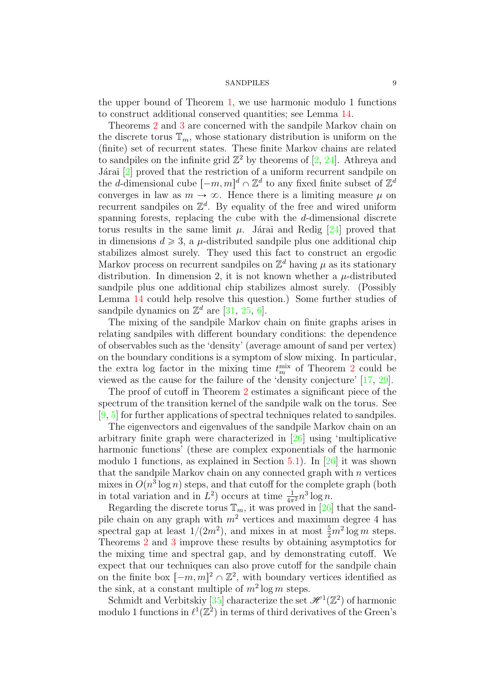the upper bound of Theorem [1,](#page-1-0) we use harmonic modulo 1 functions to construct additional conserved quantities; see Lemma [14.](#page-18-0)

Theorems [2](#page-2-0) and [3](#page-2-1) are concerned with the sandpile Markov chain on the discrete torus  $\mathbb{T}_m$ , whose stationary distribution is uniform on the (finite) set of recurrent states. These finite Markov chains are related to sandpiles on the infinite grid  $\mathbb{Z}^2$  by theorems of [\[2,](#page-56-9) [24\]](#page-57-9). Athreya and Járai  $[2]$  proved that the restriction of a uniform recurrent sandpile on the *d*-dimensional cube  $[-m, m]^d \cap \mathbb{Z}^d$  to any fixed finite subset of  $\mathbb{Z}^d$ converges in law as  $m \to \infty$ . Hence there is a limiting measure  $\mu$  on recurrent sandpiles on  $\mathbb{Z}^d$ . By equality of the free and wired uniform spanning forests, replacing the cube with the d-dimensional discrete torus results in the same limit  $\mu$ . Járai and Redig [\[24\]](#page-57-9) proved that in dimensions  $d \geq 3$ , a  $\mu$ -distributed sandpile plus one additional chip stabilizes almost surely. They used this fact to construct an ergodic Markov process on recurrent sandpiles on  $\mathbb{Z}^d$  having  $\mu$  as its stationary distribution. In dimension 2, it is not known whether a  $\mu$ -distributed sandpile plus one additional chip stabilizes almost surely. (Possibly Lemma [14](#page-18-0) could help resolve this question.) Some further studies of sandpile dynamics on  $\mathbb{Z}^d$  are [\[31,](#page-57-10) [25,](#page-57-11) [6\]](#page-56-10).

The mixing of the sandpile Markov chain on finite graphs arises in relating sandpiles with different boundary conditions: the dependence of observables such as the 'density' (average amount of sand per vertex) on the boundary conditions is a symptom of slow mixing. In particular, the extra log factor in the mixing time  $t_m^{\text{mix}}$  of Theorem [2](#page-2-0) could be viewed as the cause for the failure of the 'density conjecture' [\[17,](#page-57-12) [29\]](#page-57-13).

The proof of cutoff in Theorem [2](#page-2-0) estimates a significant piece of the spectrum of the transition kernel of the sandpile walk on the torus. See [\[9,](#page-56-11) [5\]](#page-56-12) for further applications of spectral techniques related to sandpiles.

The eigenvectors and eigenvalues of the sandpile Markov chain on an arbitrary finite graph were characterized in [\[26\]](#page-57-14) using 'multiplicative harmonic functions' (these are complex exponentials of the harmonic modulo 1 functions, as explained in Section  $5.1$ ). In [\[26\]](#page-57-14) it was shown that the sandpile Markov chain on any connected graph with  $n$  vertices mixes in  $O(n^3 \log n)$  steps, and that cutoff for the complete graph (both in total variation and in  $L^2$ ) occurs at time  $\frac{1}{4\pi^2}n^3\log n$ .

Regarding the discrete torus  $\mathbb{T}_m$ , it was proved in [\[26\]](#page-57-14) that the sandpile chain on any graph with  $m^2$  vertices and maximum degree 4 has spectral gap at least  $1/(2m^2)$ , and mixes in at most  $\frac{5}{2}m^2 \log m$  steps. Theorems [2](#page-2-0) and [3](#page-2-1) improve these results by obtaining asymptotics for the mixing time and spectral gap, and by demonstrating cutoff. We expect that our techniques can also prove cutoff for the sandpile chain on the finite box  $[-m, m]^2 \cap \mathbb{Z}^2$ , with boundary vertices identified as the sink, at a constant multiple of  $m^2 \log m$  steps.

Schmidt and Verbitskiy [\[35\]](#page-58-0) characterize the set  $\mathscr{H}^1(\mathbb{Z}^2)$  of harmonic modulo 1 functions in  $\ell^1(\mathbb{Z}^2)$  in terms of third derivatives of the Green's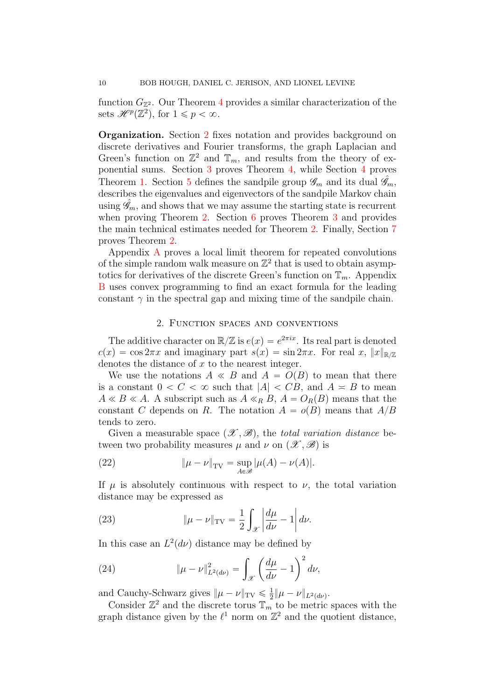function  $G_{\mathbb{Z}^2}$ . Our Theorem [4](#page-3-1) provides a similar characterization of the sets  $\mathscr{H}^p(\mathbb{Z}^2)$ , for  $1 \leqslant p < \infty$ .

Organization. Section [2](#page-9-0) fixes notation and provides background on discrete derivatives and Fourier transforms, the graph Laplacian and Green's function on  $\mathbb{Z}^2$  and  $\mathbb{T}_m$ , and results from the theory of exponential sums. Section [3](#page-15-0) proves Theorem [4,](#page-3-1) while Section [4](#page-17-0) proves Theorem [1.](#page-1-0) Section [5](#page-20-0) defines the sandpile group  $\mathscr{G}_m$  and its dual  $\hat{\mathscr{G}}_m$ , describes the eigenvalues and eigenvectors of the sandpile Markov chain using  $\mathscr{G}_m$ , and shows that we may assume the starting state is recurrent when proving Theorem [2.](#page-2-0) Section [6](#page-25-0) proves Theorem [3](#page-2-1) and provides the main technical estimates needed for Theorem [2.](#page-2-0) Finally, Section [7](#page-42-1) proves Theorem [2.](#page-2-0)

Appendix [A](#page-46-0) proves a local limit theorem for repeated convolutions of the simple random walk measure on  $\mathbb{Z}^2$  that is used to obtain asymptotics for derivatives of the discrete Green's function on  $\mathbb{T}_m$ . Appendix [B](#page-53-0) uses convex programming to find an exact formula for the leading constant  $\gamma$  in the spectral gap and mixing time of the sandpile chain.

## 2. Function spaces and conventions

<span id="page-9-0"></span>The additive character on  $\mathbb{R}/\mathbb{Z}$  is  $e(x) = e^{2\pi ix}$ . Its real part is denoted  $c(x) = \cos 2\pi x$  and imaginary part  $s(x) = \sin 2\pi x$ . For real x,  $||x||_{\mathbb{R}/\mathbb{Z}}$ denotes the distance of x to the nearest integer.

We use the notations  $A \ll B$  and  $A = O(B)$  to mean that there is a constant  $0 < C < \infty$  such that  $|A| < CB$ , and  $A \leq B$  to mean  $A \ll B \ll A$ . A subscript such as  $A \ll_B B$ ,  $A = O_R(B)$  means that the constant C depends on R. The notation  $A = o(B)$  means that  $A/B$ tends to zero.

Given a measurable space  $(\mathscr{X}, \mathscr{B})$ , the total variation distance between two probability measures  $\mu$  and  $\nu$  on  $(\mathscr{X}, \mathscr{B})$  is

(22) 
$$
\|\mu - \nu\|_{TV} = \sup_{A \in \mathscr{B}} |\mu(A) - \nu(A)|.
$$

If  $\mu$  is absolutely continuous with respect to  $\nu$ , the total variation distance may be expressed as

(23) 
$$
\|\mu - \nu\|_{TV} = \frac{1}{2} \int_{\mathcal{X}} \left| \frac{d\mu}{d\nu} - 1 \right| d\nu.
$$

In this case an  $L^2(d\nu)$  distance may be defined by

(24) 
$$
\|\mu - \nu\|_{L^2(d\nu)}^2 = \int_{\mathcal{X}} \left(\frac{d\mu}{d\nu} - 1\right)^2 d\nu,
$$

and Cauchy-Schwarz gives  $\|\mu - \nu\|_{TV} \leq \frac{1}{2}$  $\frac{1}{2} \|\mu - \nu\|_{L^2(d\nu)}.$ 

Consider  $\mathbb{Z}^2$  and the discrete torus  $\mathbb{T}_m$  to be metric spaces with the graph distance given by the  $\ell^1$  norm on  $\mathbb{Z}^2$  and the quotient distance,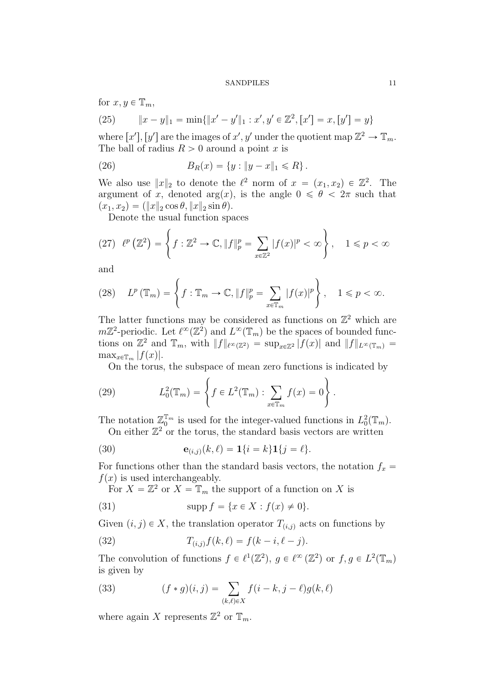for 
$$
x, y \in \mathbb{T}_m
$$
,

(25) 
$$
||x - y||_1 = \min{||x' - y'||_1 : x', y' \in \mathbb{Z}^2, [x'] = x, [y'] = y}
$$

where  $[x']$ ,  $[y']$  are the images of  $x'$ ,  $y'$  under the quotient map  $\mathbb{Z}^2 \to \mathbb{T}_m$ . The ball of radius  $R > 0$  around a point x is

(26) 
$$
B_R(x) = \{y : ||y - x||_1 \le R\}.
$$

We also use  $||x||_2$  to denote the  $\ell^2$  norm of  $x = (x_1, x_2) \in \mathbb{Z}^2$ . The argument of x, denoted arg $(x)$ , is the angle  $0 \le \theta \le 2\pi$  such that  $(x_1, x_2) = (\|x\|_2 \cos \theta, \|x\|_2 \sin \theta).$ 

Denote the usual function spaces

(27) 
$$
\ell^{p}(\mathbb{Z}^{2}) = \left\{ f : \mathbb{Z}^{2} \to \mathbb{C}, ||f||_{p}^{p} = \sum_{x \in \mathbb{Z}^{2}} |f(x)|^{p} < \infty \right\}, \quad 1 \leq p < \infty
$$

and

(28) 
$$
L^{p}(\mathbb{T}_{m}) = \left\{ f : \mathbb{T}_{m} \to \mathbb{C}, ||f||_{p}^{p} = \sum_{x \in \mathbb{T}_{m}} |f(x)|^{p} \right\}, \quad 1 \leq p < \infty.
$$

The latter functions may be considered as functions on  $\mathbb{Z}^2$  which are  $m\mathbb{Z}^2$ -periodic. Let  $\ell^{\infty}(\mathbb{Z}^2)$  and  $L^{\infty}(\mathbb{T}_m)$  be the spaces of bounded functions on  $\mathbb{Z}^2$  and  $\mathbb{T}_m$ , with  $||f||_{\ell^{\infty}(\mathbb{Z}^2)} = \sup_{x \in \mathbb{Z}^2} |f(x)|$  and  $||f||_{L^{\infty}(\mathbb{T}_m)} =$  $\max_{x \in \mathbb{T}_m} |f(x)|.$ 

On the torus, the subspace of mean zero functions is indicated by  
\n(29) 
$$
L_0^2(\mathbb{T}_m) = \left\{ f \in L^2(\mathbb{T}_m) : \sum_{x \in \mathbb{T}_m} f(x) = 0 \right\}.
$$

The notation  $\mathbb{Z}_0^{\mathbb{T}_m}$  is used for the integer-valued functions in  $L_0^2(\mathbb{T}_m)$ . On either  $\mathbb{Z}^2$  or the torus, the standard basis vectors are written

(30) 
$$
\mathbf{e}_{(i,j)}(k,\ell) = \mathbf{1}\{i=k\}\mathbf{1}\{j=\ell\}.
$$

For functions other than the standard basis vectors, the notation  $f_x =$  $f(x)$  is used interchangeably.

For  $X = \mathbb{Z}^2$  or  $X = \mathbb{T}_m$  the support of a function on X is

(31) 
$$
\text{supp } f = \{x \in X : f(x) \neq 0\}.
$$

Given  $(i, j) \in X$ , the translation operator  $T_{(i,j)}$  acts on functions by

(32) 
$$
T_{(i,j)}f(k,\ell) = f(k-i,\ell-j).
$$

The convolution of functions  $f \in \ell^1(\mathbb{Z}^2)$ ,  $g \in \ell^{\infty}(\mathbb{Z}^2)$  or  $f, g \in L^2(\mathbb{T}_m)$ is given by

(33) 
$$
(f * g)(i, j) = \sum_{(k,\ell) \in X} f(i - k, j - \ell)g(k, \ell)
$$

where again X represents  $\mathbb{Z}^2$  or  $\mathbb{T}_m$ .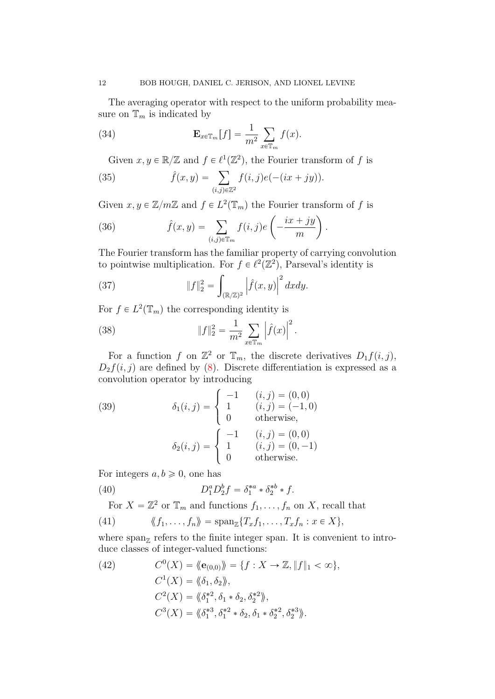The averaging operator with respect to the uniform probability measure on  $\mathbb{T}_m$  is indicated by

(34) 
$$
\mathbf{E}_{x \in \mathbb{T}_m}[f] = \frac{1}{m^2} \sum_{x \in \mathbb{T}_m} f(x).
$$

Given 
$$
x, y \in \mathbb{R}/\mathbb{Z}
$$
 and  $f \in \ell^1(\mathbb{Z}^2)$ , the Fourier transform of  $f$  is  
\n(35) 
$$
\hat{f}(x, y) = \sum_{(i,j) \in \mathbb{Z}^2} f(i, j) e(-(ix + jy)).
$$

Given  $x, y \in \mathbb{Z}/m\mathbb{Z}$  and  $f \in L^2(\mathbb{T}_m)$  the Fourier transform of  $f$  is

(36) 
$$
\hat{f}(x,y) = \sum_{(i,j)\in\mathbb{T}_m} f(i,j)e\left(-\frac{ix+jy}{m}\right).
$$

The Fourier transform has the familiar property of carrying convolution to pointwise multiplication. For  $f \in \ell^2(\mathbb{Z}^2)$ , Parseval's identity is

(37) 
$$
||f||_2^2 = \int_{(\mathbb{R}/\mathbb{Z})^2} \left| \hat{f}(x, y) \right|^2 dx dy.
$$

For  $f \in L^2(\mathbb{T}_m)$  the corresponding identity is

(38) 
$$
||f||_2^2 = \frac{1}{m^2} \sum_{x \in \mathbb{T}_m} \left| \hat{f}(x) \right|^2.
$$

For a function f on  $\mathbb{Z}^2$  or  $\mathbb{T}_m$ , the discrete derivatives  $D_1 f(i, j)$ ,  $D_2f(i, j)$  are defined by [\(8\)](#page-3-2). Discrete differentiation is expressed as a convolution operator by introducing \$

(39) 
$$
\delta_1(i,j) = \begin{cases}\n-1 & (i,j) = (0,0) \\
1 & (i,j) = (-1,0) \\
0 & \text{otherwise,} \n\end{cases}
$$

$$
\delta_2(i,j) = \begin{cases}\n-1 & (i,j) = (0,0) \\
1 & (i,j) = (0,0) \\
0 & \text{otherwise.}\n\end{cases}
$$

For integers  $a, b \ge 0$ , one has

(40) 
$$
D_1^a D_2^b f = \delta_1^{*a} * \delta_2^{*b} * f.
$$

For  $X = \mathbb{Z}^2$  or  $\mathbb{T}_m$  and functions  $f_1, \ldots, f_n$  on X, recall that

(41) 
$$
\langle f_1, \ldots, f_n \rangle = \mathrm{span}_{\mathbb{Z}} \{ T_x f_1, \ldots, T_x f_n : x \in X \},
$$

where  $\text{span}_{\mathbb{Z}}$  refers to the finite integer span. It is convenient to introduce classes of integer-valued functions:

<span id="page-11-0"></span>(42) 
$$
C^{0}(X) = \langle \langle \mathbf{e}_{(0,0)} \rangle \rangle = \{ f : X \to \mathbb{Z}, \| f \|_{1} < \infty \},
$$

$$
C^{1}(X) = \langle \langle \delta_{1}, \delta_{2} \rangle \rangle,
$$

$$
C^{2}(X) = \langle \langle \delta_{1}^{*2}, \delta_{1} * \delta_{2}, \delta_{2}^{*2} \rangle \rangle,
$$

$$
C^{3}(X) = \langle \langle \delta_{1}^{*3}, \delta_{1}^{*2} * \delta_{2}, \delta_{1} * \delta_{2}^{*2}, \delta_{2}^{*3} \rangle \rangle.
$$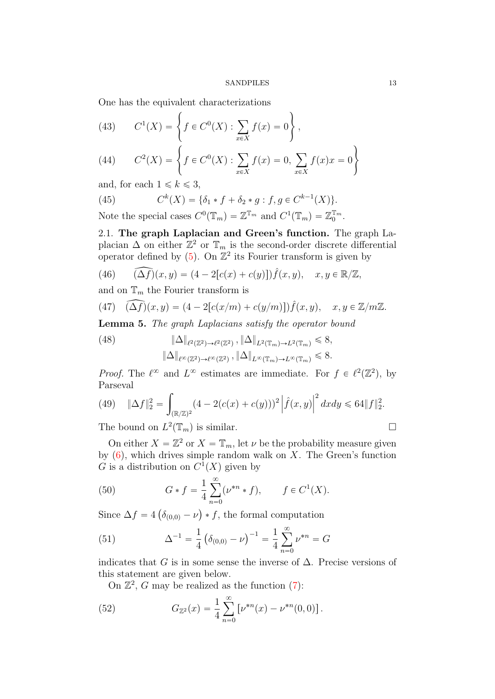$\frac{1}{2}$ 

One has the equivalent characterizations  
(43) 
$$
C^{1}(X) = \left\{ f \in C^{0}(X) : \sum_{x \in X} f(x) = 0 \right\},
$$

<span id="page-12-3"></span>(44) 
$$
C^{2}(X) = \left\{ f \in C^{0}(X) : \sum_{x \in X} f(x) = 0, \sum_{x \in X} f(x)x = 0 \right\}
$$

and, for each  $1 \leq k \leq 3$ ,

<span id="page-12-2"></span>(45) 
$$
C^{k}(X) = \{\delta_1 * f + \delta_2 * g : f, g \in C^{k-1}(X)\}.
$$

Note the special cases  $C^0(\mathbb{T}_m) = \mathbb{Z}^{\mathbb{T}_m}$  and  $C^1(\mathbb{T}_m) = \mathbb{Z}_0^{\mathbb{T}_m}$ .

2.1. The graph Laplacian and Green's function. The graph Laplacian  $\Delta$  on either  $\mathbb{Z}^2$  or  $\mathbb{T}_m$  is the second-order discrete differential operator defined by  $(5)$ . On  $\mathbb{Z}^2$  its Fourier transform is given by

<span id="page-12-1"></span>(46) 
$$
\widehat{(\Delta f)}(x,y) = (4 - 2[c(x) + c(y)]) \widehat{f}(x,y), \quad x, y \in \mathbb{R}/\mathbb{Z},
$$

and on  $\mathbb{T}_m$  the Fourier transform is

(47) 
$$
\widehat{(\Delta f)}(x,y) = (4 - 2[c(x/m) + c(y/m)]) \widehat{f}(x,y), \quad x, y \in \mathbb{Z}/m\mathbb{Z}.
$$

Lemma 5. The graph Laplacians satisfy the operator bound

(48) 
$$
\|\Delta\|_{\ell^2(\mathbb{Z}^2)\to\ell^2(\mathbb{Z}^2)}, \|\Delta\|_{L^2(\mathbb{T}_m)\to L^2(\mathbb{T}_m)} \leq 8, \|\Delta\|_{\ell^\infty(\mathbb{Z}^2)\to\ell^\infty(\mathbb{Z}^2)}, \|\Delta\|_{L^\infty(\mathbb{T}_m)\to L^\infty(\mathbb{T}_m)} \leq 8.
$$

*Proof.* The  $\ell^{\infty}$  and  $L^{\infty}$  estimates are immediate. For  $f \in \ell^2(\mathbb{Z}^2)$ , by Parseval

(49) 
$$
\|\Delta f\|_2^2 = \int_{(\mathbb{R}/\mathbb{Z})^2} (4 - 2(c(x) + c(y)))^2 \left| \hat{f}(x, y) \right|^2 dx dy \le 64 \|f\|_2^2.
$$

The bound on  $L^2(\mathbb{T}_m)$  is similar.

On either  $X = \mathbb{Z}^2$  or  $X = \mathbb{T}_m$ , let  $\nu$  be the probability measure given by  $(6)$ , which drives simple random walk on X. The Green's function G is a distribution on  $C^1(X)$  given by

(50) 
$$
G * f = \frac{1}{4} \sum_{n=0}^{\infty} (\nu^{*n} * f), \qquad f \in C^{1}(X).
$$

Since  $\Delta f = 4$  $\delta_{(0,0)} - \nu$  $\ast f$ , the formal computation

(51) 
$$
\Delta^{-1} = \frac{1}{4} \left( \delta_{(0,0)} - \nu \right)^{-1} = \frac{1}{4} \sum_{n=0}^{\infty} \nu^{*n} = G
$$

indicates that G is in some sense the inverse of  $\Delta$ . Precise versions of this statement are given below.

<span id="page-12-0"></span>On  $\mathbb{Z}^2$ , G may be realized as the function [\(7\)](#page-3-3):

(52) 
$$
G_{\mathbb{Z}^2}(x) = \frac{1}{4} \sum_{n=0}^{\infty} \left[ \nu^{*n}(x) - \nu^{*n}(0,0) \right].
$$

 $\frac{1}{2}$ 

$$
\sqcup
$$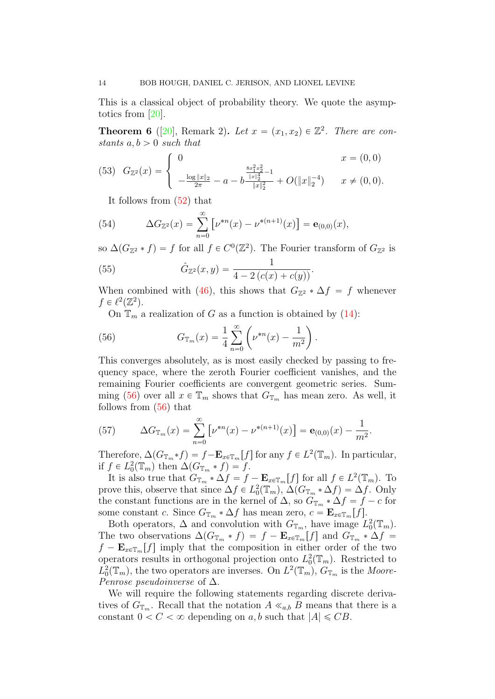This is a classical object of probability theory. We quote the asymptotics from [\[20\]](#page-57-5).

<span id="page-13-0"></span>**Theorem 6** ([\[20\]](#page-57-5), Remark 2). Let  $x = (x_1, x_2) \in \mathbb{Z}^2$ . There are constants  $a, b > 0$  such that

<span id="page-13-2"></span>
$$
(53) \quad G_{\mathbb{Z}^2}(x) = \begin{cases} 0 & x = (0,0) \\ -\frac{\log \|x\|_2}{2\pi} - a - b \frac{\frac{8x_1^2 x_2^2}{\|x\|_2^4} - 1}{\|x\|_2^2} + O(\|x\|_2^{-4}) & x \neq (0,0). \end{cases}
$$

It follows from [\(52\)](#page-12-0) that

(54) 
$$
\Delta G_{\mathbb{Z}^2}(x) = \sum_{n=0}^{\infty} \left[ \nu^{*n}(x) - \nu^{*(n+1)}(x) \right] = \mathbf{e}_{(0,0)}(x),
$$

so  $\Delta(G_{\mathbb{Z}^2} * f) = f$  for all  $f \in C^0(\mathbb{Z}^2)$ . The Fourier transform of  $G_{\mathbb{Z}^2}$  is

(55) 
$$
\hat{G}_{\mathbb{Z}^2}(x,y) = \frac{1}{4 - 2(c(x) + c(y))}.
$$

When combined with [\(46\)](#page-12-1), this shows that  $G_{\mathbb{Z}^2} * \Delta f = f$  whenever  $f \in \ell^2(\mathbb{Z}^2).$ 

<span id="page-13-1"></span>On  $\mathbb{T}_m$  a realization of G as a function is obtained by [\(14\)](#page-5-1):

(56) 
$$
G_{\mathbb{T}_m}(x) = \frac{1}{4} \sum_{n=0}^{\infty} \left( \nu^{*n}(x) - \frac{1}{m^2} \right).
$$

This converges absolutely, as is most easily checked by passing to frequency space, where the zeroth Fourier coefficient vanishes, and the remaining Fourier coefficients are convergent geometric series. Sum-ming [\(56\)](#page-13-1) over all  $x \in \mathbb{T}_m$  shows that  $G_{\mathbb{T}_m}$  has mean zero. As well, it follows from [\(56\)](#page-13-1) that

(57) 
$$
\Delta G_{\mathbb{T}_m}(x) = \sum_{n=0}^{\infty} \left[ \nu^{*n}(x) - \nu^{*(n+1)}(x) \right] = \mathbf{e}_{(0,0)}(x) - \frac{1}{m^2}.
$$

Therefore,  $\Delta(G_{\mathbb{T}_m} * f) = f - \mathbf{E}_{x \in \mathbb{T}_m}[f]$  for any  $f \in L^2(\mathbb{T}_m)$ . In particular, if  $f \in L_0^2(\mathbb{T}_m)$  then  $\Delta(G_{\mathbb{T}_m} * f) = f$ .

It is also true that  $G_{\mathbb{T}_m}^* \times \Delta f = f - \mathbf{E}_{x \in \mathbb{T}_m}[f]$  for all  $f \in L^2(\mathbb{T}_m)$ . To prove this, observe that since  $\Delta f \in L_0^2(\mathbb{T}_m)$ ,  $\Delta (G_{\mathbb{T}_m} * \Delta f) = \Delta f$ . Only the constant functions are in the kernel of  $\Delta$ , so  $G_{\mathbb{T}_m} * \Delta f = f - c$  for some constant c. Since  $G_{\mathbb{T}_m} * \Delta f$  has mean zero,  $c = \mathbf{E}_{x \in \mathbb{T}_m}[f].$ 

Both operators,  $\Delta$  and convolution with  $G_{\mathbb{T}_m}$ , have image  $L_0^2(\mathbb{T}_m)$ . The two observations  $\Delta(G_{\mathbb{T}_m} * f) = f - \mathbf{E}_{x \in \mathbb{T}_m}[f]$  and  $G_{\mathbb{T}_m} * \Delta f =$  $f - \mathbf{E}_{x \in \mathbb{T}_m}[f]$  imply that the composition in either order of the two operators results in orthogonal projection onto  $L_0^2(\mathbb{T}_m)$ . Restricted to  $L_0^2(\mathbb{T}_m)$ , the two operators are inverses. On  $L^2(\mathbb{T}_m)$ ,  $G_{\mathbb{T}_m}$  is the Moore-*Penrose pseudoinverse* of  $\Delta$ .

We will require the following statements regarding discrete derivatives of  $G_{\mathbb{T}_m}$ . Recall that the notation  $A \ll_{a,b} B$  means that there is a constant  $0 < C < \infty$  depending on a, b such that  $|A| \leq CB$ .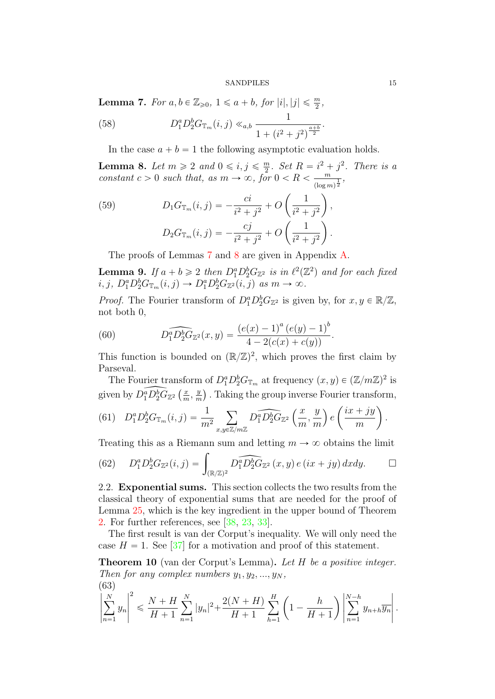<span id="page-14-0"></span>**Lemma 7.** For  $a, b \in \mathbb{Z}_{\geqslant 0}, 1 \leqslant a + b$ , for  $|i|, |j| \leqslant \frac{m}{2}$ ,

(58) 
$$
D_1^a D_2^b G_{\mathbb{T}_m}(i,j) \ll_{a,b} \frac{1}{1 + (i^2 + j^2)^{\frac{a+b}{2}}}.
$$

In the case  $a + b = 1$  the following asymptotic evaluation holds.

<span id="page-14-1"></span>**Lemma 8.** Let  $m \geq 2$  and  $0 \leq i, j \leq \frac{m}{2}$  $\frac{m}{2}$ . Set  $R = i^2 + j^2$ . There is a constant  $c > 0$  such that, as  $m \to \infty$ , for  $0 < R < \frac{m}{a}$  $\frac{m}{(\log m)^{\frac{1}{2}}},$ ˆ ˙

(59) 
$$
D_1 G_{\mathbb{T}_m}(i,j) = -\frac{ci}{i^2 + j^2} + O\left(\frac{1}{i^2 + j^2}\right),
$$

$$
D_2 G_{\mathbb{T}_m}(i,j) = -\frac{cj}{i^2 + j^2} + O\left(\frac{1}{i^2 + j^2}\right).
$$

The proofs of Lemmas [7](#page-14-0) and [8](#page-14-1) are given in Appendix [A.](#page-46-0)

<span id="page-14-2"></span>**Lemma 9.** If  $a + b \ge 2$  then  $D_1^a D_2^b G_{\mathbb{Z}^2}$  is in  $\ell^2(\mathbb{Z}^2)$  and for each fixed  $i, j, D_1^a D_2^b G_{\mathbb{T}_m}(i, j) \rightarrow D_1^a D_2^b G_{\mathbb{Z}^2}(i, j) \text{ as } m \rightarrow \infty.$ 

*Proof.* The Fourier transform of  $D_1^a D_2^b G_{\mathbb{Z}^2}$  is given by, for  $x, y \in \mathbb{R}/\mathbb{Z}$ , not both 0,

(60) 
$$
D_1^a D_2^b G_{\mathbb{Z}^2}(x,y) = \frac{(e(x) - 1)^a (e(y) - 1)^b}{4 - 2(c(x) + c(y))}.
$$

This function is bounded on  $(\mathbb{R}/\mathbb{Z})^2$ , which proves the first claim by Parseval.

The Fourier transform of  $D_1^a D_2^b G_{\mathbb{T}_m}$  at frequency  $(x, y) \in (\mathbb{Z}/m\mathbb{Z})^2$  is given by  $\widehat{D_1^a D_2^b G_{\mathbb{Z}^2}}$   $\left(\frac{x}{m}\right)$  $\frac{x}{m}$ ,  $\frac{y}{n}$  $\frac{y}{m}$ ). Taking the group inverse Fourier transform,

(61) 
$$
D_1^a D_2^b G_{\mathbb{T}_m}(i,j) = \frac{1}{m^2} \sum_{x,y \in \mathbb{Z}/m\mathbb{Z}} D_1^a \widehat{D_2^b G_{\mathbb{Z}^2}} \left(\frac{x}{m}, \frac{y}{m}\right) e\left(\frac{ix+jy}{m}\right).
$$

Treating this as a Riemann sum and letting 
$$
m \to \infty
$$
 obtains the limit  
(62) 
$$
D_1^a D_2^b G_{\mathbb{Z}^2}(i,j) = \int_{(\mathbb{R}/\mathbb{Z})^2} D_1^a \widehat{D_2^b G_{\mathbb{Z}^2}}(x,y) e(ix+jy) dx dy.
$$

2.2. Exponential sums. This section collects the two results from the classical theory of exponential sums that are needed for the proof of Lemma [25,](#page-38-0) which is the key ingredient in the upper bound of Theorem [2.](#page-2-0) For further references, see [\[38,](#page-58-2) [23,](#page-57-15) [33\]](#page-58-3).

The first result is van der Corput's inequality. We will only need the case  $H = 1$ . See [\[37\]](#page-58-4) for a motivation and proof of this statement.

Theorem 10 (van der Corput's Lemma). Let H be a positive integer. Then for any complex numbers  $y_1, y_2, ..., y_N$ ,

(63)  

$$
\left|\sum_{n=1}^{N} y_n\right|^2 \leq \frac{N+H}{H+1} \sum_{n=1}^{N} |y_n|^2 + \frac{2(N+H)}{H+1} \sum_{h=1}^{H} \left(1 - \frac{h}{H+1}\right) \left|\sum_{n=1}^{N-h} y_{n+h} \overline{y_n}\right|.
$$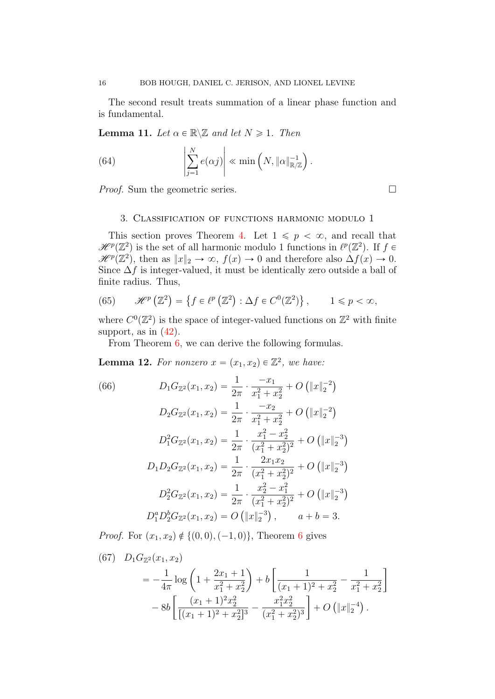The second result treats summation of a linear phase function and is fundamental.

<span id="page-15-4"></span>**Lemma 11.** Let  $\alpha \in \mathbb{R} \setminus \mathbb{Z}$  and let  $N \geq 1$ . Then

(64) 
$$
\left|\sum_{j=1}^N e(\alpha j)\right| \ll \min\left(N, \|\alpha\|_{\mathbb{R}/\mathbb{Z}}^{-1}\right).
$$

*Proof.* Sum the geometric series.  $\Box$ 

## 3. Classification of functions harmonic modulo 1

<span id="page-15-0"></span>This section proves Theorem [4.](#page-3-1) Let  $1 \leqslant p < \infty$ , and recall that  $\mathscr{H}^p(\mathbb{Z}^2)$  is the set of all harmonic modulo 1 functions in  $\ell^p(\mathbb{Z}^2)$ . If  $f \in$  $\mathscr{H}^p(\mathbb{Z}^2)$ , then as  $||x||_2 \to \infty$ ,  $f(x) \to 0$  and therefore also  $\Delta f(x) \to 0$ . Since  $\Delta f$  is integer-valued, it must be identically zero outside a ball of finite radius. Thus,

<span id="page-15-3"></span>(65) 
$$
\mathscr{H}^p\left(\mathbb{Z}^2\right) = \left\{f \in \ell^p\left(\mathbb{Z}^2\right) : \Delta f \in C^0(\mathbb{Z}^2)\right\}, \qquad 1 \leq p < \infty,
$$

where  $C^0(\mathbb{Z}^2)$  is the space of integer-valued functions on  $\mathbb{Z}^2$  with finite support, as in  $(42)$ .

From Theorem [6,](#page-13-0) we can derive the following formulas.

<span id="page-15-2"></span>**Lemma 12.** For nonzero  $x = (x_1, x_2) \in \mathbb{Z}^2$ , we have:

<span id="page-15-1"></span>(66)  
\n
$$
D_1 G_{\mathbb{Z}^2}(x_1, x_2) = \frac{1}{2\pi} \cdot \frac{-x_1}{x_1^2 + x_2^2} + O\left(\|x\|_2^{-2}\right)
$$
\n
$$
D_2 G_{\mathbb{Z}^2}(x_1, x_2) = \frac{1}{2\pi} \cdot \frac{-x_2}{x_1^2 + x_2^2} + O\left(\|x\|_2^{-2}\right)
$$
\n
$$
D_1^2 G_{\mathbb{Z}^2}(x_1, x_2) = \frac{1}{2\pi} \cdot \frac{x_1^2 - x_2^2}{(x_1^2 + x_2^2)^2} + O\left(\|x\|_2^{-3}\right)
$$
\n
$$
D_1 D_2 G_{\mathbb{Z}^2}(x_1, x_2) = \frac{1}{2\pi} \cdot \frac{2x_1 x_2}{(x_1^2 + x_2^2)^2} + O\left(\|x\|_2^{-3}\right)
$$
\n
$$
D_2^2 G_{\mathbb{Z}^2}(x_1, x_2) = \frac{1}{2\pi} \cdot \frac{x_2^2 - x_1^2}{(x_1^2 + x_2^2)^2} + O\left(\|x\|_2^{-3}\right)
$$
\n
$$
D_1^a D_2^b G_{\mathbb{Z}^2}(x_1, x_2) = O\left(\|x\|_2^{-3}\right), \qquad a + b = 3.
$$

*Proof.* For  $(x_1, x_2) \notin \{(0, 0), (-1, 0)\}\)$ , Theorem [6](#page-13-0) gives

(67) 
$$
D_1 G_{\mathbb{Z}^2}(x_1, x_2)
$$
  
=  $-\frac{1}{4\pi} \log \left( 1 + \frac{2x_1 + 1}{x_1^2 + x_2^2} \right) + b \left[ \frac{1}{(x_1 + 1)^2 + x_2^2} - \frac{1}{x_1^2 + x_2^2} \right]$   
-  $8b \left[ \frac{(x_1 + 1)^2 x_2^2}{[(x_1 + 1)^2 + x_2^2]^3} - \frac{x_1^2 x_2^2}{(x_1^2 + x_2^2)^3} \right] + O \left( \|x\|_2^{-4} \right).$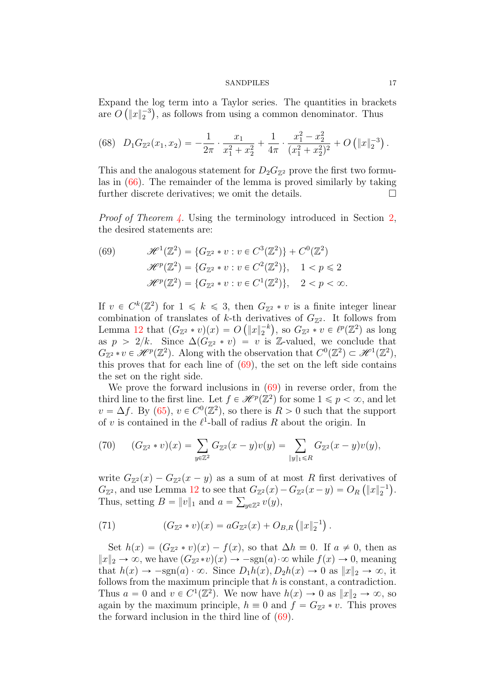Expand the log term into a Taylor series. The quantities in brackets are  $O\left(\Vert x \Vert_2^{-3}\right)$ , as follows from using a common denominator. Thus

(68) 
$$
D_1 G_{\mathbb{Z}^2}(x_1, x_2) = -\frac{1}{2\pi} \cdot \frac{x_1}{x_1^2 + x_2^2} + \frac{1}{4\pi} \cdot \frac{x_1^2 - x_2^2}{(x_1^2 + x_2^2)^2} + O\left(\|x\|_2^{-3}\right).
$$

This and the analogous statement for  $D_2G_{\mathbb{Z}^2}$  prove the first two formulas in [\(66\)](#page-15-1). The remainder of the lemma is proved similarly by taking further discrete derivatives; we omit the details.

Proof of Theorem [4.](#page-3-1) Using the terminology introduced in Section [2,](#page-9-0) the desired statements are:

<span id="page-16-0"></span>(69) 
$$
\mathcal{H}^{1}(\mathbb{Z}^{2}) = \{G_{\mathbb{Z}^{2}} * v : v \in C^{3}(\mathbb{Z}^{2})\} + C^{0}(\mathbb{Z}^{2})
$$

$$
\mathcal{H}^{p}(\mathbb{Z}^{2}) = \{G_{\mathbb{Z}^{2}} * v : v \in C^{2}(\mathbb{Z}^{2})\}, \quad 1 < p \le 2
$$

$$
\mathcal{H}^{p}(\mathbb{Z}^{2}) = \{G_{\mathbb{Z}^{2}} * v : v \in C^{1}(\mathbb{Z}^{2})\}, \quad 2 < p < \infty.
$$

If  $v \in C^k(\mathbb{Z}^2)$  for  $1 \leq k \leq 3$ , then  $G_{\mathbb{Z}^2} * v$  is a finite integer linear combination of translates of k-th derivatives of  $G_{\mathbb{Z}^2}$ . It follows from Lemma [12](#page-15-2) that  $(G_{\mathbb{Z}^2} * v)(x) = O(|x|_2^{-k}),$  so  $G_{\mathbb{Z}^2} * v \in \ell^p(\mathbb{Z}^2)$  as long as  $p > 2/k$ . Since  $\Delta(G_{\mathbb{Z}^2} * v) = v$  is Z-valued, we conclude that  $G_{\mathbb{Z}^2} * v \in \mathcal{H}^p(\mathbb{Z}^2)$ . Along with the observation that  $C^0(\mathbb{Z}^2) \subset \mathcal{H}^1(\mathbb{Z}^2)$ , this proves that for each line of  $(69)$ , the set on the left side contains the set on the right side.

We prove the forward inclusions in  $(69)$  in reverse order, from the third line to the first line. Let  $f \in \mathcal{H}^p(\mathbb{Z}^2)$  for some  $1 \leq p < \infty$ , and let  $v = \Delta f$ . By [\(65\)](#page-15-3),  $v \in C^{0}(\mathbb{Z}^{2})$ , so there is  $R > 0$  such that the support of v is contained in the  $\ell^1$ -ball of radius R about the origin. In

(70) 
$$
(G_{\mathbb{Z}^2} * v)(x) = \sum_{y \in \mathbb{Z}^2} G_{\mathbb{Z}^2}(x - y)v(y) = \sum_{\|y\|_1 \leq R} G_{\mathbb{Z}^2}(x - y)v(y),
$$

write  $G_{\mathbb{Z}^2}(x) - G_{\mathbb{Z}^2}(x - y)$  as a sum of at most R first derivatives of  $G_{\mathbb{Z}^2}$ , and use Lemma [12](#page-15-2) to see that  $G_{\mathbb{Z}^2}(x) - G_{\mathbb{Z}^2}(x - y) = O_R(\|x\|_2^{-1}).$ Thus, setting  $B = ||v||_1$  and  $a = \sum_{y \in \mathbb{Z}^2} v(y)$ ,

(71) 
$$
(G_{\mathbb{Z}^2} * v)(x) = aG_{\mathbb{Z}^2}(x) + O_{B,R} (\|x\|_2^{-1}).
$$

Set  $h(x) = (G_{\mathbb{Z}^2} * v)(x) - f(x)$ , so that  $\Delta h \equiv 0$ . If  $a \neq 0$ , then as  $||x||_2 \to \infty$ , we have  $(G_{\mathbb{Z}^2} * v)(x) \to -\text{sgn}(a) \cdot \infty$  while  $f(x) \to 0$ , meaning that  $h(x) \rightarrow -\text{sgn}(a) \cdot \infty$ . Since  $D_1h(x), D_2h(x) \rightarrow 0$  as  $||x||_2 \rightarrow \infty$ , it follows from the maximum principle that  $h$  is constant, a contradiction. Thus  $a = 0$  and  $v \in C^1(\mathbb{Z}^2)$ . We now have  $h(x) \to 0$  as  $||x||_2 \to \infty$ , so again by the maximum principle,  $h \equiv 0$  and  $f = G_{\mathbb{Z}^2} * v$ . This proves the forward inclusion in the third line of [\(69\)](#page-16-0).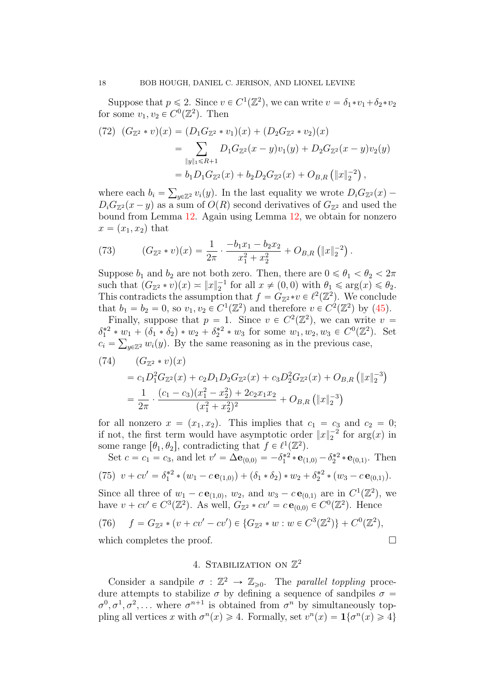Suppose that  $p \le 2$ . Since  $v \in C^1(\mathbb{Z}^2)$ , we can write  $v = \delta_1 * v_1 + \delta_2 * v_2$ for some  $v_1, v_2 \in C^0(\mathbb{Z}^2)$ . Then

$$
(72) (G_{\mathbb{Z}^2} * v)(x) = (D_1 G_{\mathbb{Z}^2} * v_1)(x) + (D_2 G_{\mathbb{Z}^2} * v_2)(x)
$$
  
= 
$$
\sum_{\|y\|_1 \le R+1} D_1 G_{\mathbb{Z}^2}(x - y) v_1(y) + D_2 G_{\mathbb{Z}^2}(x - y) v_2(y)
$$
  
= 
$$
b_1 D_1 G_{\mathbb{Z}^2}(x) + b_2 D_2 G_{\mathbb{Z}^2}(x) + O_{B,R} (\|x\|_2^{-2}),
$$

where each  $b_i =$  $y \in \mathbb{Z}^2} v_i(y)$ . In the last equality we wrote  $D_i G_{\mathbb{Z}^2}(x)$  –  $D_i G_{\mathbb{Z}^2}(x - y)$  as a sum of  $O(R)$  second derivatives of  $G_{\mathbb{Z}^2}$  and used the bound from Lemma [12.](#page-15-2) Again using Lemma [12,](#page-15-2) we obtain for nonzero  $x = (x_1, x_2)$  that

(73) 
$$
(G_{\mathbb{Z}^2} * v)(x) = \frac{1}{2\pi} \cdot \frac{-b_1x_1 - b_2x_2}{x_1^2 + x_2^2} + O_{B,R}(\|x\|_2^{-2}).
$$

Suppose  $b_1$  and  $b_2$  are not both zero. Then, there are  $0 \le \theta_1 < \theta_2 < 2\pi$ such that  $(G_{\mathbb{Z}^2} * v)(x) \approx ||x||_2^{-1}$  for all  $x \neq (0,0)$  with  $\theta_1 \leq \arg(x) \leq \theta_2$ . This contradicts the assumption that  $f = G_{\mathbb{Z}^2} * v \in \ell^2(\mathbb{Z}^2)$ . We conclude that  $b_1 = b_2 = 0$ , so  $v_1, v_2 \in C^1(\mathbb{Z}^2)$  and therefore  $v \in C^2(\mathbb{Z}^2)$  by [\(45\)](#page-12-2).

Finally, suppose that  $p = 1$ . Since  $v \in C^2(\mathbb{Z}^2)$ , we can write  $v =$  $\delta_1^{*2} * w_1 + (\delta_1 * \delta_2) * w_2 + \delta_2^{*2} * w_3$  for some  $w_1, w_2, w_3 \in C^0(\mathbb{Z}^2)$ . Set  $c_i = \sum_{y \in \mathbb{Z}^2} w_i(y)$ . By the same reasoning as in the previous case,

(74) 
$$
(G_{\mathbb{Z}^2} * v)(x)
$$
  
=  $c_1 D_1^2 G_{\mathbb{Z}^2}(x) + c_2 D_1 D_2 G_{\mathbb{Z}^2}(x) + c_3 D_2^2 G_{\mathbb{Z}^2}(x) + O_{B,R} (\Vert x \Vert_2^{-3})$   
=  $\frac{1}{2\pi} \cdot \frac{(c_1 - c_3)(x_1^2 - x_2^2) + 2c_2 x_1 x_2}{(x_1^2 + x_2^2)^2} + O_{B,R} (\Vert x \Vert_2^{-3})$ 

for all nonzero  $x = (x_1, x_2)$ . This implies that  $c_1 = c_3$  and  $c_2 = 0$ ; if not, the first term would have asymptotic order  $||x||_2^{-2}$  for  $\arg(x)$  in some range  $[\theta_1, \theta_2]$ , contradicting that  $f \in \ell^1(\mathbb{Z}^2)$ .

Set 
$$
c = c_1 = c_3
$$
, and let  $v' = \Delta \mathbf{e}_{(0,0)} = -\delta_1^{*2} * \mathbf{e}_{(1,0)} - \delta_2^{*2} * \mathbf{e}_{(0,1)}$ . Then  
\n(75)  $v + cv' = \delta_1^{*2} * (w_1 - c \mathbf{e}_{(1,0)}) + (\delta_1 * \delta_2) * w_2 + \delta_2^{*2} * (w_3 - c \mathbf{e}_{(0,1)})$ .  
\nSince all three of  $w_1 - c \mathbf{e}_{(1,0)}$ ,  $w_2$ , and  $w_3 - c \mathbf{e}_{(0,1)}$  are in  $C^1(\mathbb{Z}^2)$ , we

have  $v + cv' \in C^3(\mathbb{Z}^2)$ . As well,  $G_{\mathbb{Z}^2} * cv' = c \mathbf{e}_{(0,0)} \in C^0(\mathbb{Z}^2)$ . Hence

(76) 
$$
f = G_{\mathbb{Z}^2} * (v + cv' - cv') \in \{G_{\mathbb{Z}^2} * w : w \in C^3(\mathbb{Z}^2)\} + C^0(\mathbb{Z}^2),
$$
  
which completes the proof.

# 4. STABILIZATION ON  $\mathbb{Z}^2$

<span id="page-17-0"></span>Consider a sandpile  $\sigma : \mathbb{Z}^2 \to \mathbb{Z}_{\geqslant 0}$ . The parallel toppling procedure attempts to stabilize  $\sigma$  by defining a sequence of sandpiles  $\sigma$  =  $\sigma^0, \sigma^1, \sigma^2, \ldots$  where  $\sigma^{n+1}$  is obtained from  $\sigma^n$  by simultaneously toppling all vertices x with  $\sigma^n(x) \geq 4$ . Formally, set  $v^n(x) = \mathbf{1}{\lbrace \sigma^n(x) \geq 4 \rbrace}$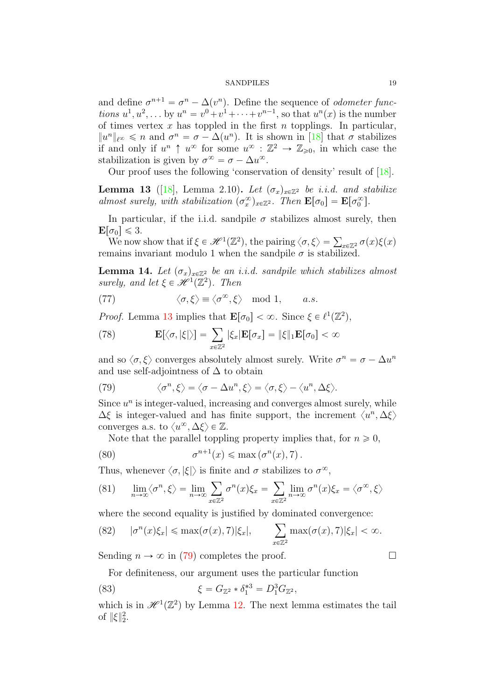and define  $\sigma^{n+1} = \sigma^n - \Delta(v^n)$ . Define the sequence of *odometer func*tions  $u^1, u^2, \ldots$  by  $u^n = v^0 + v^1 + \cdots + v^{n-1}$ , so that  $u^n(x)$  is the number of times vertex  $x$  has toppled in the first  $n$  topplings. In particular,  $||u^n||_{\ell^{\infty}} \leq n$  and  $\sigma^n = \sigma - \Delta(u^n)$ . It is shown in [\[18\]](#page-57-4) that  $\sigma$  stabilizes if and only if  $u^n \uparrow u^{\infty}$  for some  $u^{\infty} : \mathbb{Z}^2 \to \mathbb{Z}_{\geqslant 0}$ , in which case the stabilization is given by  $\sigma^{\infty} = \sigma - \Delta u^{\infty}$ .

Our proof uses the following 'conservation of density' result of [\[18\]](#page-57-4).

<span id="page-18-1"></span>**Lemma 13** ([\[18\]](#page-57-4), Lemma 2.10). Let  $(\sigma_x)_{x \in \mathbb{Z}^2}$  be i.i.d. and stabilize almost surely, with stabilization  $(\sigma_x^{\infty})_{x \in \mathbb{Z}^2}$ . Then  $\mathbf{E}[\sigma_0] = \mathbf{E}[\sigma_0^{\infty}]$ .

In particular, if the i.i.d. sandpile  $\sigma$  stabilizes almost surely, then  $\mathbf{E}[\sigma_0] \leq 3.$ 

 $\sigma_0$   $\leq$  3.<br>We now show that if  $\xi \in \mathcal{H}^1(\mathbb{Z}^2)$ , the pairing  $\langle \sigma, \xi \rangle = \sum_{x \in \mathbb{Z}^2} \sigma(x) \xi(x)$ remains invariant modulo 1 when the sandpile  $\sigma$  is stabilized.

<span id="page-18-0"></span>**Lemma 14.** Let  $(\sigma_x)_{x \in \mathbb{Z}^2}$  be an i.i.d. sandpile which stabilizes almost surely, and let  $\xi \in \mathscr{H}^1(\mathbb{Z}^2)$ . Then

(77) 
$$
\langle \sigma, \xi \rangle \equiv \langle \sigma^{\infty}, \xi \rangle \mod 1, \quad a.s.
$$

*Proof.* Lemma 13 implies that 
$$
\mathbf{E}[\sigma_0] < \infty
$$
. Since  $\xi \in \ell^1(\mathbb{Z}^2)$ ,  
(78)  $\mathbf{E}[\langle \sigma, |\xi| \rangle] = \sum_{x \in \mathbb{Z}^2} |\xi_x| \mathbf{E}[\sigma_x] = ||\xi||_1 \mathbf{E}[\sigma_0] < \infty$ 

and so  $\langle \sigma, \xi \rangle$  converges absolutely almost surely. Write  $\sigma^n = \sigma - \Delta u^n$ and use self-adjointness of  $\Delta$  to obtain

<span id="page-18-2"></span>(79) 
$$
\langle \sigma^n, \xi \rangle = \langle \sigma - \Delta u^n, \xi \rangle = \langle \sigma, \xi \rangle - \langle u^n, \Delta \xi \rangle.
$$

Since  $u^n$  is integer-valued, increasing and converges almost surely, while  $\Delta \xi$  is integer-valued and has finite support, the increment  $\langle u^n, \Delta \xi \rangle$ converges a.s. to  $\langle u^{\infty}, \Delta \xi \rangle \in \mathbb{Z}$ .

Note that the parallel toppling property implies that, for  $n \geq 0$ ,

(80) 
$$
\sigma^{n+1}(x) \leq \max(\sigma^n(x), 7).
$$

Thus, whenever  $\langle \sigma, |\xi| \rangle$  is finite and  $\sigma$  stabilizes to  $\sigma^{\infty}$ ,

(81) 
$$
\lim_{n \to \infty} \langle \sigma^n, \xi \rangle = \lim_{n \to \infty} \sum_{x \in \mathbb{Z}^2} \sigma^n(x) \xi_x = \sum_{x \in \mathbb{Z}^2} \lim_{n \to \infty} \sigma^n(x) \xi_x = \langle \sigma^\infty, \xi \rangle
$$

where the second equality is justified by dominated convergence:

(82) 
$$
|\sigma^n(x)\xi_x| \le \max(\sigma(x), 7)|\xi_x|
$$
,  $\sum_{x \in \mathbb{Z}^2} \max(\sigma(x), 7)|\xi_x| < \infty$ .

Sending  $n \to \infty$  in [\(79\)](#page-18-2) completes the proof.

For definiteness, our argument uses the particular function

(83) 
$$
\xi = G_{\mathbb{Z}^2} * \delta_1^{*3} = D_1^3 G_{\mathbb{Z}^2},
$$

which is in  $\mathcal{H}^1(\mathbb{Z}^2)$  by Lemma [12.](#page-15-2) The next lemma estimates the tail of  $\|\xi\|_2^2$ .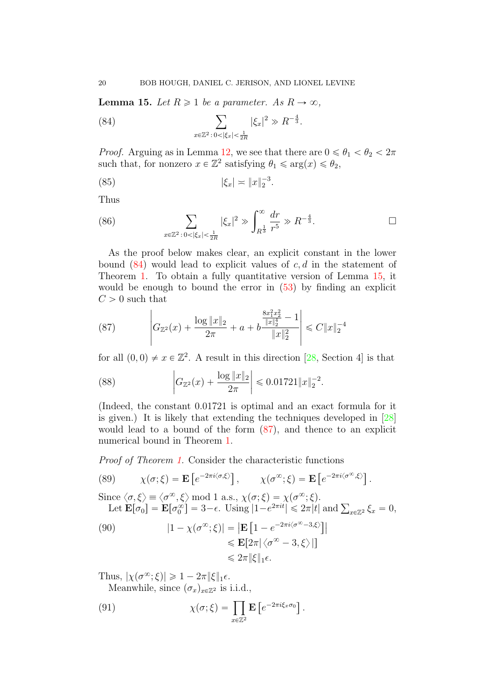<span id="page-19-0"></span>**Lemma 15.** Let  $R \geq 1$  be a parameter. As  $R \to \infty$ ,

<span id="page-19-1"></span>(84) 
$$
\sum_{x \in \mathbb{Z}^2 : 0 < |\xi_x| < \frac{1}{2R}} |\xi_x|^2 \gg R^{-\frac{4}{3}}.
$$

*Proof.* Arguing as in Lemma [12,](#page-15-2) we see that there are  $0 \le \theta_1 < \theta_2 < 2\pi$ such that, for nonzero  $x \in \mathbb{Z}^2$  satisfying  $\theta_1 \leq \arg(x) \leq \theta_2$ ,

(85) 
$$
|\xi_x| \approx \|x\|_2^{-3}.
$$

Thus

(86) 
$$
\sum_{x \in \mathbb{Z}^2 \,:\, 0 < |\xi_x| < \frac{1}{2R}} |\xi_x|^2 \gg \int_{R^{\frac{1}{3}}}^{\infty} \frac{dr}{r^5} \gg R^{-\frac{4}{3}}.
$$

As the proof below makes clear, an explicit constant in the lower bound  $(84)$  would lead to explicit values of c, d in the statement of Theorem [1.](#page-1-0) To obtain a fully quantitative version of Lemma [15,](#page-19-0) it would be enough to bound the error in [\(53\)](#page-13-2) by finding an explicit  $C > 0$  such that

<span id="page-19-2"></span>(87) 
$$
\left| G_{\mathbb{Z}^2}(x) + \frac{\log \|x\|_2}{2\pi} + a + b \frac{\frac{8x_1^2x_2^2}{\|x\|_2^4} - 1}{\|x\|_2^2} \right| \leq C \|x\|_2^{-4}
$$

for all  $(0, 0) \neq x \in \mathbb{Z}^2$ . A result in this direction [\[28,](#page-57-16) Section 4] is that

(88) 
$$
\left| G_{\mathbb{Z}^2}(x) + \frac{\log \|x\|_2}{2\pi} \right| \leqslant 0.01721 \|x\|_2^{-2}.
$$

(Indeed, the constant 0.01721 is optimal and an exact formula for it is given.) It is likely that extending the techniques developed in [\[28\]](#page-57-16) would lead to a bound of the form [\(87\)](#page-19-2), and thence to an explicit numerical bound in Theorem [1.](#page-1-0)

Proof of Theorem [1.](#page-1-0) Consider the characteristic functions " ‰ "

(89) 
$$
\chi(\sigma;\xi) = \mathbf{E}\left[e^{-2\pi i \langle \sigma,\xi \rangle}\right], \qquad \chi(\sigma^{\infty};\xi) = \mathbf{E}\left[e^{-2\pi i \langle \sigma^{\infty},\xi \rangle}\right].
$$

Since  $\langle \sigma, \xi \rangle \equiv \langle \sigma^{\infty}, \xi \rangle \text{ mod 1 a.s., } \chi(\sigma; \xi) = \chi(\sigma^{\infty}; \xi).$ nce  $\langle \sigma, \xi \rangle \equiv \langle \sigma^{\infty}, \xi \rangle$  mod 1 a.s.,  $\chi(\sigma; \xi) = \chi(\sigma^{\infty}; \xi)$ .<br>
Let  $\mathbf{E}[\sigma_0] = \mathbf{E}[\sigma_0^{\infty}] = 3 - \epsilon$ . Using  $|1 - e^{2\pi i t}| \leq 2\pi |t|$  and  $\sum_{x \in \mathbb{Z}^2} \xi_x = 0$ ,

<span id="page-19-3"></span>(90) 
$$
|1 - \chi(\sigma^{\infty}; \xi)| = |\mathbf{E} [1 - e^{-2\pi i \langle \sigma^{\infty} - 3, \xi \rangle}]|
$$

$$
\leq \mathbf{E} [2\pi |\langle \sigma^{\infty} - 3, \xi \rangle|]
$$

$$
\leq 2\pi \|\xi\|_1 \epsilon.
$$

Thus,  $|\chi(\sigma^\infty; \xi)| \geq 1 - 2\pi \|\xi\|_1 \epsilon$ .

Meanwhile, since  $(\sigma_x)_{x \in \mathbb{Z}^2}$  is i.i.d.,

(91) 
$$
\chi(\sigma;\xi) = \prod_{x \in \mathbb{Z}^2} \mathbf{E} \left[ e^{-2\pi i \xi_x \sigma_0} \right].
$$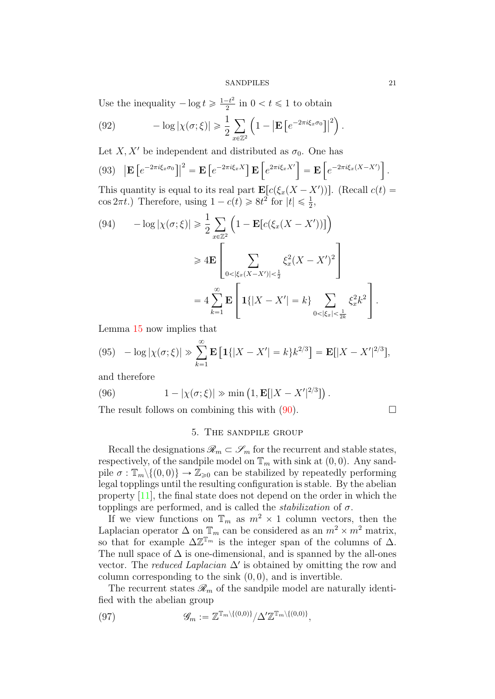Use the inequality  $-\log t \geqslant \frac{1-t^2}{2}$  $\frac{-t^2}{2}$  in  $0 < t \leq 1$  to obtain

(92) 
$$
-\log|\chi(\sigma;\xi)| \geq \frac{1}{2}\sum_{x\in\mathbb{Z}^2} \left(1 - \left|\mathbf{E}\left[e^{-2\pi i\xi_x\sigma_0}\right]\right|^2\right).
$$

Let X, X' be independent and distributed as  $\sigma_0$ . One has

(93) 
$$
\left| \mathbf{E} \left[ e^{-2\pi i \xi_x \sigma_0} \right] \right|^2 = \mathbf{E} \left[ e^{-2\pi i \xi_x X} \right] \mathbf{E} \left[ e^{2\pi i \xi_x X'} \right] = \mathbf{E} \left[ e^{-2\pi i \xi_x (X - X')} \right].
$$

This quantity is equal to its real part  $\mathbf{E}[c(\xi_x(X - X'))]$ . (Recall  $c(t)$  =  $\cos 2\pi t$ .) Therefore, using  $1 - c(t) \ge 8t^2$  for  $|t| \le \frac{1}{2}$ , ´

(94) 
$$
-\log |\chi(\sigma;\xi)| \geq \frac{1}{2} \sum_{x \in \mathbb{Z}^2} \left(1 - \mathbf{E} [c(\xi_x(X - X'))]\right)
$$

$$
\geq 4 \mathbf{E} \left[ \sum_{0 < |\xi_x(X - X')| < \frac{1}{2}} \xi_x^2 (X - X')^2 \right]
$$

$$
= 4 \sum_{k=1}^{\infty} \mathbf{E} \left[ \mathbf{1} \{ |X - X'| = k \} \sum_{0 < |\xi_x| < \frac{1}{2k}} \xi_x^2 k^2 \right].
$$

Lemma [15](#page-19-0) now implies that

(95) 
$$
-\log|\chi(\sigma;\xi)| \gg \sum_{k=1}^{\infty} \mathbf{E}\left[\mathbf{1}\{|X-X'|=k\}k^{2/3}\right] = \mathbf{E}[|X-X'|^{2/3}],
$$

and therefore

(96) 
$$
1 - |\chi(\sigma; \xi)| \gg \min (1, \mathbf{E}[|X - X'|^{2/3}]).
$$

The result follows on combining this with [\(90\)](#page-19-3).

$$
\qquad \qquad \Box
$$

## 5. The sandpile group

<span id="page-20-0"></span>Recall the designations  $\mathcal{R}_m \subset \mathcal{S}_m$  for the recurrent and stable states, respectively, of the sandpile model on  $\mathbb{T}_m$  with sink at  $(0, 0)$ . Any sandpile  $\sigma : \mathbb{T}_m \setminus \{(0, 0)\} \to \mathbb{Z}_{\geq 0}$  can be stabilized by repeatedly performing legal topplings until the resulting configuration is stable. By the abelian property [\[11\]](#page-56-0), the final state does not depend on the order in which the topplings are performed, and is called the *stabilization* of  $\sigma$ .

If we view functions on  $\mathbb{T}_m$  as  $m^2 \times 1$  column vectors, then the Laplacian operator  $\Delta$  on  $\mathbb{T}_m$  can be considered as an  $m^2 \times m^2$  matrix, so that for example  $\Delta \mathbb{Z}^{\mathbb{T}_m}$  is the integer span of the columns of  $\Delta$ . The null space of  $\Delta$  is one-dimensional, and is spanned by the all-ones vector. The *reduced Laplacian*  $\Delta'$  is obtained by omitting the row and column corresponding to the sink  $(0, 0)$ , and is invertible.

The recurrent states  $\mathcal{R}_m$  of the sandpile model are naturally identified with the abelian group

<span id="page-20-1"></span>(97) 
$$
\mathscr{G}_m := \mathbb{Z}^{\mathbb{T}_m \setminus \{(0,0)\}} / \Delta' \mathbb{Z}^{\mathbb{T}_m \setminus \{(0,0)\}},
$$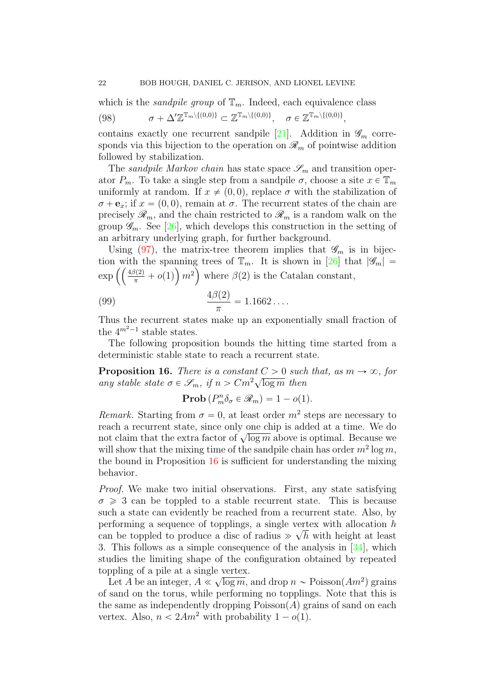which is the *sandpile group* of  $\mathbb{T}_m$ . Indeed, each equivalence class (98)  $\sigma + \Delta' \mathbb{Z}^{\mathbb{T}_m \setminus \{(0,0)\}} \subset \mathbb{Z}^{\mathbb{T}_m \setminus \{(0,0)\}}, \quad \sigma \in \mathbb{Z}^{\mathbb{T}_m \setminus \{(0,0)\}},$ 

contains exactly one recurrent sandpile [\[21\]](#page-57-17). Addition in  $\mathcal{G}_m$  corresponds via this bijection to the operation on  $\mathcal{R}_m$  of pointwise addition followed by stabilization.

The sandpile Markov chain has state space  $\mathscr{S}_m$  and transition operator  $P_m$ . To take a single step from a sandpile  $\sigma$ , choose a site  $x \in \mathbb{T}_m$ uniformly at random. If  $x \neq (0,0)$ , replace  $\sigma$  with the stabilization of  $\sigma + \mathbf{e}_x$ ; if  $x = (0, 0)$ , remain at  $\sigma$ . The recurrent states of the chain are precisely  $\mathscr{R}_m$ , and the chain restricted to  $\mathscr{R}_m$  is a random walk on the group  $\mathscr{G}_m$ . See [\[26\]](#page-57-14), which develops this construction in the setting of an arbitrary underlying graph, for further background.

Using [\(97\)](#page-20-1), the matrix-tree theorem implies that  $\mathscr{G}_m$  is in bijection with the spanning trees of  $\mathbb{T}_m$ . It is shown in [\[26\]](#page-57-14) that  $|\mathscr{G}_m|$  = tion with the spanning trees of  $\mathbb{T}_m$ . It is shown in [26] the exp  $\left( \left( \frac{4\beta(2)}{\pi} + o(1) \right) m^2 \right)$  where  $\beta(2)$  is the Catalan constant,

(99) 
$$
\frac{4\beta(2)}{\pi} = 1.1662\dots
$$

Thus the recurrent states make up an exponentially small fraction of the  $4^{m^2-1}$  stable states.

The following proposition bounds the hitting time started from a deterministic stable state to reach a recurrent state.

<span id="page-21-0"></span>**Proposition 16.** There is a constant  $C > 0$  such that, as  $m \to \infty$ , for **Proposition 10.** There is a constant  $C > 0$  such<br>any stable state  $\sigma \in \mathcal{S}_m$ , if  $n > Cm^2\sqrt{\log m}$  then

**Prob** 
$$
(P_m^n \delta_\sigma \in \mathcal{R}_m) = 1 - o(1).
$$

Remark. Starting from  $\sigma = 0$ , at least order  $m^2$  steps are necessary to reach a recurrent state, since only one chip is added at a time. We do reach a recurrent state, since only one cmp is added at a time. We do<br>not claim that the extra factor of  $\sqrt{\log m}$  above is optimal. Because we will show that the mixing time of the sandpile chain has order  $m^2 \log m$ , the bound in Proposition [16](#page-21-0) is sufficient for understanding the mixing behavior.

Proof. We make two initial observations. First, any state satisfying  $\sigma \geq 3$  can be toppled to a stable recurrent state. This is because such a state can evidently be reached from a recurrent state. Also, by performing a sequence of topplings, a single vertex with allocation  $h$ can be toppled to produce a disc of radius  $\gg \sqrt{h}$  with height at least 3. This follows as a simple consequence of the analysis in [\[34\]](#page-58-5), which studies the limiting shape of the configuration obtained by repeated toppling of a pile at a single vertex.

Let A be an integer,  $A \ll$  $\sqrt{\log m}$ , and drop  $n \sim \text{Poisson}(Am^2)$  grains of sand on the torus, while performing no topplings. Note that this is the same as independently dropping  $Poisson(A)$  grains of sand on each vertex. Also,  $n < 2Am^2$  with probability  $1 - o(1)$ .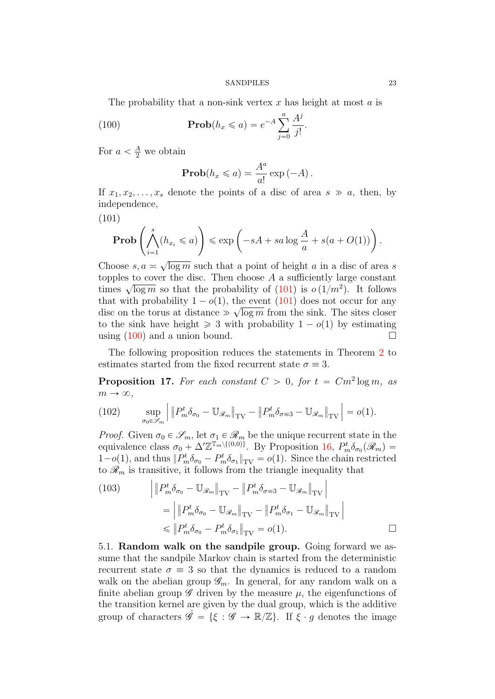The probability that a non-sink vertex  $x$  has height at most  $a$  is

(100) 
$$
\mathbf{Prob}(h_x \leq a) = e^{-A} \sum_{j=0}^{a} \frac{A^j}{j!}.
$$

For  $a < \frac{A}{2}$  we obtain

<span id="page-22-2"></span>
$$
\mathbf{Prob}(h_x \leq a) \asymp \frac{A^a}{a!} \exp(-A).
$$

If  $x_1, x_2, \ldots, x_s$  denote the points of a disc of area  $s \gg a$ , then, by independence,

<span id="page-22-1"></span>(101)

$$
\text{Prob}\left(\bigwedge_{i=1}^{s} (h_{x_i} \leq a)\right) \leq \exp\left(-sA + sa\log\frac{A}{a} + s(a + O(1))\right).
$$

Choose  $s, a \geq$  $\overline{\log m}$  such that a point of height a in a disc of area s topples to cover the disc. Then choose  $A$  a sufficiently large constant times  $\sqrt{\log m}$  so that the probability of [\(101\)](#page-22-1) is  $o(1/m^2)$ . It follows that with probability  $1 - o(1)$ , the event [\(101\)](#page-22-1) does not occur for any disc on the torus at distance  $\gg \sqrt{\log m}$  from the sink. The sites closer to the sink have height  $\geq 3$  with probability  $1 - o(1)$  by estimating using  $(100)$  and a union bound.

The following proposition reduces the statements in Theorem [2](#page-2-0) to estimates started from the fixed recurrent state  $\sigma = 3$ .

<span id="page-22-3"></span>**Proposition 17.** For each constant  $C > 0$ , for  $t = Cm^2 \log m$ , as  $m \to \infty$ ,

(102) 
$$
\sup_{\sigma_0 \in \mathscr{S}_m} \left| \left\| P_m^t \delta_{\sigma_0} - \mathbb{U}_{\mathscr{R}_m} \right\|_{\mathrm{TV}} - \left\| P_m^t \delta_{\sigma = 3} - \mathbb{U}_{\mathscr{R}_m} \right\|_{\mathrm{TV}} \right| = o(1).
$$

*Proof.* Given  $\sigma_0 \in \mathscr{S}_m$ , let  $\sigma_1 \in \mathscr{R}_m$  be the unique recurrent state in the equivalence class  $\sigma_0 + \Delta' \mathbb{Z}^{\mathbb{T}_m \setminus \{(0,0)\}}$ . By Proposition [16,](#page-21-0)  $P_m^t \delta_{\sigma_0}(\mathscr{R}_m) =$  $1-o(1)$ , and thus  $||P_m^t \delta_{\sigma_0} - P_m^t \delta_{\sigma_1}||_{TV} = o(1)$ . Since the chain restricted to  $\mathcal{R}_m$  is transitive, it follows from the triangle inequality that

(103) 
$$
\left| \| P_m^t \delta_{\sigma_0} - \mathbb{U}_{\mathscr{R}_m} \|_{\text{TV}} - \| P_m^t \delta_{\sigma \equiv 3} - \mathbb{U}_{\mathscr{R}_m} \|_{\text{TV}} \right|
$$

$$
= \left| \| P_m^t \delta_{\sigma_0} - \mathbb{U}_{\mathscr{R}_m} \|_{\text{TV}} - \| P_m^t \delta_{\sigma_1} - \mathbb{U}_{\mathscr{R}_m} \|_{\text{TV}} \right|
$$

$$
\leq \| P_m^t \delta_{\sigma_0} - P_m^t \delta_{\sigma_1} \|_{\text{TV}} = o(1).
$$

<span id="page-22-0"></span>5.1. Random walk on the sandpile group. Going forward we assume that the sandpile Markov chain is started from the deterministic recurrent state  $\sigma = 3$  so that the dynamics is reduced to a random walk on the abelian group  $\mathscr{G}_m$ . In general, for any random walk on a finite abelian group  $\mathscr G$  driven by the measure  $\mu$ , the eigenfunctions of the transition kernel are given by the dual group, which is the additive group of characters  $\hat{\mathscr{G}} = \{\xi : \mathscr{G} \to \mathbb{R}/\mathbb{Z}\}\$ . If  $\xi \cdot g$  denotes the image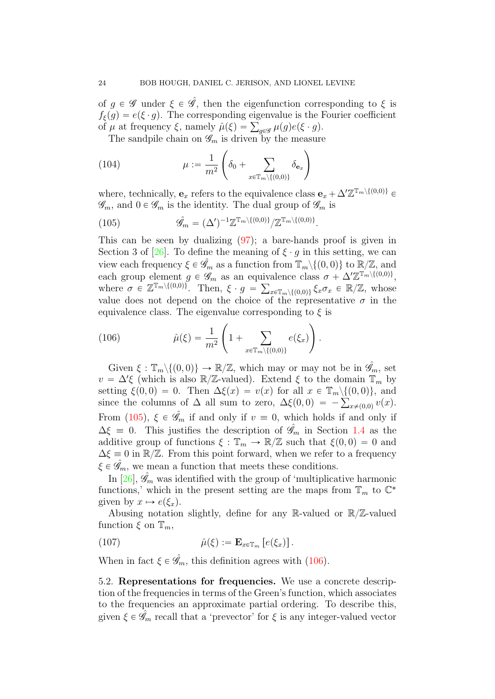of  $g \in \mathscr{G}$  under  $\xi \in \mathscr{G}$ , then the eigenfunction corresponding to  $\xi$  is  $f_{\xi}(g) = e(\xi \cdot g)$ . The corresponding eigenvalue is the Fourier coefficient  $f_{\xi}(g) = e(\xi \cdot g)$ . The corresponding eigenvalue is the l<br>of  $\mu$  at frequency  $\xi$ , namely  $\hat{\mu}(\xi) = \sum_{g \in \mathscr{G}} \mu(g) e(\xi \cdot g)$ .

The sandpile chain on  $\mathcal{G}_m$  is driven by the measure

(104) 
$$
\mu := \frac{1}{m^2} \left( \delta_0 + \sum_{x \in \mathbb{T}_m \setminus \{(0,0)\}} \delta_{\mathbf{e}_x} \right)
$$

where, technically,  $\mathbf{e}_x$  refers to the equivalence class  $\mathbf{e}_x + \Delta' \mathbb{Z}^{\mathbb{T}_m \setminus \{(0,0)\}} \in$  $\mathscr{G}_m$ , and  $0 \in \mathscr{G}_m$  is the identity. The dual group of  $\mathscr{G}_m$  is

<span id="page-23-1"></span>(105) 
$$
\hat{\mathscr{G}}_m = (\Delta')^{-1} \mathbb{Z}^{\mathbb{T}_m \setminus \{(0,0)\}} / \mathbb{Z}^{\mathbb{T}_m \setminus \{(0,0)\}}.
$$

This can be seen by dualizing [\(97\)](#page-20-1); a bare-hands proof is given in Section 3 of [\[26\]](#page-57-14). To define the meaning of  $\xi \cdot g$  in this setting, we can view each frequency  $\xi \in \hat{\mathscr{G}}_m$  as a function from  $\mathbb{T}_m \setminus \{(0,0)\}$  to  $\mathbb{R}/\mathbb{Z}$ , and each group element  $g \in \mathscr{G}_m$  as an equivalence class  $\sigma + \Delta' \mathbb{Z}^{\mathbb{T}_m \setminus \{(0,0)\}},$ where  $\sigma \in \mathbb{Z}^{\mathbb{T}_m \setminus \{(0,0)\}}$ . Then,  $\xi \cdot g = \sum_{x \in \mathbb{T}_m \setminus \{(0,0)\}} \xi_x \sigma_x \in \mathbb{R}/\mathbb{Z}$ , whose value does not depend on the choice of the representative  $\sigma$  in the equivalence class. The eigenvalue corresponding to  $\xi$  is

<span id="page-23-2"></span>(106) 
$$
\hat{\mu}(\xi) = \frac{1}{m^2} \left( 1 + \sum_{x \in \mathbb{T}_m \setminus \{(0,0)\}} e(\xi_x) \right).
$$

Given  $\xi : \mathbb{T}_m \setminus \{(0, 0)\} \to \mathbb{R}/\mathbb{Z}$ , which may or may not be in  $\hat{\mathscr{G}}_m$ , set  $v = \Delta' \xi$  (which is also  $\mathbb{R}/\mathbb{Z}$ -valued). Extend  $\xi$  to the domain  $\mathbb{T}_m$  by setting  $\xi(0, 0) = 0$ . Then  $\Delta \xi(x) = v(x)$  for all  $x \in \mathbb{T}_m \setminus \{(0, 0)\},$  and setting  $\xi(0,0) = 0$ . Then  $\Delta \xi(x) = v(x)$  for all  $x \in \mathbb{T}_m \setminus \{(0,0)\}$ , and since the columns of  $\Delta$  all sum to zero,  $\Delta \xi(0,0) = -\sum_{x \neq (0,0)} v(x)$ . From [\(105\)](#page-23-1),  $\xi \in \hat{\mathscr{G}}_m$  if and only if  $v \equiv 0$ , which holds if and only if  $\Delta \xi = 0$ . This justifies the description of  $\hat{\mathscr{G}}_m$  in Section [1.4](#page-3-4) as the additive group of functions  $\xi : \mathbb{T}_m \to \mathbb{R}/\mathbb{Z}$  such that  $\xi(0, 0) = 0$  and  $\Delta \xi \equiv 0$  in  $\mathbb{R}/\mathbb{Z}$ . From this point forward, when we refer to a frequency  $\xi \in \hat{\mathscr{G}}_m$ , we mean a function that meets these conditions.

In  $[26]$ ,  $\mathscr{G}_m$  was identified with the group of 'multiplicative harmonic functions,' which in the present setting are the maps from  $\mathbb{T}_m$  to  $\mathbb{C}^*$ given by  $x \mapsto e(\xi_x)$ .

Abusing notation slightly, define for any R-valued or  $\mathbb{R}/\mathbb{Z}$ -valued function  $\xi$  on  $\mathbb{T}_m$ ,

(107) 
$$
\hat{\mu}(\xi) := \mathbf{E}_{x \in \mathbb{T}_m} \left[ e(\xi_x) \right].
$$

When in fact  $\xi \in \hat{\mathscr{G}}_m$ , this definition agrees with [\(106\)](#page-23-2).

<span id="page-23-0"></span>5.2. Representations for frequencies. We use a concrete description of the frequencies in terms of the Green's function, which associates to the frequencies an approximate partial ordering. To describe this, given  $\xi \in \mathscr{G}_m$  recall that a 'prevector' for  $\xi$  is any integer-valued vector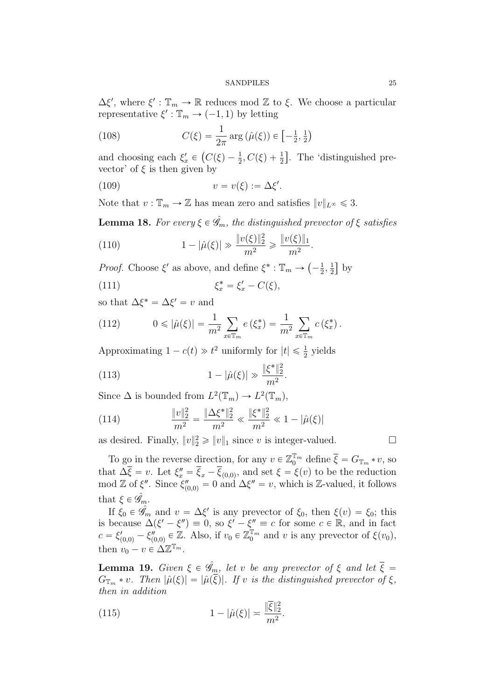$\Delta \xi'$ , where  $\xi' : \mathbb{T}_m \to \mathbb{R}$  reduces mod  $\mathbb{Z}$  to  $\xi$ . We choose a particular representative  $\xi': \mathbb{T}_m \to (-1, 1)$  by letting

(108) 
$$
C(\xi) = \frac{1}{2\pi} \arg \left( \hat{\mu}(\xi) \right) \in \left[ -\frac{1}{2}, \frac{1}{2} \right)
$$

and choosing each  $\xi'_x \in (C(\xi) - \frac{1}{2}, C(\xi) + \frac{1}{2}]$ . The 'distinguished prevector' of  $\xi$  is then given by

(109) 
$$
v = v(\xi) := \Delta \xi'.
$$

Note that  $v : \mathbb{T}_m \to \mathbb{Z}$  has mean zero and satisfies  $||v||_{L^{\infty}} \leq 3$ .

<span id="page-24-1"></span>**Lemma 18.** For every  $\xi \in \hat{\mathscr{G}}_m$ , the distinguished prevector of  $\xi$  satisfies

(110) 
$$
1 - |\hat{\mu}(\xi)| \gg \frac{\|v(\xi)\|_2^2}{m^2} \ge \frac{\|v(\xi)\|_1}{m^2}.
$$

*Proof.* Choose  $\xi'$  as above, and define  $\xi^* : \mathbb{T}_m \to$  $-\frac{1}{2}$  $\frac{1}{2}, \frac{1}{2}$ 2 ‰ by

$$
\xi_x^* = \xi_x' - C(\xi),
$$

so that  $\Delta \xi^* = \Delta \xi' = v$  and

(112) 
$$
0 \leq |\hat{\mu}(\xi)| = \frac{1}{m^2} \sum_{x \in \mathbb{T}_m} e(\xi_x^*) = \frac{1}{m^2} \sum_{x \in \mathbb{T}_m} c(\xi_x^*).
$$

Approximating  $1 - c(t) \gg t^2$  uniformly for  $|t| \leq \frac{1}{2}$  yields

(113) 
$$
1 - |\hat{\mu}(\xi)| \gg \frac{\|\xi^*\|_2^2}{m^2}
$$

Since  $\Delta$  is bounded from  $L^2(\mathbb{T}_m) \to L^2(\mathbb{T}_m)$ ,

(114) 
$$
\frac{\|v\|_2^2}{m^2} = \frac{\|\Delta \xi^*\|_2^2}{m^2} \ll \frac{\|\xi^*\|_2^2}{m^2} \ll 1 - |\hat{\mu}(\xi)|
$$

as desired. Finally,  $||v||_2^2 \ge ||v||_1$  since v is integer-valued.

To go in the reverse direction, for any  $v \in \mathbb{Z}_0^{\mathbb{T}_m}$  define  $\overline{\xi} = G_{\mathbb{T}_m} * v$ , so that  $\Delta \overline{\xi} = v$ . Let  $\xi''_x = \overline{\xi}_x - \overline{\xi}_{(0,0)}$ , and set  $\xi = \xi(v)$  to be the reduction mod Z of  $\xi''$ . Since  $\xi''_{(0,0)} = 0$  and  $\Delta \xi'' = v$ , which is Z-valued, it follows that  $\xi \in \hat{\mathscr{G}}_m$ .

<span id="page-24-2"></span>.

If  $\xi_0 \in \hat{\mathscr{G}}_m$  and  $v = \Delta \xi'$  is any prevector of  $\xi_0$ , then  $\xi(v) = \xi_0$ ; this is because  $\Delta(\xi' - \xi'') \equiv 0$ , so  $\xi' - \xi'' \equiv c$  for some  $c \in \mathbb{R}$ , and in fact  $c = \xi'_{(0,0)} - \xi''_{(0,0)} \in \mathbb{Z}$ . Also, if  $v_0 \in \mathbb{Z}_0^{\mathbb{T}_m}$  and v is any prevector of  $\xi(v_0)$ , then  $v_0 - v \in \Delta \mathbb{Z}^{\mathbb{T}_m}$ .

<span id="page-24-3"></span>**Lemma 19.** Given  $\xi \in \hat{\mathscr{G}}_m$ , let v be any prevector of  $\xi$  and let  $\overline{\xi}$  =  $G_{\mathbb{T}_m} * v$ . Then  $|\hat{\mu}(\xi)| = |\hat{\mu}(\overline{\xi})|$ . If v is the distinguished prevector of  $\xi$ , then in addition

<span id="page-24-0"></span>(115) 
$$
1 - |\hat{\mu}(\xi)| \approx \frac{\|\overline{\xi}\|_2^2}{m^2}.
$$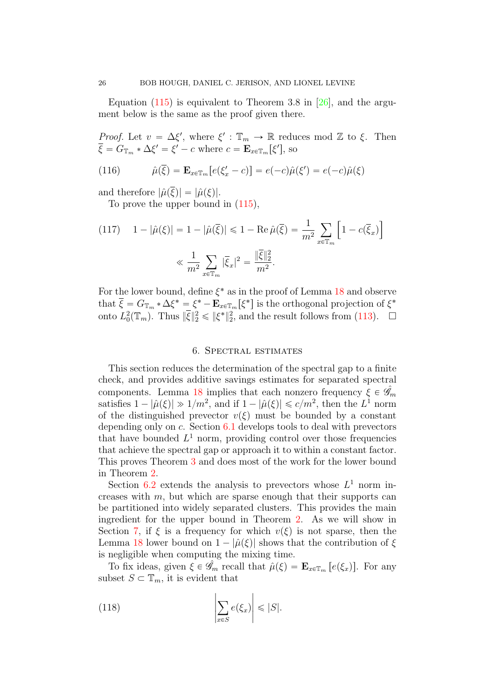Equation  $(115)$  is equivalent to Theorem 3.8 in [\[26\]](#page-57-14), and the argument below is the same as the proof given there.

*Proof.* Let  $v = \Delta \xi'$ , where  $\xi' : \mathbb{T}_m \to \mathbb{R}$  reduces mod  $\mathbb{Z}$  to  $\xi$ . Then  $\xi = G_{\mathbb{T}_m} * \Delta \xi' = \xi' - c$  where  $c = \mathbf{E}_{x \in \mathbb{T}_m}[\xi'],$  so

(116) 
$$
\hat{\mu}(\overline{\xi}) = \mathbf{E}_{x \in \mathbb{T}_m} [e(\xi_x' - c)] = e(-c)\hat{\mu}(\xi') = e(-c)\hat{\mu}(\xi)
$$

and therefore  $|\hat{\mu}(\overline{\xi})| = |\hat{\mu}(\xi)|$ .

To prove the upper bound in [\(115\)](#page-24-0),

(117) 
$$
1 - |\hat{\mu}(\xi)| = 1 - |\hat{\mu}(\overline{\xi})| \le 1 - \text{Re}\,\hat{\mu}(\overline{\xi}) = \frac{1}{m^2} \sum_{x \in \mathbb{T}_m} \left[ 1 - c(\overline{\xi}_x) \right]
$$

$$
\ll \frac{1}{m^2} \sum_{x \in \mathbb{T}_m} |\overline{\xi}_x|^2 = \frac{\|\overline{\xi}\|_2^2}{m^2}.
$$

For the lower bound, define  $\xi^*$  as in the proof of Lemma [18](#page-24-1) and observe that  $\overline{\xi} = G_{\mathbb{T}_m} * \Delta \xi^* = \xi^* - \mathbf{E}_{x \in \mathbb{T}_m} [\xi^*]$  is the orthogonal projection of  $\xi^*$ onto  $L_0^2(\mathbb{T}_m)$ . Thus  $\|\overline{\xi}\|_2^2 \leq \|\xi^*\|_2^2$ , and the result follows from [\(113\)](#page-24-2).  $\Box$ 

## 6. Spectral estimates

<span id="page-25-0"></span>This section reduces the determination of the spectral gap to a finite check, and provides additive savings estimates for separated spectral components. Lemma [18](#page-24-1) implies that each nonzero frequency  $\xi \in \hat{\mathscr{G}}_m$ satisfies  $1 - |\hat{\mu}(\xi)| \gg 1/m^2$ , and if  $1 - |\hat{\mu}(\xi)| \leq c/m^2$ , then the  $L^1$  norm of the distinguished prevector  $v(\xi)$  must be bounded by a constant depending only on  $c$ . Section  $6.1$  develops tools to deal with prevectors that have bounded  $L^1$  norm, providing control over those frequencies that achieve the spectral gap or approach it to within a constant factor. This proves Theorem [3](#page-2-1) and does most of the work for the lower bound in Theorem [2.](#page-2-0)

Section [6.2](#page-37-0) extends the analysis to prevectors whose  $L^1$  norm increases with m, but which are sparse enough that their supports can be partitioned into widely separated clusters. This provides the main ingredient for the upper bound in Theorem [2.](#page-2-0) As we will show in Section [7,](#page-42-1) if  $\xi$  is a frequency for which  $v(\xi)$  is not sparse, then the Lemma [18](#page-24-1) lower bound on  $1 - |\hat{\mu}(\xi)|$  shows that the contribution of  $\xi$ is negligible when computing the mixing time.

To fix ideas, given  $\xi \in \hat{\mathscr{G}}_m$  recall that  $\hat{\mu}(\xi) = \mathbf{E}_{x \in \mathbb{T}_m} [e(\xi_x)].$  For any subset  $S \subset \mathbb{T}_m$ , it is evident that

(118) 
$$
\left|\sum_{x \in S} e(\xi_x)\right| \leq |S|.
$$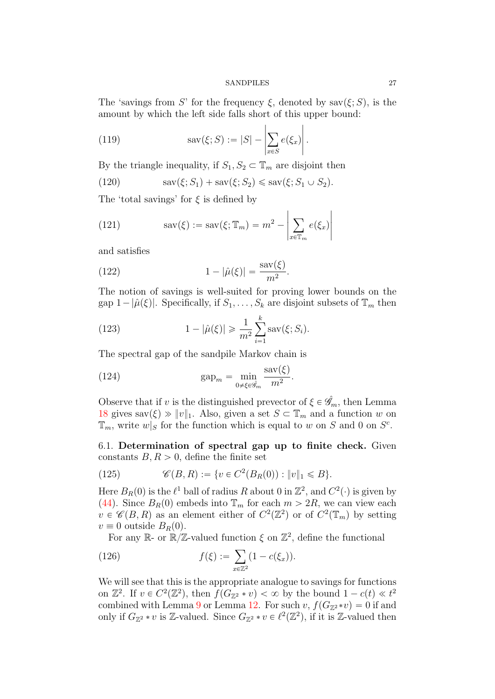The 'savings from S' for the frequency  $\xi$ , denoted by sav $(\xi; S)$ , is the amount by which the left side falls short of this upper bound:

<span id="page-26-1"></span>(119) 
$$
\operatorname{sav}(\xi;S) := |S| - \left| \sum_{x \in S} e(\xi_x) \right|.
$$

By the triangle inequality, if  $S_1, S_2 \subset \mathbb{T}_m$  are disjoint then

(120) 
$$
sav(\xi; S_1) + sav(\xi; S_2) \leq sav(\xi; S_1 \cup S_2).
$$

The 'total savings' for  $\xi$  is defined by

<span id="page-26-2"></span>(121) 
$$
sav(\xi) := sav(\xi; \mathbb{T}_m) = m^2 - \left| \sum_{x \in \mathbb{T}_m} e(\xi_x) \right|
$$

and satisfies

(122) 
$$
1 - |\hat{\mu}(\xi)| = \frac{\text{sav}(\xi)}{m^2}.
$$

The notion of savings is well-suited for proving lower bounds on the gap  $1 - |\hat{\mu}(\xi)|$ . Specifically, if  $S_1, \ldots, S_k$  are disjoint subsets of  $\mathbb{T}_m$  then

(123) 
$$
1 - |\hat{\mu}(\xi)| \ge \frac{1}{m^2} \sum_{i=1}^k \text{sav}(\xi; S_i).
$$

The spectral gap of the sandpile Markov chain is

(124) 
$$
\text{gap}_m = \min_{0 \neq \xi \in \hat{\mathscr{G}}_m} \frac{\text{sav}(\xi)}{m^2}.
$$

Observe that if v is the distinguished prevector of  $\xi \in \hat{\mathscr{G}}_m$ , then Lemma [18](#page-24-1) gives sav $(\xi) \gg ||v||_1$ . Also, given a set  $S \subset \mathbb{T}_m$  and a function w on  $\mathbb{T}_m$ , write  $w|_S$  for the function which is equal to w on S and 0 on  $S^c$ .

<span id="page-26-0"></span>6.1. Determination of spectral gap up to finite check. Given constants  $B, R > 0$ , define the finite set

(125) 
$$
\mathscr{C}(B,R) := \{ v \in C^2(B_R(0)) : ||v||_1 \le B \}.
$$

Here  $B_R(0)$  is the  $\ell^1$  ball of radius R about 0 in  $\mathbb{Z}^2$ , and  $C^2(\cdot)$  is given by [\(44\)](#page-12-3). Since  $B_R(0)$  embeds into  $\mathbb{T}_m$  for each  $m > 2R$ , we can view each  $v \in \mathscr{C}(B, R)$  as an element either of  $C^2(\mathbb{Z}^2)$  or of  $C^2(\mathbb{T}_m)$  by setting  $v \equiv 0$  outside  $B_R(0)$ .

For any  $\mathbb{R}$ - or  $\mathbb{R}/\mathbb{Z}$ -valued function  $\xi$  on  $\mathbb{Z}^2$ , define the functional  $\ddot{\ }$ 

(126) 
$$
f(\xi) := \sum_{x \in \mathbb{Z}^2} (1 - c(\xi_x)).
$$

We will see that this is the appropriate analogue to savings for functions on  $\mathbb{Z}^2$ . If  $v \in C^2(\mathbb{Z}^2)$ , then  $f(G_{\mathbb{Z}^2} * v) < \infty$  by the bound  $1 - c(t) \ll t^2$ combined with Lemma [9](#page-14-2) or Lemma [12.](#page-15-2) For such v,  $f(G_{\mathbb{Z}^2} *v)=0$  if and only if  $G_{\mathbb{Z}^2} * v$  is Z-valued. Since  $G_{\mathbb{Z}^2} * v \in \ell^2(\mathbb{Z}^2)$ , if it is Z-valued then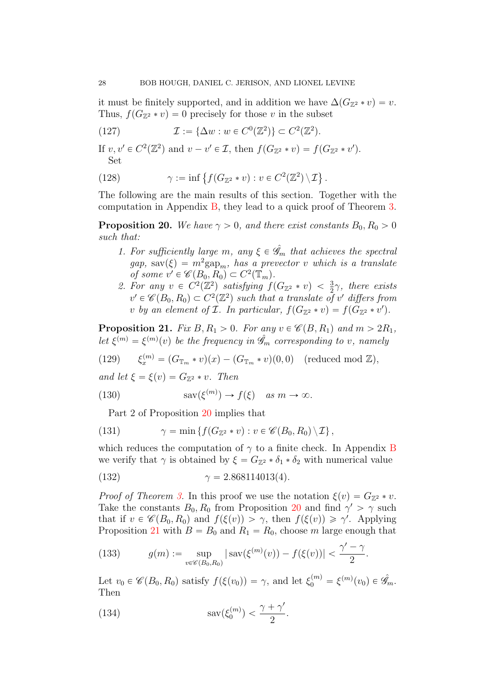it must be finitely supported, and in addition we have  $\Delta(G_{\mathbb{Z}^2} * v) = v$ . Thus,  $f(G_{\mathbb{Z}^2} * v) = 0$  precisely for those v in the subset

(127) 
$$
\mathcal{I} := {\Delta w : w \in C^0(\mathbb{Z}^2)} \subset C^2(\mathbb{Z}^2).
$$

If  $v, v' \in C^2(\mathbb{Z}^2)$  and  $v - v' \in \mathcal{I}$ , then  $f(G_{\mathbb{Z}^2} * v) = f(G_{\mathbb{Z}^2} * v')$ . Set (

(128) 
$$
\gamma := \inf \left\{ f(G_{\mathbb{Z}^2} * v) : v \in C^2(\mathbb{Z}^2) \setminus \mathcal{I} \right\}.
$$

The following are the main results of this section. Together with the computation in Appendix [B,](#page-53-0) they lead to a quick proof of Theorem [3.](#page-2-1)

<span id="page-27-0"></span>**Proposition 20.** We have  $\gamma > 0$ , and there exist constants  $B_0, R_0 > 0$ such that:

- 1. For sufficiently large m, any  $\xi \in \hat{\mathscr{G}}_m$  that achieves the spectral  $gap, \text{ sav}(\xi) = m^2 \text{gap}_m$ , has a prevector v which is a translate of some  $v' \in \mathscr{C}(B_0, R_0) \subset C^2(\mathbb{T}_m)$ .
- 2. For any  $v \in C^2(\mathbb{Z}^2)$  satisfying  $f(G_{\mathbb{Z}^2} * v) < \frac{3}{2}\gamma$ , there exists  $v' \in \mathscr{C}(B_0, R_0) \subset C^2(\mathbb{Z}^2)$  such that a translate of v' differs from v by an element of  $\mathcal I$ . In particular,  $f(G_{\mathbb{Z}^2} * v) = f(G_{\mathbb{Z}^2} * v')$ .

<span id="page-27-1"></span>**Proposition 21.** Fix  $B, R_1 > 0$ . For any  $v \in \mathcal{C}(B, R_1)$  and  $m > 2R_1$ , let  $\xi^{(m)} = \xi^{(m)}(v)$  be the frequency in  $\hat{\mathscr{G}}_m$  corresponding to v, namely

(129) 
$$
\xi_x^{(m)} = (G_{\mathbb{T}_m} * v)(x) - (G_{\mathbb{T}_m} * v)(0,0) \quad (\text{reduced mod } \mathbb{Z}),
$$

and let  $\xi = \xi(v) = G_{\mathbb{Z}^2} * v$ . Then

(130) 
$$
\operatorname{sav}(\xi^{(m)}) \to f(\xi) \quad as \; m \to \infty.
$$

Part 2 of Proposition [20](#page-27-0) implies that

(131) 
$$
\gamma = \min \left\{ f(G_{\mathbb{Z}^2} * v) : v \in \mathscr{C}(B_0, R_0) \setminus \mathcal{I} \right\},
$$

which reduces the computation of  $\gamma$  to a finite check. In Appendix [B](#page-53-0) we verify that  $\gamma$  is obtained by  $\xi = G_{\mathbb{Z}^2} * \delta_1 * \delta_2$  with numerical value

<span id="page-27-2"></span>(132) 
$$
\gamma = 2.868114013(4).
$$

*Proof of Theorem [3.](#page-2-1)* In this proof we use the notation  $\xi(v) = G_{\mathbb{Z}^2} * v$ . Take the constants  $B_0, R_0$  from Proposition [20](#page-27-0) and find  $\gamma' > \gamma$  such that if  $v \in \mathscr{C}(B_0, R_0)$  and  $f(\xi(v)) > \gamma$ , then  $f(\xi(v)) \geq \gamma'$ . Applying Proposition [21](#page-27-1) with  $B = B_0$  and  $R_1 = R_0$ , choose m large enough that

(133) 
$$
g(m) := \sup_{v \in \mathscr{C}(B_0, R_0)} |\operatorname{sav}(\xi^{(m)}(v)) - f(\xi(v))| < \frac{\gamma' - \gamma}{2}.
$$

Let  $v_0 \in \mathscr{C}(B_0, R_0)$  satisfy  $f(\xi(v_0)) = \gamma$ , and let  $\xi_0^{(m)} = \xi^{(m)}(v_0) \in \hat{\mathscr{G}}_m$ . Then

(134) 
$$
\operatorname{sav}(\xi_0^{(m)}) < \frac{\gamma + \gamma'}{2}.
$$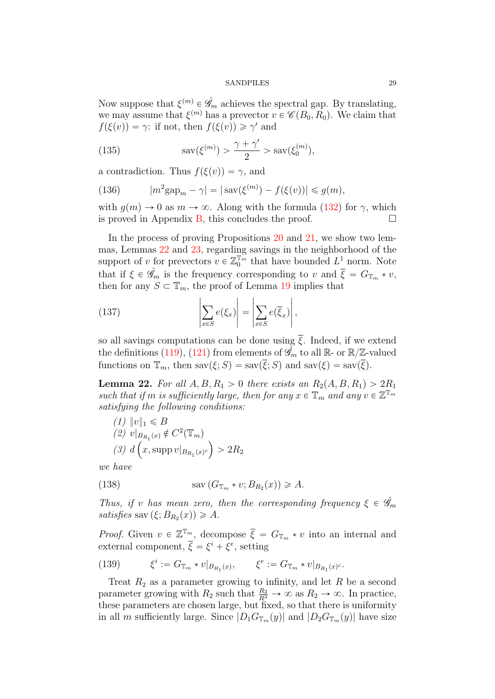Now suppose that  $\xi^{(m)} \in \hat{\mathscr{G}}_m$  achieves the spectral gap. By translating, we may assume that  $\xi^{(m)}$  has a prevector  $v \in \mathscr{C}(B_0, R_0)$ . We claim that  $f(\xi(v)) = \gamma$ : if not, then  $f(\xi(v)) \geq \gamma'$  and

(135) 
$$
\operatorname{sav}(\xi^{(m)}) > \frac{\gamma + \gamma'}{2} > \operatorname{sav}(\xi_0^{(m)}),
$$

a contradiction. Thus  $f(\xi(v)) = \gamma$ , and

(136) 
$$
|m^2 \text{gap}_m - \gamma| = |\text{sav}(\xi^{(m)}) - f(\xi(v))| \leq g(m),
$$

with  $q(m) \to 0$  as  $m \to \infty$ . Along with the formula [\(132\)](#page-27-2) for  $\gamma$ , which is proved in Appendix [B,](#page-53-0) this concludes the proof.  $\Box$ 

In the process of proving Propositions [20](#page-27-0) and [21,](#page-27-1) we show two lemmas, Lemmas [22](#page-28-0) and [23,](#page-31-0) regarding savings in the neighborhood of the support of v for prevectors  $v \in \mathbb{Z}_0^{\mathbb{T}_m}$  that have bounded  $L^1$  norm. Note that if  $\xi \in \hat{\mathscr{G}}_m$  is the frequency corresponding to v and  $\overline{\xi} = G_{\mathbb{T}_m} * v$ , then for any  $S \subset \mathbb{T}_m$ , the proof of Lemma [19](#page-24-3) implies that

(137) 
$$
\left| \sum_{x \in S} e(\xi_x) \right| = \left| \sum_{x \in S} e(\overline{\xi}_x) \right|,
$$

so all savings computations can be done using  $\overline{\xi}$ . Indeed, if we extend the definitions [\(119\)](#page-26-1), [\(121\)](#page-26-2) from elements of  $\hat{\mathscr{G}}_m$  to all  $\mathbb{R}$ - or  $\mathbb{R}/\mathbb{Z}$ -valued functions on  $\mathbb{T}_m$ , then  $\text{sav}(\xi; S) = \text{sav}(\overline{\xi}; S)$  and  $\text{sav}(\xi) = \text{sav}(\overline{\xi})$ .

<span id="page-28-0"></span>**Lemma 22.** For all  $A, B, R_1 > 0$  there exists an  $R_2(A, B, R_1) > 2R_1$ such that if m is sufficiently large, then for any  $x \in \mathbb{T}_m$  and any  $v \in \mathbb{Z}^{\mathbb{T}_m}$ satisfying the following conditions:

 $(1)$   $||v||_1 \le B$ (2)  $v|_{B_{R_1}(x)} \notin C^2(\mathbb{T}_m)$ (3) d  $\overline{B}$ x, supp  $v|_{B_{R_1}(x)^c}$ on a construction of the construction of the construction of the construction of the construction of the construction of the construction of the construction of the construction of the construction of the construction of  $> 2R_2$ 

we have

(138) 
$$
\operatorname{sav} (G_{\mathbb{T}_m} * v; B_{R_2}(x)) \geq A.
$$

Thus, if v has mean zero, then the corresponding frequency  $\xi \in \hat{\mathscr{G}}_m$ satisfies sav  $(\xi; B_{R_2}(x)) \geq A$ .

*Proof.* Given  $v \in \mathbb{Z}^{\mathbb{T}_m}$ , decompose  $\overline{\xi} = G_{\mathbb{T}_m} * v$  into an internal and external component,  $\overline{\xi} = \xi^i + \xi^e$ , setting

(139) 
$$
\xi^i := G_{\mathbb{T}_m} * v|_{B_{R_1}(x)}, \qquad \xi^e := G_{\mathbb{T}_m} * v|_{B_{R_1}(x)^c}.
$$

Treat  $R_2$  as a parameter growing to infinity, and let  $R$  be a second parameter growing with  $R_2$  such that  $\frac{R_2}{R^3} \to \infty$  as  $R_2 \to \infty$ . In practice, these parameters are chosen large, but fixed, so that there is uniformity in all m sufficiently large. Since  $|D_1G_{\mathbb{T}_m}(y)|$  and  $|D_2G_{\mathbb{T}_m}(y)|$  have size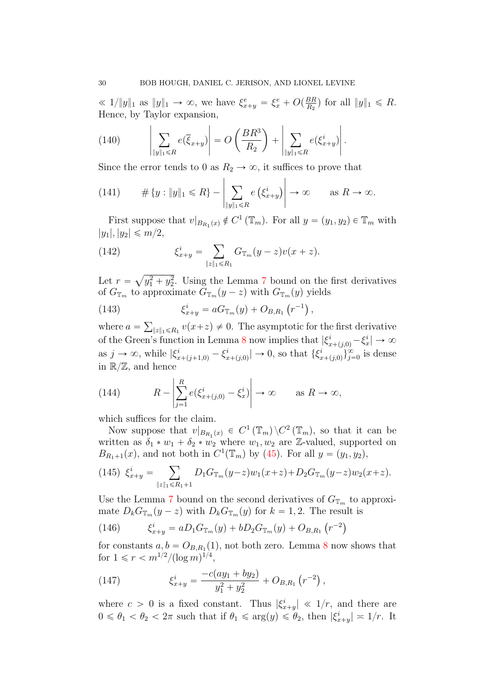« 1/||y||1 as ||y||1 → ∞, we have  $\xi_{x+y}^e = \xi_x^e + O(\frac{BR}{R_2})$  $\frac{BR}{R_2}$ ) for all  $||y||_1 \le R$ . Hence, by Taylor expansion,

<span id="page-29-2"></span>(140) 
$$
\left|\sum_{\|y\|_1\leq R}e(\overline{\xi}_{x+y})\right|=O\left(\frac{BR^3}{R_2}\right)+\left|\sum_{\|y\|_1\leq R}e(\xi_{x+y}^i)\right|.
$$

Since the error tends to 0 as  $R_2 \to \infty$ , it suffices to prove that

(141) 
$$
\# \{y : \|y\|_1 \le R\} - \left| \sum_{\|y\|_1 \le R} e \left( \xi_{x+y}^i \right) \right| \to \infty \quad \text{as } R \to \infty.
$$

First suppose that  $v|_{B_{R_1}(x)} \notin C^1(\mathbb{T}_m)$ . For all  $y = (y_1, y_2) \in \mathbb{T}_m$  with  $|y_1|, |y_2| \leq m/2,$ 

(142) 
$$
\xi_{x+y}^i = \sum_{\|z\|_1 \le R_1} G_{\mathbb{T}_m}(y-z)v(x+z).
$$

Let  $r = \sqrt{y_1^2 + y_2^2}$ . Using the Lemma [7](#page-14-0) bound on the first derivatives of  $G_{\mathbb{T}_m}$  to approximate  $G_{\mathbb{T}_m}(y-z)$  with  $G_{\mathbb{T}_m}(y)$  yields

(143) 
$$
\xi_{x+y}^i = aG_{\mathbb{T}_m}(y) + O_{B,R_1}(r^{-1}),
$$

where  $a =$  $||z||_1 \le R_1 v(x+z) \ne 0$ . The asymptotic for the first derivative of the Green's function in Lemma [8](#page-14-1) now implies that  $|\xi^i_{x+(j,0)} - \xi^i_x| \to \infty$ as  $j \to \infty$ , while  $|\xi_{x+(j+1,0)}^i - \xi_x^i|$  $\left|\sum_{x+(j,0)}^{i}\right| \to 0$ , so that  $\{\xi_n^i\}$  $\{x_{(j,0)}^{i}\}_{j=0}^{\infty}$  is dense in  $\mathbb{R}/\mathbb{Z}$ , and hence

(144) 
$$
R - \left| \sum_{j=1}^{R} e(\xi_{x+(j,0)}^{i} - \xi_{x}^{i}) \right| \to \infty \quad \text{as } R \to \infty,
$$

which suffices for the claim.

Now suppose that  $v|_{B_{R_1}(x)} \in C^1(\mathbb{T}_m) \setminus C^2(\mathbb{T}_m)$ , so that it can be written as  $\delta_1 * w_1 + \delta_2 * w_2$  where  $w_1, w_2$  are Z-valued, supported on  $B_{R_1+1}(x)$ , and not both in  $C^1(\mathbb{T}_m)$  by [\(45\)](#page-12-2). For all  $y = (y_1, y_2)$ ,

<span id="page-29-0"></span>
$$
(145)\ \xi_{x+y}^i = \sum_{\|z\|_1 \le R_1 + 1} D_1 G_{\mathbb{T}_m}(y-z) w_1(x+z) + D_2 G_{\mathbb{T}_m}(y-z) w_2(x+z).
$$

Use the Lemma [7](#page-14-0) bound on the second derivatives of  $G_{\mathbb{T}_m}$  to approximate  $D_k G_{\mathbb{T}_m}(y-z)$  with  $D_k G_{\mathbb{T}_m}(y)$  for  $k = 1, 2$ . The result is

<span id="page-29-1"></span>(146) 
$$
\xi_{x+y}^i = aD_1 G_{\mathbb{T}_m}(y) + bD_2 G_{\mathbb{T}_m}(y) + O_{B,R_1}(r^{-2})
$$

for constants  $a, b = O_{B,R_1}(1)$ , not both zero. Lemma [8](#page-14-1) now shows that for  $1 \leqslant r < m^{1/2} / (\log m)^{1/4},$ 

(147) 
$$
\xi_{x+y}^i = \frac{-c(ay_1 + by_2)}{y_1^2 + y_2^2} + O_{B,R_1}(r^{-2}),
$$

where  $c > 0$  is a fixed constant. Thus  $|\xi_{x+y}^i| \ll 1/r$ , and there are  $0 \le \theta_1 < \theta_2 < 2\pi$  such that if  $\theta_1 \le \arg(y) \le \theta_2$ , then  $|\xi_{x+y}^i| = 1/r$ . It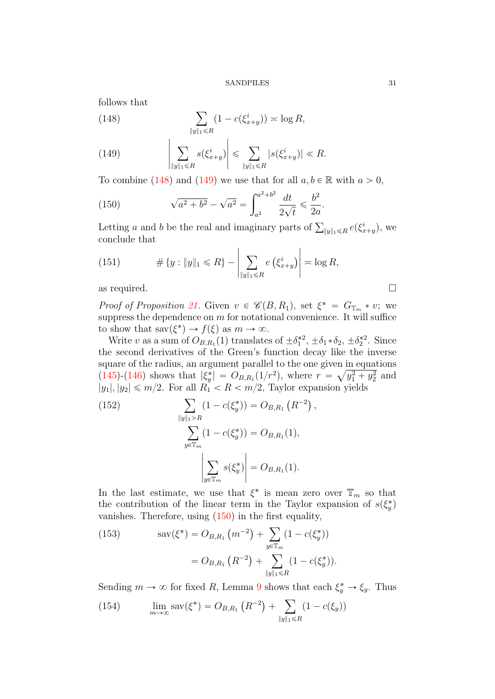follows that

<span id="page-30-0"></span>(148) 
$$
\sum_{\|y\|_1 \le R} (1 - c(\xi_{x+y}^i)) \approx \log R,
$$

<span id="page-30-1"></span>(149) 
$$
\left|\sum_{\|y\|_1\leq R} s(\xi_{x+y}^i)\right| \leq \sum_{\|y\|_1\leq R} |s(\xi_{x+y}^i)| \ll R.
$$

To combine [\(148\)](#page-30-0) and [\(149\)](#page-30-1) we use that for all  $a, b \in \mathbb{R}$  with  $a > 0$ ,

<span id="page-30-2"></span>(150) 
$$
\sqrt{a^2 + b^2} - \sqrt{a^2} = \int_{a^2}^{a^2 + b^2} \frac{dt}{2\sqrt{t}} \le \frac{b^2}{2a}.
$$

Letting a and b be the real and imaginary parts of  $\sum_{\|y\|_1 \leq R} e(\xi_{x+y}^i)$ , we conclude that

(151) 
$$
\# \{y : \|y\|_1 \le R\} - \left| \sum_{\|y\|_1 \le R} e \left( \xi_{x+y}^i \right) \right| \asymp \log R,
$$

as required.  $\Box$ 

*Proof of Proposition [21.](#page-27-1)* Given  $v \in \mathscr{C}(B, R_1)$ , set  $\xi^* = G_{\mathbb{T}_m} * v$ ; we suppress the dependence on  $m$  for notational convenience. It will suffice to show that  $\text{sav}(\xi^*) \to f(\xi)$  as  $m \to \infty$ .

Write v as a sum of  $O_{B,R_1}(1)$  translates of  $\pm \delta_1^{*2}$ ,  $\pm \delta_1 \cdot \delta_2$ ,  $\pm \delta_2^{*2}$ . Since the second derivatives of the Green's function decay like the inverse square of the radius, an argument parallel to the one given in equations [\(145\)](#page-29-0)-[\(146\)](#page-29-1) shows that  $|\xi_y^*| = O_{B,R_1}(1/r^2)$ , where  $r = \sqrt{y_1^2 + y_2^2}$  and  $|y_1|, |y_2| \le m/2$ . For all  $R_1 < R < m/2$ , Taylor expansion yields

(152)  
\n
$$
\sum_{\|y\|_1 > R} (1 - c(\xi_y^*)) = O_{B,R_1}(R^{-2}),
$$
\n
$$
\sum_{y \in \mathbb{T}_m} (1 - c(\xi_y^*)) = O_{B,R_1}(1),
$$
\n
$$
\left| \sum_{y \in \mathbb{T}_m} s(\xi_y^*) \right| = O_{B,R_1}(1).
$$

In the last estimate, we use that  $\xi^*$  is mean zero over  $\mathbb{T}_m$  so that the contribution of the linear term in the Taylor expansion of  $s(\xi_y^*)$ vanishes. Therefore, using  $(150)$  in the first equality,  $\frac{1}{\sqrt{2}}$ 

<span id="page-30-3"></span>(153) 
$$
\text{sav}(\xi^*) = O_{B,R_1}(m^{-2}) + \sum_{y \in \mathbb{T}_m} (1 - c(\xi_y^*))
$$

$$
= O_{B,R_1}(R^{-2}) + \sum_{\|y\|_1 \le R} (1 - c(\xi_y^*)).
$$

Sending  $m \to \infty$  for fixed R, Lemma [9](#page-14-2) shows that each  $\xi_y^* \to \xi_y$ . Thus  $\overline{y}$ 

(154) 
$$
\lim_{m \to \infty} \text{sav}(\xi^*) = O_{B,R_1} (R^{-2}) + \sum_{\|y\|_1 \le R} (1 - c(\xi_y))
$$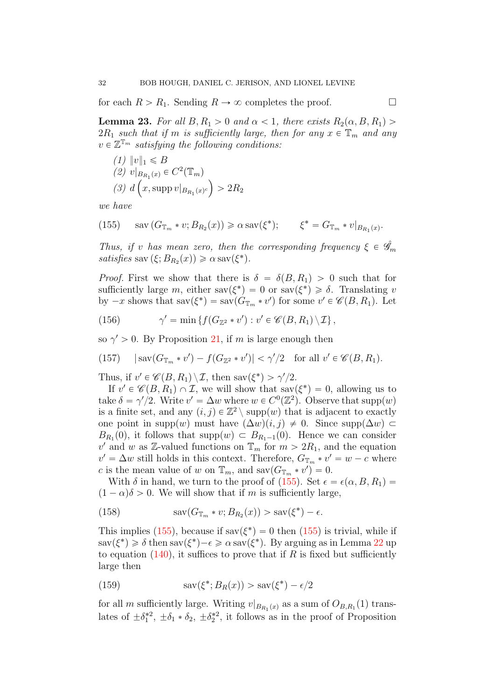for each  $R > R_1$ . Sending  $R \to \infty$  completes the proof.

<span id="page-31-0"></span>**Lemma 23.** For all  $B, R_1 > 0$  and  $\alpha < 1$ , there exists  $R_2(\alpha, B, R_1) >$  $2R_1$  such that if m is sufficiently large, then for any  $x \in \mathbb{T}_m$  and any  $v \in \mathbb{Z}^{\mathbb{T}_m}$  satisfying the following conditions:

$$
(1) \|v\|_1 \le B
$$
  
\n
$$
(2) v|_{B_{R_1}(x)} \in C^2(\mathbb{T}_m)
$$
  
\n
$$
(3) d\left(x, \text{supp}\, v|_{B_{R_1}(x)^c}\right) > 2R_2
$$

we have

<span id="page-31-1"></span>(155) 
$$
\text{sav}(G_{\mathbb{T}_m} * v; B_{R_2}(x)) \ge \alpha \text{ sav}(\xi^*); \qquad \xi^* = G_{\mathbb{T}_m} * v|_{B_{R_1}(x)}.
$$

Thus, if v has mean zero, then the corresponding frequency  $\xi \in \mathscr{G}_m$ satisfies sav $(\xi; B_{R_2}(x)) \ge \alpha \operatorname{sav}(\xi^*)$ .

*Proof.* First we show that there is  $\delta = \delta(B, R_1) > 0$  such that for sufficiently large m, either  $\text{sav}(\xi^*) = 0$  or  $\text{sav}(\xi^*) \geq \delta$ . Translating v by  $-x$  shows that  $\text{sav}(\xi^*) = \text{sav}(G_{\mathbb{T}_m} * v')$  for some  $v' \in \mathscr{C}(B, R_1)$ . Let

(156) 
$$
\gamma' = \min \{ f(G_{\mathbb{Z}^2} * v') : v' \in \mathscr{C}(B, R_1) \setminus \mathcal{I} \},
$$

so  $\gamma' > 0$ . By Proposition [21,](#page-27-1) if m is large enough then

(157) 
$$
|\text{sav}(G_{\mathbb{T}_m} * v') - f(G_{\mathbb{Z}^2} * v')| < \gamma'/2 \text{ for all } v' \in \mathcal{C}(B, R_1).
$$

Thus, if  $v' \in \mathscr{C}(B, R_1) \setminus \mathcal{I}$ , then sav $(\xi^*) > \gamma'/2$ .

If  $v' \in \mathscr{C}(B, R_1) \cap \mathcal{I}$ , we will show that sav $(\xi^*) = 0$ , allowing us to take  $\delta = \gamma/2$ . Write  $v' = \Delta w$  where  $w \in C^{0}(\mathbb{Z}^{2})$ . Observe that supp $(w)$ is a finite set, and any  $(i, j) \in \mathbb{Z}^2 \setminus \text{supp}(w)$  that is adjacent to exactly one point in supp $(w)$  must have  $(\Delta w)(i, j) \neq 0$ . Since supp $(\Delta w)$  $B_{R_1}(0)$ , it follows that supp $(w) \subset B_{R_1-1}(0)$ . Hence we can consider v' and w as Z-valued functions on  $\mathbb{T}_m$  for  $m > 2R_1$ , and the equation  $v' = \Delta w$  still holds in this context. Therefore,  $G_{\mathbb{T}_m} * v' = w - c$  where c is the mean value of w on  $\mathbb{T}_m$ , and sav $(G_{\mathbb{T}_m} * v') = 0$ .

With  $\delta$  in hand, we turn to the proof of [\(155\)](#page-31-1). Set  $\epsilon = \epsilon(\alpha, B, R_1)$  $(1 - \alpha)\delta > 0$ . We will show that if m is sufficiently large,

(158) 
$$
\operatorname{sav}(G_{\mathbb{T}_m} * v; B_{R_2}(x)) > \operatorname{sav}(\xi^*) - \epsilon.
$$

This implies [\(155\)](#page-31-1), because if  $sav(\xi^*) = 0$  then (155) is trivial, while if  $\text{sav}(\xi^*) \geq \delta \text{ then } \text{sav}(\xi^*) - \epsilon \geq \alpha \text{ sav}(\xi^*)$ . By arguing as in Lemma [22](#page-28-0) up to equation  $(140)$ , it suffices to prove that if R is fixed but sufficiently large then

<span id="page-31-2"></span>(159) 
$$
\operatorname{sav}(\xi^*; B_R(x)) > \operatorname{sav}(\xi^*) - \epsilon/2
$$

for all m sufficiently large. Writing  $v|_{B_{R_1}(x)}$  as a sum of  $O_{B,R_1}(1)$  translates of  $\pm \delta_1^*{}^2$ ,  $\pm \delta_1 * \delta_2$ ,  $\pm \delta_2^*{}^2$ , it follows as in the proof of Proposition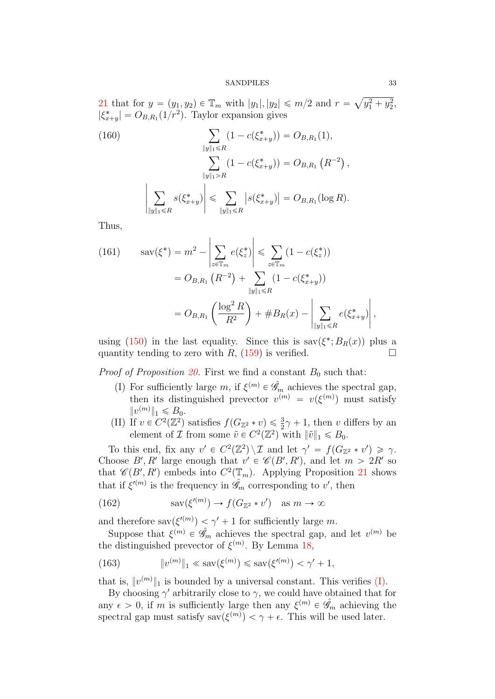[21](#page-27-1) that for  $y = (y_1, y_2) \in \mathbb{T}_m$  with  $|y_1|, |y_2| \leq m/2$  and  $r =$  $y_1^2 + y_2^2$ ,  $|\xi_{x+y}^*| = O_{B,R_1}(1/r^2)$ . Taylor expansion gives

<span id="page-32-2"></span>(160)  
\n
$$
\sum_{\|y\|_1 \le R} (1 - c(\xi_{x+y}^*)) = O_{B,R_1}(1),
$$
\n
$$
\sum_{\|y\|_1 > R} (1 - c(\xi_{x+y}^*)) = O_{B,R_1}(R^{-2}),
$$
\n
$$
\sum_{\|y\|_1 \le R} s(\xi_{x+y}^*) \le \sum_{\|y\|_1 \le R} |s(\xi_{x+y}^*)| = O_{B,R_1}(\log R).
$$

Thus,

<span id="page-32-3"></span>(161) 
$$
\begin{aligned} \text{sav}(\xi^*) &= m^2 - \left| \sum_{z \in \mathbb{T}_m} e(\xi_z^*) \right| \leq \sum_{z \in \mathbb{T}_m} (1 - c(\xi_z^*)) \\ &= O_{B,R_1} \left( R^{-2} \right) + \sum_{\|y\|_1 \leq R} (1 - c(\xi_{x+y}^*)) \\ &= O_{B,R_1} \left( \frac{\log^2 R}{R^2} \right) + \#B_R(x) - \left| \sum_{\|y\|_1 \leq R} e(\xi_{x+y}^*) \right|, \end{aligned}
$$

using [\(150\)](#page-30-2) in the last equality. Since this is  $sav(\xi^*; B_R(x))$  plus a quantity tending to zero with R,  $(159)$  is verified.

<span id="page-32-0"></span>*Proof of Proposition [20.](#page-27-0)* First we find a constant  $B_0$  such that:

- (I) For sufficiently large m, if  $\xi^{(m)} \in \hat{\mathscr{G}}_m$  achieves the spectral gap, then its distinguished prevector  $v^{(m)} = v(\xi^{(m)})$  must satisfy  $||v^{(m)}||_1 \le B_0.$
- <span id="page-32-1"></span>(II) If  $v \in C^2(\mathbb{Z}^2)$  satisfies  $f(G_{\mathbb{Z}^2} * v) \leq \frac{3}{2}\gamma + 1$ , then v differs by an element of  $\mathcal I$  from some  $\tilde v \in C^2(\mathbb{Z}^2)$  with  $\|\tilde v\|_1 \leq B_0$ .

To this end, fix any  $v' \in C^2(\mathbb{Z}^2) \setminus \mathcal{I}$  and let  $\gamma' = f(G_{\mathbb{Z}^2} * v') \geq \gamma$ . Choose B', R' large enough that  $v' \in \mathcal{C}(B', R')$ , and let  $m > 2R'$  so that  $\mathscr{C}(B', R')$  embeds into  $C^2(\mathbb{T}_m)$ . Applying Proposition [21](#page-27-1) shows that if  $\xi^{\prime(m)}$  is the frequency in  $\hat{\mathscr{G}}_m$  corresponding to v', then

(162) 
$$
sav(\xi^{(m)}) \to f(G_{\mathbb{Z}^2} * v') \text{ as } m \to \infty
$$

and therefore sav $(\xi^{(m)}) < \gamma' + 1$  for sufficiently large m.

Suppose that  $\xi^{(m)} \in \hat{\mathscr{G}}_m$  achieves the spectral gap, and let  $v^{(m)}$  be the distinguished prevector of  $\xi^{(m)}$ . By Lemma [18,](#page-24-1)

(163) 
$$
\|v^{(m)}\|_1 \ll \text{sav}(\xi^{(m)}) \le \text{sav}(\xi'^{(m)}) < \gamma' + 1,
$$

that is,  $||v^{(m)}||_1$  is bounded by a universal constant. This verifies [\(I\).](#page-32-0)

By choosing  $\gamma'$  arbitrarily close to  $\gamma$ , we could have obtained that for any  $\epsilon > 0$ , if m is sufficiently large then any  $\xi^{(m)} \in \hat{\mathscr{G}}_m$  achieving the spectral gap must satisfy sav $(\xi^{(m)}) < \gamma + \epsilon$ . This will be used later.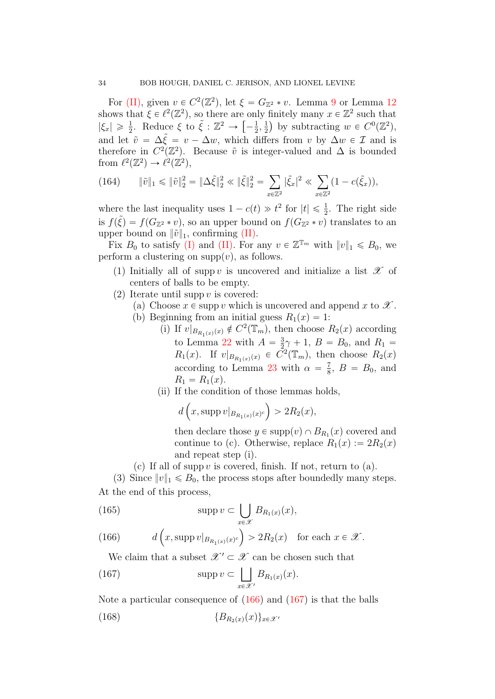For [\(II\),](#page-32-1) given  $v \in C^2(\mathbb{Z}^2)$ , let  $\xi = G_{\mathbb{Z}^2} * v$ . Lemma [9](#page-14-2) or Lemma [12](#page-15-2) shows that  $\xi \in \ell^2(\mathbb{Z}^2)$ , so there are only finitely many  $x \in \mathbb{Z}^2$  such that  $|\xi_x| \geq \frac{1}{2}$ . Reduce  $\xi$  to  $\tilde{\xi} : \mathbb{Z}^2 \to \left[-\frac{1}{2}\right]$  $\frac{1}{2}, \frac{1}{2}$  $(\frac{1}{2})$  by subtracting  $w \in C^0(\mathbb{Z}^2)$ , and let  $\tilde{v} = \Delta \tilde{\xi} = v - \Delta w$ , which differs from v by  $\Delta w \in \mathcal{I}$  and is therefore in  $C^2(\mathbb{Z}^2)$ . Because  $\tilde{v}$  is integer-valued and  $\Delta$  is bounded from  $\ell^2(\mathbb{Z}^2) \to \ell^2(\mathbb{Z}^2)$ ,

<span id="page-33-2"></span>(164) 
$$
\|\tilde{v}\|_1 \le \|\tilde{v}\|_2^2 = \|\Delta \tilde{\xi}\|_2^2 \le \|\tilde{\xi}\|_2^2 = \sum_{x \in \mathbb{Z}^2} |\tilde{\xi}_x|^2 \le \sum_{x \in \mathbb{Z}^2} (1 - c(\tilde{\xi}_x)),
$$

where the last inequality uses  $1 - c(t) \gg t^2$  for  $|t| \leq \frac{1}{2}$ . The right side is  $f(\tilde{\xi}) = f(G_{\mathbb{Z}^2} * v)$ , so an upper bound on  $f(G_{\mathbb{Z}^2} * v)$  translates to an upper bound on  $\|\tilde{v}\|_1$ , confirming [\(II\).](#page-32-1)

Fix  $B_0$  to satisfy [\(I\)](#page-32-0) and [\(II\).](#page-32-1) For any  $v \in \mathbb{Z}^{\mathbb{T}_m}$  with  $||v||_1 \leq B_0$ , we perform a clustering on  $supp(v)$ , as follows.

- (1) Initially all of supp v is uncovered and initialize a list  $\mathscr X$  of centers of balls to be empty.
- (2) Iterate until supp  $v$  is covered:
	- (a) Choose  $x \in \text{supp } v$  which is uncovered and append x to  $\mathscr X$ .
	- (b) Beginning from an initial guess  $R_1(x) = 1$ :
		- (i) If  $v|_{B_{R_1(x)}(x)} \notin C^2(\mathbb{T}_m)$ , then choose  $R_2(x)$  according to Lemma [22](#page-28-0) with  $A = \frac{3}{2}$  $\frac{3}{2}\gamma + 1$ ,  $B = B_0$ , and  $R_1 =$  $R_1(x)$ . If  $v|_{B_{R_1(x)}(x)} \in \tilde{C}^2(\mathbb{T}_m)$ , then choose  $R_2(x)$ according to Lemma [23](#page-31-0) with  $\alpha = \frac{7}{8}$  $\frac{7}{8}$ ,  $B = B_0$ , and  $R_1 = R_1(x)$ .
		- (ii) If the condition of those lemmas holds, one condition of those

$$
d\left(x,\mathrm{supp}\,v|_{B_{R_1(x)}(x)^c}\right) > 2R_2(x),
$$

then declare those  $y \in \text{supp}(v) \cap B_{R_1}(x)$  covered and continue to (c). Otherwise, replace  $R_1(x) := 2R_2(x)$ and repeat step (i).

(c) If all of supp  $v$  is covered, finish. If not, return to (a).

(3) Since  $||v||_1 \le B_0$ , the process stops after boundedly many steps. At the end of this process, ď

(165) 
$$
\operatorname{supp} v \subset \bigcup_{x \in \mathscr{X}} B_{R_1(x)}(x),
$$

<span id="page-33-0"></span>(166) 
$$
d\left(x, \text{supp } v|_{B_{R_1(x)}(x)^c}\right) > 2R_2(x) \text{ for each } x \in \mathcal{X}.
$$

<span id="page-33-1"></span>We claim that a subset  $\mathscr{X}' \subset \mathscr{X}$  can be chosen such that

(167) 
$$
\operatorname{supp} v \subset \bigsqcup_{x \in \mathcal{X}'} B_{R_1(x)}(x).
$$

Note a particular consequence of [\(166\)](#page-33-0) and [\(167\)](#page-33-1) is that the balls (168)  ${B_{R_2(x)}(x)}_{x \in \mathcal{X}}$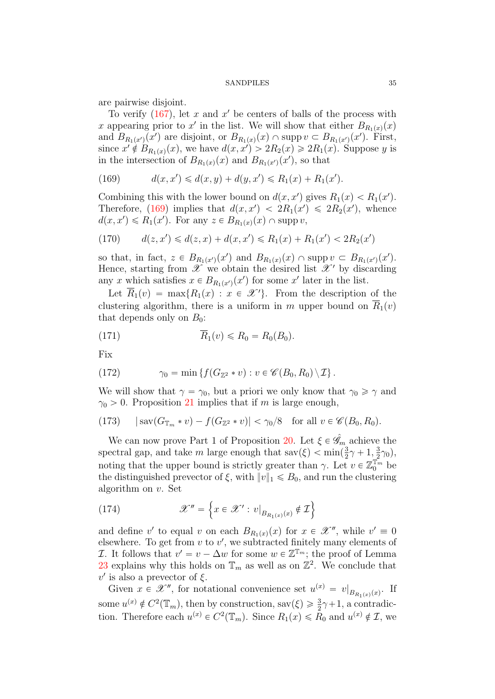are pairwise disjoint.

To verify  $(167)$ , let x and x' be centers of balls of the process with x appearing prior to x' in the list. We will show that either  $B_{R_1(x)}(x)$ and  $B_{R_1(x')}(x')$  are disjoint, or  $B_{R_1(x)}(x) \cap \text{supp } v \subset B_{R_1(x')}(x')$ . First, since  $x' \notin B_{R_1(x)}(x)$ , we have  $d(x, x') > 2R_2(x) \geq 2R_1(x)$ . Suppose y is in the intersection of  $B_{R_1(x)}(x)$  and  $B_{R_1(x')}(x')$ , so that

<span id="page-34-0"></span>(169) 
$$
d(x, x') \leq d(x, y) + d(y, x') \leq R_1(x) + R_1(x').
$$

Combining this with the lower bound on  $d(x, x')$  gives  $R_1(x) < R_1(x')$ . Therefore, [\(169\)](#page-34-0) implies that  $d(x, x') < 2R_1(x') \leq 2R_2(x')$ , whence  $d(x, x') \le R_1(x')$ . For any  $z \in B_{R_1(x)}(x) \cap \text{supp } v$ ,

(170) 
$$
d(z, x') \le d(z, x) + d(x, x') \le R_1(x) + R_1(x') < 2R_2(x')
$$

so that, in fact,  $z \in B_{R_1(x)}(x')$  and  $B_{R_1(x)}(x) \cap \text{supp } v \subset B_{R_1(x')}(x')$ . Hence, starting from  $\mathscr X$  we obtain the desired list  $\mathscr X'$  by discarding any x which satisfies  $x \in B_{R_1(x')}(x')$  for some x' later in the list.

Let  $\overline{R}_1(v) = \max\{R_1(x) : x \in \mathcal{X}'\}$ . From the description of the clustering algorithm, there is a uniform in m upper bound on  $\overline{R}_1(v)$ that depends only on  $B_0$ :

<span id="page-34-3"></span>
$$
\overline{R}_1(v) \le R_0 = R_0(B_0).
$$

Fix

<span id="page-34-2"></span>(172) 
$$
\gamma_0 = \min \left\{ f(G_{\mathbb{Z}^2} * v) : v \in \mathscr{C}(B_0, R_0) \setminus \mathcal{I} \right\}.
$$

We will show that  $\gamma = \gamma_0$ , but a priori we only know that  $\gamma_0 \ge \gamma$  and  $\gamma_0 > 0$ . Proposition [21](#page-27-1) implies that if m is large enough,

<span id="page-34-1"></span>(173) 
$$
|\text{sav}(G_{\mathbb{T}_m}*v) - f(G_{\mathbb{Z}^2}*v)| < \gamma_0/8 \text{ for all } v \in \mathscr{C}(B_0, R_0).
$$

We can now prove Part 1 of Proposition [20.](#page-27-0) Let  $\xi \in \hat{\mathscr{G}}_m$  achieve the spectral gap, and take m large enough that sav $(\xi) < \min(\frac{3}{2})$  $\frac{3}{2}\gamma + 1, \frac{3}{2}$  $(\frac{3}{2}\gamma_0),$ noting that the upper bound is strictly greater than  $\gamma$ . Let  $v \in \mathbb{Z}_0^{\mathbb{T}_m}$  be the distinguished prevector of  $\xi$ , with  $||v||_1 \le B_0$ , and run the clustering algorithm on v. Set !<br>! )

(174) 
$$
\mathscr{X}'' = \left\{ x \in \mathscr{X}' : v|_{B_{R_1(x)}(x)} \notin \mathcal{I} \right\}
$$

and define v' to equal v on each  $B_{R_1(x)}(x)$  for  $x \in \mathcal{X}''$ , while  $v' \equiv 0$ elsewhere. To get from  $v$  to  $v'$ , we subtracted finitely many elements of *I*. It follows that  $v' = v - \Delta w$  for some  $w \in \mathbb{Z}^{\mathbb{T}_m}$ ; the proof of Lemma [23](#page-31-0) explains why this holds on  $\mathbb{T}_m$  as well as on  $\mathbb{Z}^2$ . We conclude that  $v'$  is also a prevector of  $\xi$ .

Given  $x \in \mathcal{X}''$ , for notational convenience set  $u^{(x)} = v|_{B_{R_1(x)}(x)}$ . If some  $u^{(x)} \notin C^2(\mathbb{T}_m)$ , then by construction, sav $(\xi) \geq \frac{3}{2}\gamma + 1$ , a contradiction. Therefore each  $u^{(x)} \in C^2(\mathbb{T}_m)$ . Since  $R_1(x) \le R_0$  and  $u^{(x)} \notin \mathcal{I}$ , we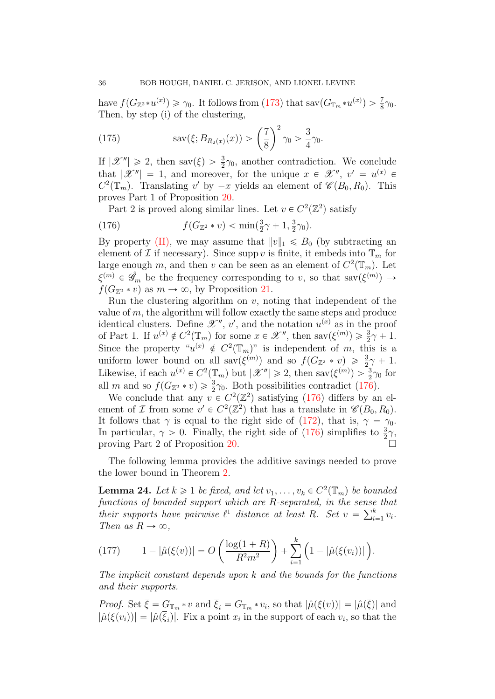have  $f(G_{\mathbb{Z}^2} * u^{(x)}) \geq \gamma_0$ . It follows from [\(173\)](#page-34-1) that sav $(G_{\mathbb{T}_m} * u^{(x)}) > \frac{7}{8}\gamma_0$ . Then, by step (i) of the clustering,

(175) 
$$
\text{sav}(\xi; B_{R_2(x)}(x)) > \left(\frac{7}{8}\right)^2 \gamma_0 > \frac{3}{4}\gamma_0.
$$

If  $|\mathscr{X}''| \geq 2$ , then sav $(\xi) > \frac{3}{2}\gamma_0$ , another contradiction. We conclude that  $|\mathscr{X}''| = 1$ , and moreover, for the unique  $x \in \mathscr{X}''$ ,  $v' = u^{(x)} \in$  $C^2(\mathbb{T}_m)$ . Translating v' by  $-x$  yields an element of  $\mathscr{C}(B_0, R_0)$ . This proves Part 1 of Proposition [20.](#page-27-0)

<span id="page-35-0"></span>Part 2 is proved along similar lines. Let  $v \in C^2(\mathbb{Z}^2)$  satisfy

(176) 
$$
f(G_{\mathbb{Z}^2} * v) < \min(\frac{3}{2}\gamma + 1, \frac{3}{2}\gamma_0).
$$

By property [\(II\),](#page-32-1) we may assume that  $||v||_1 \le B_0$  (by subtracting an element of  $\mathcal I$  if necessary). Since supp v is finite, it embeds into  $\mathbb T_m$  for large enough m, and then v can be seen as an element of  $C^2(\mathbb{T}_m)$ . Let  $\xi^{(m)} \in \hat{\mathscr{G}}_m$  be the frequency corresponding to v, so that sav $(\xi^{(m)}) \to$  $f(G_{\mathbb{Z}^2} * v)$  as  $m \to \infty$ , by Proposition [21.](#page-27-1)

Run the clustering algorithm on  $v$ , noting that independent of the value of  $m$ , the algorithm will follow exactly the same steps and produce identical clusters. Define  $\mathscr{X}''$ , v', and the notation  $u^{(x)}$  as in the proof of Part 1. If  $u^{(x)} \notin C^2(\mathbb{T}_m)$  for some  $x \in \mathcal{X}''$ , then  $\text{sav}(\xi^{(m)}) \geq \frac{3}{2}\gamma + 1$ . Since the property " $u^{(x)} \notin C^2(\mathbb{T}_m)$ " is independent of m, this is a uniform lower bound on all sav $(\xi^{(m)})$  and so  $f(G_{\mathbb{Z}^2} * v) \geq \frac{3}{2}\gamma + 1$ . Likewise, if each  $u^{(x)} \in C^2(\mathbb{T}_m)$  but  $|\mathscr{X}''| \geq 2$ , then sav $(\xi^{(m)}) > \frac{3}{2}\gamma_0$  for all m and so  $f(G_{\mathbb{Z}^2} * v) \geq \frac{3}{2}\gamma_0$ . Both possibilities contradict [\(176\)](#page-35-0).

We conclude that any  $v \in C^2(\mathbb{Z}^2)$  satisfying [\(176\)](#page-35-0) differs by an element of *I* from some  $v' \in C^2(\mathbb{Z}^2)$  that has a translate in  $\mathscr{C}(B_0, R_0)$ . It follows that  $\gamma$  is equal to the right side of [\(172\)](#page-34-2), that is,  $\gamma = \gamma_0$ . In particular,  $\gamma > 0$ . Finally, the right side of  $(176)$  simplifies to  $\frac{3}{2}\gamma$ , proving Part 2 of Proposition [20.](#page-27-0)

The following lemma provides the additive savings needed to prove the lower bound in Theorem [2.](#page-2-0)

<span id="page-35-1"></span>**Lemma 24.** Let  $k \geq 1$  be fixed, and let  $v_1, \ldots, v_k \in C^2(\mathbb{T}_m)$  be bounded functions of bounded support which are R-separated, in the sense that<br>their supports have psimulas (1) distance at least  $B$ . Set  $v = \sum_{n=1}^{k} v_n$ their supports have pairwise  $\ell^1$  distance at least R. Set  $v = \sum_{i=1}^k v_i$ . Then as  $R \to \infty$ ,

(177) 
$$
1 - |\hat{\mu}(\xi(v))| = O\left(\frac{\log(1+R)}{R^2 m^2}\right) + \sum_{i=1}^k \left(1 - |\hat{\mu}(\xi(v_i))|\right).
$$

The implicit constant depends upon  $k$  and the bounds for the functions and their supports.

*Proof.* Set  $\xi = G_{\mathbb{T}_m} * v$  and  $\xi_i = G_{\mathbb{T}_m} * v_i$ , so that  $|\hat{\mu}(\xi(v))| = |\hat{\mu}(\xi)|$  and  $|\hat{\mu}(\xi(v_i))| = |\hat{\mu}(\xi_i)|$ . Fix a point  $x_i$  in the support of each  $v_i$ , so that the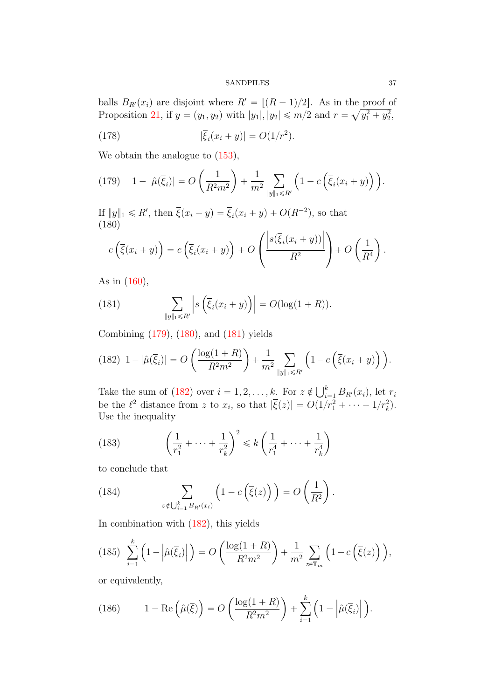balls  $B_{R'}(x_i)$  are disjoint where  $R' = \lfloor (R-1)/2 \rfloor$ . As in the proof of Proposition [21,](#page-27-1) if  $y = (y_1, y_2)$  with  $|y_1|, |y_2| \le m/2$  and  $r = \sqrt{y_1^2 + y_2^2}$ ,

<span id="page-36-4"></span>(178) 
$$
|\bar{\xi}_i(x_i + y)| = O(1/r^2).
$$

We obtain the analogue to  $(153)$ , ˙

<span id="page-36-0"></span>(179) 
$$
1 - |\hat{\mu}(\bar{\xi}_i)| = O\left(\frac{1}{R^2 m^2}\right) + \frac{1}{m^2} \sum_{\|y\|_1 \le R'} \left(1 - c\left(\bar{\xi}_i(x_i + y)\right)\right).
$$

If  $||y||_1 \le R'$ , then  $\overline{\xi}(x_i + y) = \overline{\xi}_i(x_i + y) + O(R^{-2})$ , so that (180) ˛

<span id="page-36-1"></span>
$$
c\left(\overline{\xi}(x_i+y)\right) = c\left(\overline{\xi}_i(x_i+y)\right) + O\left(\frac{\left|s(\overline{\xi}_i(x_i+y))\right|}{R^2}\right) + O\left(\frac{1}{R^4}\right).
$$

As in [\(160\)](#page-32-2),

<span id="page-36-2"></span>(181) 
$$
\sum_{\|y\|_1\leq R'} \left| s\left(\overline{\xi}_i(x_i+y)\right) \right| = O(\log(1+R)).
$$

Combining [\(179\)](#page-36-0), [\(180\)](#page-36-1), and [\(181\)](#page-36-2) yields ˆ ˙

<span id="page-36-3"></span>(182) 
$$
1 - |\hat{\mu}(\bar{\xi}_i)| = O\left(\frac{\log(1+R)}{R^2 m^2}\right) + \frac{1}{m^2} \sum_{\|y\|_1 \le R'} \left(1 - c\left(\bar{\xi}(x_i + y)\right)\right).
$$

Take the sum of [\(182\)](#page-36-3) over  $i = 1, 2, ..., k$ . For  $z \notin \bigcup_{i=1}^{k}$  $\sum_{i=1}^{\kappa} B_{R'}(x_i)$ , let  $r_i$ be the  $\ell^2$  distance from z to  $x_i$ , so that  $|\overline{\xi}(z)| = O(1/r_1^2 + \cdots + 1/r_k^2)$ . Use the inequality

ˆ

˙

(183) 
$$
\left(\frac{1}{r_1^2} + \dots + \frac{1}{r_k^2}\right)^2 \le k \left(\frac{1}{r_1^4} + \dots + \frac{1}{r_k^4}\right)
$$

to conclude that

(184) 
$$
\sum_{z \notin \bigcup_{i=1}^k B_{R'}(x_i)} \left(1 - c\left(\overline{\xi}(z)\right)\right) = O\left(\frac{1}{R^2}\right).
$$

In combination with [\(182\)](#page-36-3), this yields

$$
(185)\sum_{i=1}^{k}\left(1-\left|\hat{\mu}(\overline{\xi}_{i})\right|\right)=O\left(\frac{\log(1+R)}{R^{2}m^{2}}\right)+\frac{1}{m^{2}}\sum_{z\in\mathbb{T}_{m}}\left(1-c\left(\overline{\xi}(z)\right)\right),
$$

or equivalently,

<span id="page-36-5"></span>(186) 
$$
1 - \text{Re}\left(\hat{\mu}(\overline{\xi})\right) = O\left(\frac{\log(1+R)}{R^2m^2}\right) + \sum_{i=1}^k \left(1 - \left|\hat{\mu}(\overline{\xi}_i)\right|\right).
$$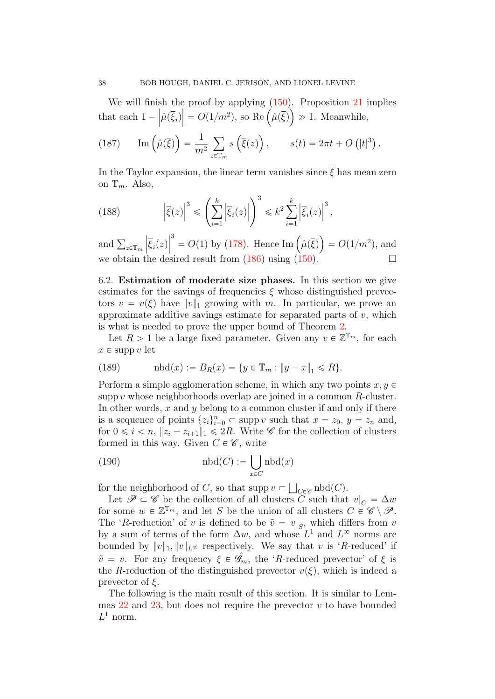We will finish the proof by applying  $(150)$ . Proposition [21](#page-27-1) implies that each  $1 \frac{\partial \Pi}{\partial \mu}(\overline{\xi}_i)$  $\vert$  e proof by applying  $(150)$ . Proposition 21 i<br> $\vert = O(1/m^2)$ , so Re  $(\hat{\mu}(\overline{\xi})) \gg 1$ . Meanwhile,

(187) 
$$
\operatorname{Im}\left(\hat{\mu}(\overline{\xi})\right) = \frac{1}{m^2} \sum_{z \in \mathbb{T}_m} s\left(\overline{\xi}(z)\right), \qquad s(t) = 2\pi t + O\left(|t|^3\right).
$$

In the Taylor expansion, the linear term vanishes since  $\overline{\xi}$  has mean zero on  $\mathbb{T}_m$ . Also,

(188) 
$$
\left|\overline{\xi}(z)\right|^3 \leqslant \left(\sum_{i=1}^k \left|\overline{\xi}_i(z)\right|\right)^3 \leqslant k^2 \sum_{i=1}^k \left|\overline{\xi}_i(z)\right|^3,
$$

and  $\sum_{z \in \mathbb{T}_m}$  $\left|\overline{\xi}_i(z)\right|$  $\big|^{3}$ =  $O(1)$  by [\(178\)](#page-36-4). Hence Im  $(\hat{\mu}(\bar{\xi}))$  $= O(1/m^2)$ , and we obtain the desired result from [\(186\)](#page-36-5) using  $(150)$ .

<span id="page-37-0"></span>6.2. Estimation of moderate size phases. In this section we give estimates for the savings of frequencies  $\xi$  whose distinguished prevectors  $v = v(\xi)$  have  $||v||_1$  growing with m. In particular, we prove an approximate additive savings estimate for separated parts of  $v$ , which is what is needed to prove the upper bound of Theorem [2.](#page-2-0)

Let  $R > 1$  be a large fixed parameter. Given any  $v \in \mathbb{Z}^{\mathbb{T}_m}$ , for each  $x \in \text{supp } v$  let

(189) 
$$
\quad \text{nbd}(x) := B_R(x) = \{ y \in \mathbb{T}_m : \|y - x\|_1 \leq R \}.
$$

Perform a simple agglomeration scheme, in which any two points  $x, y \in$ supp  $v$  whose neighborhoods overlap are joined in a common  $R$ -cluster. In other words,  $x$  and  $y$  belong to a common cluster if and only if there is a sequence of points  $\{z_i\}_{i=0}^n \subset \text{supp } v$  such that  $x = z_0, y = z_n$  and, for  $0 \leq i \leq n$ ,  $||z_i - z_{i+1}||_1 \leq 2R$ . Write  $\mathscr{C}$  for the collection of clusters formed in this way. Given  $C \in \mathscr{C}$ , write

(190) 
$$
\text{nbd}(C) := \bigcup_{x \in C} \text{nbd}(x)
$$

for the neighborhood of C, so that supp  $v \subset$  $_{C\in\mathscr{C}}$  nbd $(C)$ .

Let  $\mathscr{P} \subset \mathscr{C}$  be the collection of all clusters C such that  $v|_C = \Delta w$ for some  $w \in \mathbb{Z}^{\mathbb{T}_m}$ , and let S be the union of all clusters  $C \in \mathscr{C} \setminus \mathscr{P}$ . The 'R-reduction' of v is defined to be  $\tilde{v} = v|_S$ , which differs from v by a sum of terms of the form  $\Delta w$ , and whose  $L^1$  and  $L^{\infty}$  norms are bounded by  $||v||_1, ||v||_{L^{\infty}}$  respectively. We say that v is 'R-reduced' if  $\tilde{v} = v$ . For any frequency  $\xi \in \hat{\mathscr{G}}_m$ , the 'R-reduced prevector' of  $\xi$  is the R-reduction of the distinguished prevector  $v(\xi)$ , which is indeed a prevector of  $\xi$ .

The following is the main result of this section. It is similar to Lemmas  $22$  and  $23$ , but does not require the prevector v to have bounded  $L^1$  norm.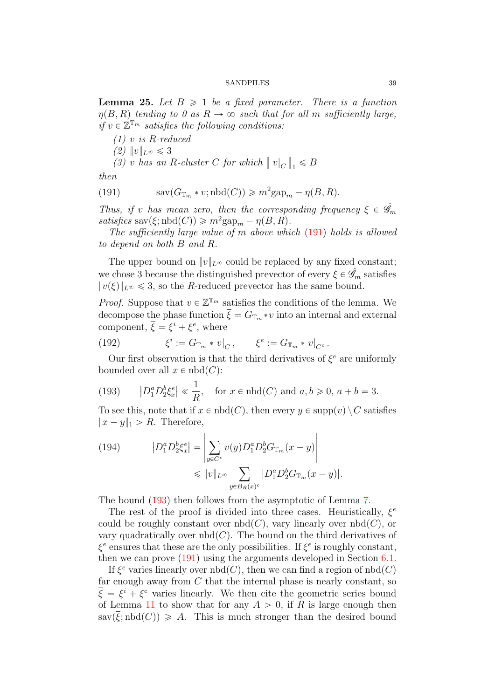<span id="page-38-0"></span>**Lemma 25.** Let  $B \geq 1$  be a fixed parameter. There is a function  $\eta(B, R)$  tending to 0 as  $R \to \infty$  such that for all m sufficiently large, if  $v \in \mathbb{Z}^{\mathbb{T}_m}$  satisfies the following conditions:

 $(1)$  v is R-reduced (2)  $||v||_{L^{\infty}} \le 3$  $(3)$  v has an R-cluster C for which  $\parallel v|_C \parallel$  $_1 \leq B$ 

then

<span id="page-38-1"></span>(191) 
$$
\operatorname{sav}(G_{\mathbb{T}_m} * v; \operatorname{nbd}(C)) \geqslant m^2 \operatorname{gap}_m - \eta(B, R).
$$

Thus, if v has mean zero, then the corresponding frequency  $\xi \in \hat{\mathscr{G}}_m$ satisfies  $\text{sav}(\xi; \text{nbd}(C)) \geq m^2 \text{gap}_m - \eta(B, R).$ 

The sufficiently large value of m above which [\(191\)](#page-38-1) holds is allowed to depend on both B and R.

The upper bound on  $||v||_{L^{\infty}}$  could be replaced by any fixed constant; we chose 3 because the distinguished prevector of every  $\xi \in \hat{\mathscr{G}}_m$  satisfies  $||v(\xi)||_{L^{\infty}} \leq 3$ , so the R-reduced prevector has the same bound.

*Proof.* Suppose that  $v \in \mathbb{Z}^{\mathbb{T}_m}$  satisfies the conditions of the lemma. We decompose the phase function  $\overline{\xi} = G_{\mathbb{T}_m} * v$  into an internal and external component,  $\overline{\xi} = \xi^i + \xi^e$ , where

(192) 
$$
\xi^i := G_{\mathbb{T}_m} * v|_C, \qquad \xi^e := G_{\mathbb{T}_m} * v|_{C^c}.
$$

Our first observation is that the third derivatives of  $\xi^e$  are uniformly bounded over all  $x \in \text{nbd}(C)$ :

<span id="page-38-2"></span>(193) 
$$
|D_1^a D_2^b \xi_x^e| \ll \frac{1}{R}
$$
, for  $x \in \text{nbd}(C)$  and  $a, b \ge 0$ ,  $a + b = 3$ .

To see this, note that if  $x \in \text{nbd}(C)$ , then every  $y \in \text{supp}(v) \setminus C$  satisfies  $||x - y||_1 > R$ . Therefore,

(194) 
$$
|D_1^a D_2^b \xi_x^e| = \left| \sum_{y \in C^c} v(y) D_1^a D_2^b G_{\mathbb{T}_m}(x - y) \right|
$$

$$
\leq \|v\|_{L^\infty} \sum_{y \in B_R(x)^c} |D_1^a D_2^b G_{\mathbb{T}_m}(x - y)|.
$$

The bound [\(193\)](#page-38-2) then follows from the asymptotic of Lemma [7.](#page-14-0)

The rest of the proof is divided into three cases. Heuristically,  $\xi^e$ could be roughly constant over  $nbd(C)$ , vary linearly over  $nbd(C)$ , or vary quadratically over  $nbd(C)$ . The bound on the third derivatives of  $\xi^e$  ensures that these are the only possibilities. If  $\xi^e$  is roughly constant, then we can prove [\(191\)](#page-38-1) using the arguments developed in Section [6.1.](#page-26-0)

If  $\xi^e$  varies linearly over  $\text{nbd}(C)$ , then we can find a region of  $\text{nbd}(C)$ far enough away from  $C$  that the internal phase is nearly constant, so  $\overline{\xi} = \xi^i + \xi^e$  varies linearly. We then cite the geometric series bound of Lemma [11](#page-15-4) to show that for any  $A > 0$ , if R is large enough then  $sav(\overline{\xi}; \text{nbd}(C)) \geq A$ . This is much stronger than the desired bound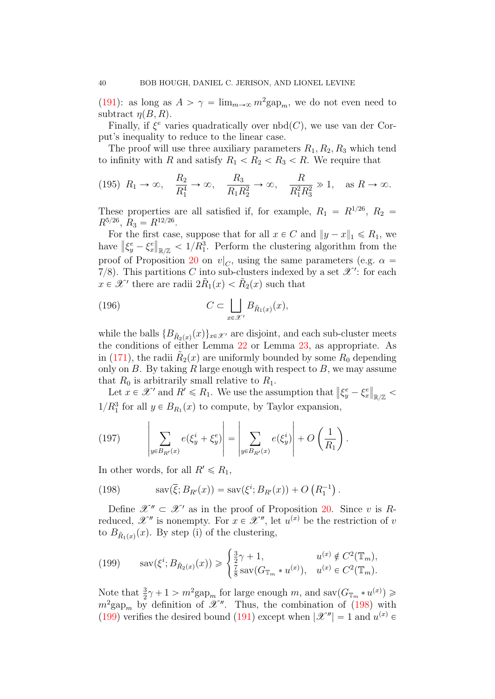[\(191\)](#page-38-1): as long as  $A > \gamma = \lim_{m \to \infty} m^2 \text{gap}_m$ , we do not even need to subtract  $n(B, R)$ .

Finally, if  $\xi^e$  varies quadratically over  $nbd(C)$ , we use van der Corput's inequality to reduce to the linear case.

The proof will use three auxiliary parameters  $R_1, R_2, R_3$  which tend to infinity with R and satisfy  $R_1 \nvert R_2 \nvert R_3 \nvert R_3 \nvert R_4$ . We require that

<span id="page-39-2"></span>
$$
(195) \ \ R_1 \to \infty, \quad \frac{R_2}{R_1^4} \to \infty, \quad \frac{R_3}{R_1 R_2^2} \to \infty, \quad \frac{R}{R_1^2 R_3^2} \gg 1, \quad \text{as } R \to \infty.
$$

These properties are all satisfied if, for example,  $R_1 = R^{1/26}$ ,  $R_2 =$  $R^{5/26}$ ,  $R_3 = R^{12/26}$ .

For the first case, suppose that for all  $x \in C$  and  $||y - x||_1 \le R_1$ , we have  $\|\xi_y^e - \xi_x^e\|$  $_{\mathbb{R}/\mathbb{Z}}$  < 1/ $R_1^3$ . Perform the clustering algorithm from the proof of Proposition [20](#page-27-0) on  $v|_C$ , using the same parameters (e.g.  $\alpha =$ 7/8). This partitions C into sub-clusters indexed by a set  $\mathscr{X}'$ : for each  $x \in \mathscr{X}'$  there are radii  $2\tilde{R}_1(x) < \tilde{R}_2(x)$  such that

(196) 
$$
C \subset \bigsqcup_{x \in \mathcal{X}'} B_{\tilde{R}_1(x)}(x),
$$

while the balls  $\{B_{\tilde{R}_2(x)}(x)\}_{x \in \mathcal{X}}$  are disjoint, and each sub-cluster meets the conditions of either Lemma [22](#page-28-0) or Lemma [23,](#page-31-0) as appropriate. As in [\(171\)](#page-34-3), the radii  $\tilde{R}_2(x)$  are uniformly bounded by some  $R_0$  depending only on  $B$ . By taking  $R$  large enough with respect to  $B$ , we may assume that  $R_0$  is arbitrarily small relative to  $R_1$ .

Let  $x \in \mathcal{X}'$  and  $R' \le R_1$ . We use the assumption that  $\|\xi_y^e - \xi_x^e\|$  $_{\mathbb{R}/\mathbb{Z}}<$  $1/R_1^3$  for all  $y \in B_{R_1}(x)$  to compute, by Taylor expansion,  $\ddot{\phantom{a}}$   $\ddot{\phantom{a}}$   $\ddot{\phantom{a}}$   $\ddot{\phantom{a}}$   $\ddot{\phantom{a}}$   $\ddot{\phantom{a}}$   $\ddot{\phantom{a}}$   $\ddot{\phantom{a}}$   $\ddot{\phantom{a}}$   $\ddot{\phantom{a}}$   $\ddot{\phantom{a}}$   $\ddot{\phantom{a}}$   $\ddot{\phantom{a}}$   $\ddot{\phantom{a}}$   $\ddot{\phantom{a}}$   $\ddot{\phantom{a}}$   $\ddot{\phantom{a}}$   $\ddot{\phantom{a}}$   $\ddot{\$ 

(197) 
$$
\left|\sum_{y \in B_{R'}(x)} e(\xi_y^i + \xi_y^e) \right| = \left|\sum_{y \in B_{R'}(x)} e(\xi_y^i) \right| + O\left(\frac{1}{R_1}\right).
$$

In other words, for all  $R' \le R_1$ ,

<span id="page-39-0"></span>(198) 
$$
sav(\bar{\xi}; B_{R'}(x)) = sav(\xi^{i}; B_{R'}(x)) + O(R_1^{-1}).
$$

Define  $\mathscr{X}'' \subset \mathscr{X}'$  as in the proof of Proposition [20.](#page-27-0) Since v is Rreduced,  $\mathscr{X}''$  is nonempty. For  $x \in \mathscr{X}''$ , let  $u^{(x)}$  be the restriction of v to  $B_{\tilde{R}_1(x)}(x)$ . By step (i) of the clustering,

<span id="page-39-1"></span>(199) 
$$
\text{sav}(\xi^i; B_{\tilde{R}_2(x)}(x)) \ge \begin{cases} \frac{3}{2}\gamma + 1, & u^{(x)} \notin C^2(\mathbb{T}_m), \\ \frac{7}{8}\text{sav}(G_{\mathbb{T}_m} * u^{(x)}), & u^{(x)} \in C^2(\mathbb{T}_m). \end{cases}
$$

Note that  $\frac{3}{2}\gamma + 1 > m^2 \text{gap}_m$  for large enough m, and sav $(G_{\mathbb{T}_m} * u^{(x)}) \geq$  $m^2$ gap<sub>m</sub> by definition of  $\mathscr{X}''$ . Thus, the combination of [\(198\)](#page-39-0) with [\(199\)](#page-39-1) verifies the desired bound [\(191\)](#page-38-1) except when  $|\mathscr{X}''| = 1$  and  $u^{(x)} \in$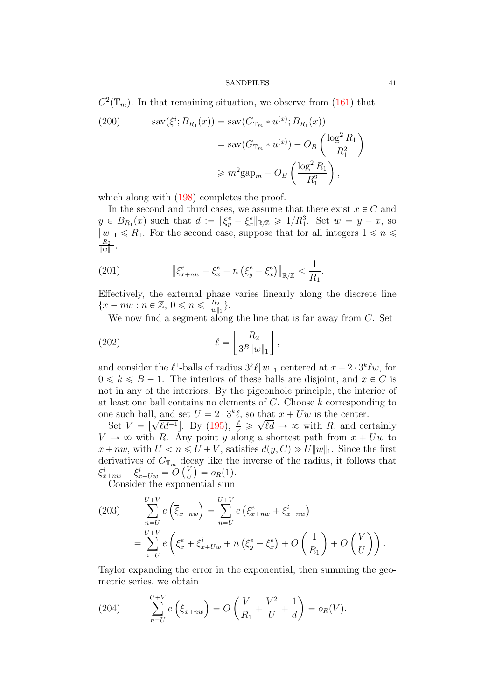$C^2(\mathbb{T}_m)$ . In that remaining situation, we observe from [\(161\)](#page-32-3) that

(200) 
$$
\operatorname{sav}(\xi^i; B_{R_1}(x)) = \operatorname{sav}(G_{\mathbb{T}_m} * u^{(x)}; B_{R_1}(x))
$$

$$
= \operatorname{sav}(G_{\mathbb{T}_m} * u^{(x)}) - O_B\left(\frac{\log^2 R_1}{R_1^2}\right)
$$

$$
\geq m^2 \operatorname{gap}_m - O_B\left(\frac{\log^2 R_1}{R_1^2}\right),
$$

which along with  $(198)$  completes the proof.

In the second and third cases, we assume that there exist  $x \in C$  and  $y \in B_{R_1}(x)$  such that  $d := \|\xi_y^e - \xi_x^e\|_{\mathbb{R}/\mathbb{Z}} \geq 1/R_1^3$ . Set  $w = y - x$ , so  $||w||_1 \le R_1$ . For the second case, suppose that for all integers  $1 \le n \le n$  $R_2$  $\frac{R_2}{\|w\|_1},$ 

<span id="page-40-0"></span>(201) 
$$
\|\xi_{x+nw}^e - \xi_x^e - n\left(\xi_y^e - \xi_x^e\right)\|_{\mathbb{R}/\mathbb{Z}} < \frac{1}{R_1}.
$$

Effectively, the external phase varies linearly along the discrete line  ${x + nw : n \in \mathbb{Z}, 0 \leqslant n \leqslant \frac{R_2}{||w||} }$  $\frac{R_2}{\|w\|_1}\}$  .

We now find a segment along the line that is far away from  $C$ . Set  $\overline{a}$ ^

$$
\ell = \left\lfloor \frac{R_2}{3^B \|w\|_1} \right\rfloor,
$$

and consider the  $\ell^1$ -balls of radius  $3^k \ell ||w||_1$  centered at  $x + 2 \cdot 3^k \ell w$ , for  $0 \leq k \leq B - 1$ . The interiors of these balls are disjoint, and  $x \in C$  is not in any of the interiors. By the pigeonhole principle, the interior of at least one ball contains no elements of  $C$ . Choose  $k$  corresponding to one such ball, and set  $U = 2 \cdot 3^k \ell$ , so that  $x + Uw$  is the center.  $\mathbf{r}$  $\frac{1}{2}$ 

Set  $V = \begin{bmatrix} 1 & 1 \\ 1 & 1 \end{bmatrix}$  $\overline{\ell d^{-1}}$ . By [\(195\)](#page-39-2),  $\frac{\ell}{V} \geq$  $\ell d \to \infty$  with R, and certainly  $V \rightarrow \infty$  with R. Any point y along a shortest path from  $x + Uw$  to  $x + nw$ , with  $U < n \le U + V$ , satisfies  $d(y, C) \gg U ||w||_1$ . Since the first derivatives of  $G_{\mathbb{T}_m}$  decay like the inverse of the radius, it follows that  $\xi_{x+nw}^i - \xi_{x+Uw}^i = O\left(\frac{V}{U}\right)$  $\frac{V}{U}$ ) =  $o_R(1)$ .

Consider the exponential sum

(203) 
$$
\sum_{n=U}^{U+V} e\left(\overline{\xi}_{x+nw}\right) = \sum_{n=U}^{U+V} e\left(\xi_{x+nw}^e + \xi_{x+nw}^i\right) = \sum_{n=U}^{U+V} e\left(\xi_x^e + \xi_{x+Uw}^i + n\left(\xi_y^e - \xi_x^e\right) + O\left(\frac{1}{R_1}\right) + O\left(\frac{V}{U}\right)\right).
$$

Taylor expanding the error in the exponential, then summing the geometric series, we obtain

(204) 
$$
\sum_{n=U}^{U+V} e\left(\overline{\xi}_{x+nw}\right) = O\left(\frac{V}{R_1} + \frac{V^2}{U} + \frac{1}{d}\right) = o_R(V).
$$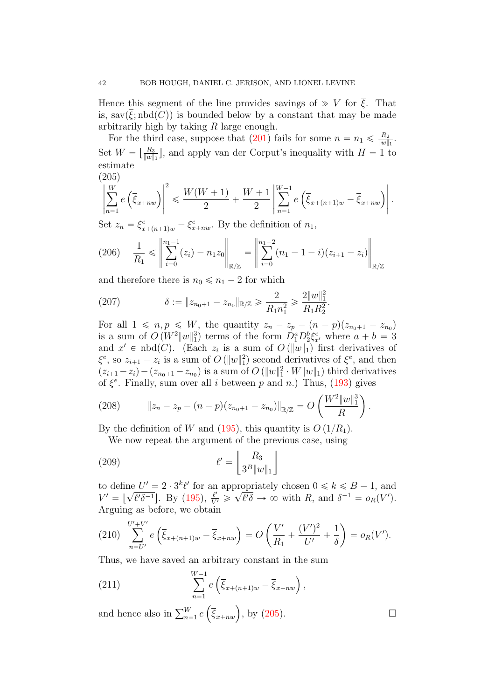Hence this segment of the line provides savings of  $\gg V$  for  $\overline{\xi}$ . That is, sav $(\overline{\xi}; \text{nbd}(C))$  is bounded below by a constant that may be made arbitrarily high by taking R large enough.

For the third case, suppose that [\(201\)](#page-40-0) fails for some  $n = n_1 \leq \frac{R_2}{\|w\|}$  $\frac{R_2}{\|w\|_1}.$ Set  $W = \lfloor \frac{R_3}{\|w\|} \rfloor$  $\frac{R_3}{\|w\|_1}$ , and apply van der Corput's inequality with  $H = 1$  to estimate

<span id="page-41-0"></span>
$$
\left|\sum_{n=1}^{W} e\left(\overline{\xi}_{x+nw}\right)\right|^2 \leq \frac{W(W+1)}{2} + \frac{W+1}{2} \left|\sum_{n=1}^{W-1} e\left(\overline{\xi}_{x+(n+1)w} - \overline{\xi}_{x+nw}\right)\right|.
$$

Set  $z_n = \xi_{x+(n+1)w}^e - \xi_{x+nw}^e$ . By the definition of  $n_1$ ,

$$
(206) \quad \frac{1}{R_1} \leq \left\| \sum_{i=0}^{n_1-1} (z_i) - n_1 z_0 \right\|_{\mathbb{R}/\mathbb{Z}} = \left\| \sum_{i=0}^{n_1-2} (n_1 - 1 - i)(z_{i+1} - z_i) \right\|_{\mathbb{R}/\mathbb{Z}}
$$

and therefore there is  $n_0 \le n_1 - 2$  for which

(207) 
$$
\delta := \|z_{n_0+1} - z_{n_0}\|_{\mathbb{R}/\mathbb{Z}} \ge \frac{2}{R_1 n_1^2} \ge \frac{2\|w\|_1^2}{R_1 R_2^2}.
$$

For all  $1 \leq n, p \leq W$ , the quantity  $z_n - z_p - (n - p)(z_{n_0+1} - z_{n_0})$ is a sum of  $O(W^2||w||_1^3)$  terms of the form  $D_1^a D_2^b \xi_{x'}^e$  where  $a + b = 3$ and  $x' \in \text{nbd}(C)$ . (Each  $z_i$  is a sum of  $O(\Vert w \Vert_1)$  first derivatives of  $\xi^e$ , so  $z_{i+1} - z_i$  is a sum of  $O(\Vert w \Vert_1^2)$  second derivatives of  $\xi^e$ , and then  $(z_{i+1} - z_i) - (z_{n_0+1} - z_{n_0})$  is a sum of  $O(||w||_1^2 \cdot W||w||_1)$  third derivatives of  $\xi^e$ . Finally, sum over all *i* between p and n.) Thus, [\(193\)](#page-38-2) gives  $\frac{100}{2}$ 

(208) 
$$
\|z_n - z_p - (n-p)(z_{n_0+1} - z_{n_0})\|_{\mathbb{R}/\mathbb{Z}} = O\left(\frac{W^2 \|w\|_1^3}{R}\right).
$$

By the definition of W and [\(195\)](#page-39-2), this quantity is  $O(1/R_1)$ .

We now repeat the argument of the previous case, using

$$
\ell' = \left\lfloor \frac{R_3}{3^B \|w\|_1} \right\rfloor
$$

to define  $U' = 2 \cdot 3^k \ell'$  for an appropriately chosen  $0 \le k \le B - 1$ , and  $V' = \left[ \sqrt{\ell' \delta^{-1}} \right]$ . By [\(195\)](#page-39-2),  $\frac{\ell'}{V'} \geqslant \sqrt{\ell' \delta} \to \infty$  with R, and  $\delta^{-1} = o_R(V')$ . Arguing as before, we obtain

(210) 
$$
\sum_{n=U'}^{U'+V'} e\left(\overline{\xi}_{x+(n+1)w} - \overline{\xi}_{x+nw}\right) = O\left(\frac{V'}{R_1} + \frac{(V')^2}{U'} + \frac{1}{\delta}\right) = o_R(V').
$$

Thus, we have saved an arbitrary constant in the sum

(211) 
$$
\sum_{n=1}^{W-1} e\left(\overline{\xi}_{x+(n+1)w} - \overline{\xi}_{x+nw}\right),
$$

and hence also in  $\sum_{n=1}^{W} e^{i\omega}$  $(\overline{\xi}_{x+nw}), \text{ by (205)}.$  $(\overline{\xi}_{x+nw}), \text{ by (205)}.$  $(\overline{\xi}_{x+nw}), \text{ by (205)}.$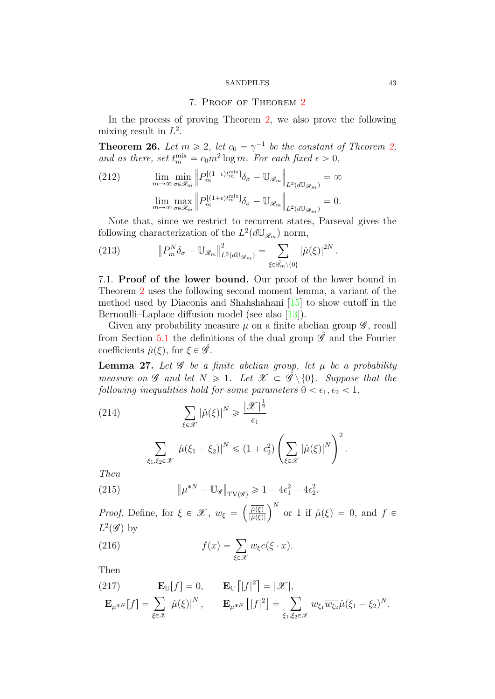## 7. Proof of Theorem [2](#page-2-0)

<span id="page-42-1"></span>In the process of proving Theorem [2,](#page-2-0) we also prove the following mixing result in  $L^2$ .

<span id="page-42-2"></span>**Theorem 26.** Let  $m \ge 2$ , let  $c_0 = \gamma^{-1}$  be the constant of Theorem [2,](#page-2-0) and as there, set  $t_m^{\text{mix}} = c_0 m^2 \log m$ . For each fixed  $\epsilon > 0$ ,

(212) 
$$
\lim_{m \to \infty} \min_{\sigma \in \mathcal{R}_m} \left\| P_m^{[(1-\epsilon)t_m^{\min}]} \delta_{\sigma} - \mathbb{U}_{\mathcal{R}_m} \right\|_{L^2(d\mathbb{U}_{\mathcal{R}_m})} = \infty
$$

$$
\lim_{m \to \infty} \max_{\sigma \in \mathcal{R}_m} \left\| P_m^{[(1+\epsilon)t_m^{\min}]} \delta_{\sigma} - \mathbb{U}_{\mathcal{R}_m} \right\|_{L^2(d\mathbb{U}_{\mathcal{R}_m})} = 0.
$$

Note that, since we restrict to recurrent states, Parseval gives the following characterization of the  $L^2(d\mathbb{U}_{\mathscr{R}_m})$  norm,

(213) 
$$
\left\|P_m^N \delta_{\sigma} - \mathbb{U}_{\mathscr{R}_m}\right\|_{L^2(d\mathbb{U}_{\mathscr{R}_m})}^2 = \sum_{\xi \in \hat{\mathscr{G}}_m \setminus \{0\}} |\hat{\mu}(\xi)|^{2N}.
$$

7.1. Proof of the lower bound. Our proof of the lower bound in Theorem [2](#page-2-0) uses the following second moment lemma, a variant of the method used by Diaconis and Shahshahani [\[15\]](#page-57-7) to show cutoff in the Bernoulli–Laplace diffusion model (see also [\[13\]](#page-56-1)).

Given any probability measure  $\mu$  on a finite abelian group  $\mathscr{G}$ , recall from Section [5.1](#page-22-0) the definitions of the dual group  $\hat{\mathscr{G}}$  and the Fourier coefficients  $\hat{\mu}(\xi)$ , for  $\xi \in \hat{\mathscr{G}}$ .

<span id="page-42-0"></span>**Lemma 27.** Let  $\mathscr G$  be a finite abelian group, let  $\mu$  be a probability measure on  $\mathscr G$  and let  $N \geq 1$ . Let  $\mathscr X \subset \mathscr G \setminus \{0\}$ . Suppose that the following inequalities hold for some parameters  $0 < \epsilon_1, \epsilon_2 < 1$ ,

(214)  
\n
$$
\sum_{\xi \in \mathcal{X}} |\hat{\mu}(\xi)|^N \ge \frac{|\mathcal{X}|^{\frac{1}{2}}}{\epsilon_1}
$$
\n
$$
\sum_{\xi_1, \xi_2 \in \mathcal{X}} |\hat{\mu}(\xi_1 - \xi_2)|^N \le (1 + \epsilon_2^2) \left( \sum_{\xi \in \mathcal{X}} |\hat{\mu}(\xi)|^N \right)^2.
$$
\nThen

Then

(215) 
$$
\|\mu^{*N} - \mathbb{U}_{\mathscr{G}}\|_{\text{TV}(\mathscr{G})} \geq 1 - 4\epsilon_1^2 - 4\epsilon_2^2.
$$

*Proof.* Define, for  $\xi \in \mathcal{X}$ ,  $w_{\xi} =$  $\hat{\mu}(\xi)$  $\frac{\overline{\hat{\mu}(\xi)}}{|\hat{\mu}(\xi)|}\right)^N$  or 1 if  $\hat{\mu}(\xi) = 0$ , and  $f \in$  $L^2(\mathscr{G})$  by

(216) 
$$
f(x) = \sum_{\xi \in \mathscr{X}} w_{\xi} e(\xi \cdot x).
$$

Then

Then  
\n(217) 
$$
\mathbf{E}_{\mathbb{U}}[f] = 0, \qquad \mathbf{E}_{\mathbb{U}}[|f|^2] = |\mathscr{X}|,
$$
\n
$$
\mathbf{E}_{\mu^{*N}}[f] = \sum_{\xi \in \mathscr{X}} |\hat{\mu}(\xi)|^N, \qquad \mathbf{E}_{\mu^{*N}}[|f|^2] = \sum_{\xi_1, \xi_2 \in \mathscr{X}} w_{\xi_1} \overline{w_{\xi_2}} \hat{\mu}(\xi_1 - \xi_2)^N.
$$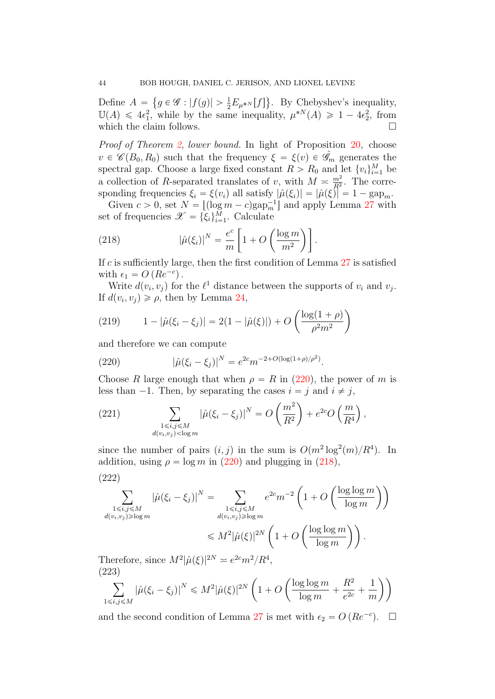Define  $A =$ i.  $g \in \mathscr{G} : |f(g)| > \frac{1}{2} E_{\mu^{*N}}[f]$  $\mathbf{r}$ . By Chebyshev's inequality,  $\mathbb{U}(A) \leq 4\epsilon_1^2$ , while by the same inequality,  $\mu^{*N}(A) \geq 1 - 4\epsilon_2^2$ , from which the claim follows.  $\Box$ 

Proof of Theorem [2,](#page-2-0) lower bound. In light of Proposition [20,](#page-27-0) choose  $v \in \mathscr{C}(B_0, R_0)$  such that the frequency  $\xi = \xi(v) \in \mathscr{G}_m$  generates the spectral gap. Choose a large fixed constant  $R > R_0$  and let  $\{v_i\}_{i=1}^M$  be a collection of R-separated translates of v, with  $M \approx \frac{m^2}{R^2}$  $\frac{m^2}{R^2}$ . The corresponding frequencies  $\xi_i = \xi(v_i)$  all satisfy  $|\hat{\mu}(\xi_i)| = |\hat{\mu}(\xi)| = 1 - \text{gap}_m$ .

Given  $c > 0$ , set  $N = \lfloor (\log m - c) \text{gap}_m^{-1} \rfloor$  and apply Lemma [27](#page-42-0) with set of frequencies  $\mathscr{X} = {\xi_i}_{i=1}^M$ . Calculate 。<br>-<br>-

<span id="page-43-1"></span>(218) 
$$
|\hat{\mu}(\xi_i)|^N = \frac{e^c}{m} \left[ 1 + O\left(\frac{\log m}{m^2}\right) \right].
$$

If c is sufficiently large, then the first condition of Lemma  $27$  is satisfied with  $\epsilon_1 = O\left(Re^{-c}\right)$ .

Write  $d(v_i, v_j)$  for the  $\ell^1$  distance between the supports of  $v_i$  and  $v_j$ . If  $d(v_i, v_j) \ge \rho$ , then by Lemma [24,](#page-35-1) ˆ ˙

(219) 
$$
1 - |\hat{\mu}(\xi_i - \xi_j)| = 2(1 - |\hat{\mu}(\xi)|) + O\left(\frac{\log(1 + \rho)}{\rho^2 m^2}\right)
$$

and therefore we can compute

<span id="page-43-0"></span>(220) 
$$
|\hat{\mu}(\xi_i - \xi_j)|^N = e^{2c} m^{-2 + O(\log(1+\rho)/\rho^2)}.
$$

Choose R large enough that when  $\rho = R$  in [\(220\)](#page-43-0), the power of m is less than  $-1$ . Then, by separating the cases  $i = j$  and  $i \neq j$ ,

(221) 
$$
\sum_{\substack{1 \le i,j \le M \\ d(v_i,v_j) < \log m}} |\hat{\mu}(\xi_i - \xi_j)|^N = O\left(\frac{m^2}{R^2}\right) + e^{2c}O\left(\frac{m}{R^4}\right),
$$

since the number of pairs  $(i, j)$  in the sum is  $O(m^2 \log^2(m)/R^4)$ . In addition, using  $\rho = \log m$  in [\(220\)](#page-43-0) and plugging in [\(218\)](#page-43-1),

$$
(222)
$$

222)  
\n
$$
\sum_{\substack{1 \le i,j \le M \\ d(v_i,v_j) \ge \log m}} |\hat{\mu}(\xi_i - \xi_j)|^N = \sum_{\substack{1 \le i,j \le M \\ d(v_i,v_j) \ge \log m}} e^{2c} m^{-2} \left(1 + O\left(\frac{\log \log m}{\log m}\right)\right)
$$
\n
$$
\le M^2 |\hat{\mu}(\xi)|^{2N} \left(1 + O\left(\frac{\log \log m}{\log m}\right)\right).
$$

Therefore, since  $M^2|\hat{\mu}(\xi)|^{2N} \approx e^{2c}m^2/R^4$ ,  $(223)$ ˆ

223)  

$$
\sum_{1 \le i,j \le M} |\hat{\mu}(\xi_i - \xi_j)|^N \le M^2 |\hat{\mu}(\xi)|^{2N} \left( 1 + O\left( \frac{\log \log m}{\log m} + \frac{R^2}{e^{2c}} + \frac{1}{m} \right) \right)
$$

and the second condition of Lemma [27](#page-42-0) is met with  $\epsilon_2 = O(Re^{-c})$ .  $\Box$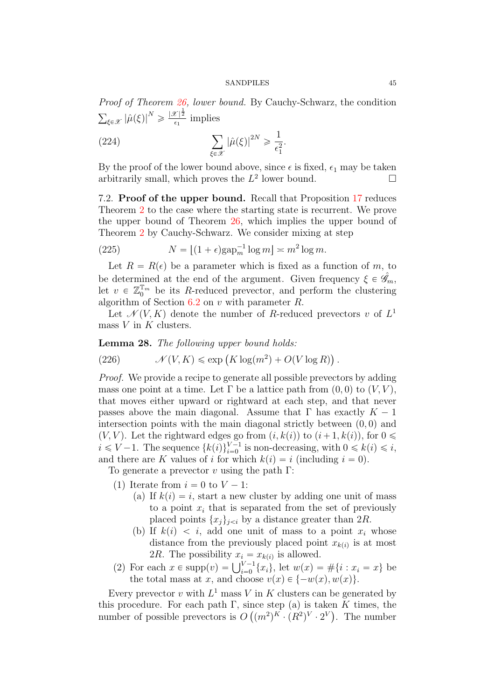Proof of Theorem [26,](#page-42-2) lower bound. By Cauchy-Schwarz, the condition  $\overline{a}$  $_{\xi \in \mathscr{X}} \left| \hat{\mu}(\xi) \right|^N \geqslant \frac{|\mathscr{X}|^{\frac{1}{2}}}{\epsilon_1}$  $rac{\epsilon_1^2}{\epsilon_1}$  implies

(224) 
$$
\sum_{\xi \in \mathscr{X}} |\hat{\mu}(\xi)|^{2N} \geqslant \frac{1}{\epsilon_1^2}.
$$

By the proof of the lower bound above, since  $\epsilon$  is fixed,  $\epsilon_1$  may be taken arbitrarily small, which proves the  $L^2$  lower bound.

7.2. Proof of the upper bound. Recall that Proposition [17](#page-22-3) reduces Theorem [2](#page-2-0) to the case where the starting state is recurrent. We prove the upper bound of Theorem [26,](#page-42-2) which implies the upper bound of Theorem [2](#page-2-0) by Cauchy-Schwarz. We consider mixing at step

(225) 
$$
N = \lfloor (1 + \epsilon) \text{gap}_m^{-1} \log m \rfloor \asymp m^2 \log m.
$$

Let  $R = R(\epsilon)$  be a parameter which is fixed as a function of m, to be determined at the end of the argument. Given frequency  $\xi \in \hat{\mathscr{G}}_m$ , let  $v \in \mathbb{Z}_0^{\mathbb{T}_m}$  be its R-reduced prevector, and perform the clustering algorithm of Section  $6.2$  on v with parameter R.

Let  $\mathcal{N}(V, K)$  denote the number of R-reduced prevectors v of  $L^1$ mass  $V$  in  $K$  clusters.

**Lemma 28.** The following upper bound holds:  
(226) 
$$
\mathcal{N}(V, K) \le \exp(K \log(m^2) + O(V \log R)).
$$

Proof. We provide a recipe to generate all possible prevectors by adding mass one point at a time. Let  $\Gamma$  be a lattice path from  $(0, 0)$  to  $(V, V)$ , that moves either upward or rightward at each step, and that never passes above the main diagonal. Assume that  $\Gamma$  has exactly  $K - 1$ intersection points with the main diagonal strictly between  $(0, 0)$  and  $(V, V)$ . Let the rightward edges go from  $(i, k(i))$  to  $(i+1, k(i))$ , for  $0 \leq$  $i \leq V-1$ . The sequence  $\{k(i)\}_{i=0}^{V-1}$  is non-decreasing, with  $0 \leq k(i) \leq i$ , and there are K values of i for which  $k(i) = i$  (including  $i = 0$ ).

To generate a prevector v using the path  $\Gamma$ :

(1) Iterate from  $i = 0$  to  $V - 1$ :

- (a) If  $k(i) = i$ , start a new cluster by adding one unit of mass to a point  $x_i$  that is separated from the set of previously placed points  $\{x_j\}_{j \leq i}$  by a distance greater than  $2R$ .
- (b) If  $k(i) < i$ , add one unit of mass to a point  $x_i$  whose distance from the previously placed point  $x_{k(i)}$  is at most
- 2R. The possibility  $x_i = x_{k(i)}$  is allowed.<br>(2) For each  $x \in \text{supp}(v) = \bigcup_{i=0}^{V-1} \{x_i\}$ , let  $w(x) = \#\{i : x_i = x\}$  be the total mass at x, and choose  $v(x) \in \{-w(x), w(x)\}.$

Every prevector v with  $L^1$  mass V in K clusters can be generated by this procedure. For each path  $\Gamma$ , since step (a) is taken K times, the number of possible prevectors is  $O(n^2)^K \cdot (R^2)^V \cdot 2^V$ . The number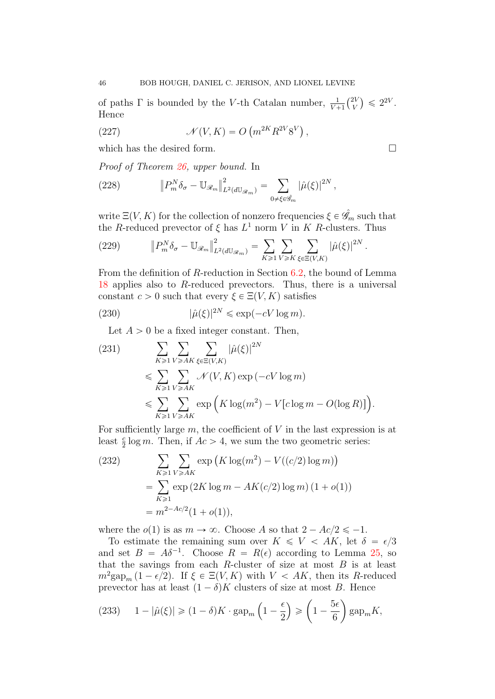of paths  $\Gamma$  is bounded by the V-th Catalan number,  $\frac{1}{V+1}$  $\ell^{2V}$ V ˘  $\leqslant 2^{2V}$ . Hence

(227) 
$$
\mathcal{N}(V,K) = O\left(m^{2K}R^{2V}8^V\right),
$$

which has the desired form.

Proof of Theorem [26,](#page-42-2) upper bound. In

(228) 
$$
\|P_m^N \delta_\sigma - \mathbb{U}_{\mathscr{R}_m}\|_{L^2(d\mathbb{U}_{\mathscr{R}_m})}^2 = \sum_{0 \neq \xi \in \hat{\mathscr{G}}_m} |\hat{\mu}(\xi)|^{2N},
$$

write  $\Xi(V, K)$  for the collection of nonzero frequencies  $\xi \in \hat{\mathscr{G}}_m$  such that the R-reduced prevector of  $\xi$  has  $L^1$  norm V in K R-clusters. Thus

<span id="page-45-0"></span>(229) 
$$
\|P_m^N \delta_\sigma - \mathbb{U}_{\mathscr{R}_m}\|_{L^2(d\mathbb{U}_{\mathscr{R}_m})}^2 = \sum_{K \geq 1} \sum_{V \geq K} \sum_{\xi \in \Xi(V,K)} |\hat{\mu}(\xi)|^{2N}.
$$

From the definition of R-reduction in Section [6.2,](#page-37-0) the bound of Lemma [18](#page-24-1) applies also to R-reduced prevectors. Thus, there is a universal constant  $c > 0$  such that every  $\xi \in \Xi(V, K)$  satisfies

(230) 
$$
|\hat{\mu}(\xi)|^{2N} \leq \exp(-cV \log m).
$$

Let  $A > 0$  be a fixed integer constant. Then,

(231) 
$$
\sum_{K \geq 1} \sum_{V \geq AK} \sum_{\xi \in \Xi(V,K)} |\hat{\mu}(\xi)|^{2N}
$$

$$
\leq \sum_{K \geq 1} \sum_{V \geq AK} \mathcal{N}(V,K) \exp(-cV \log m)
$$

$$
\leq \sum_{K \geq 1} \sum_{V \geq AK} \exp\left(K \log(m^2) - V[c \log m - O(\log R)]\right).
$$

For sufficiently large  $m$ , the coefficient of  $V$  in the last expression is at least  $\frac{c}{2} \log m$ . Then, if  $Ac > 4$ , we sum the two geometric series:

(232)  
\n
$$
\sum_{K \geq 1} \sum_{V \geq AK} \exp\left(K \log(m^2) - V((c/2) \log m)\right)
$$
\n
$$
= \sum_{K \geq 1} \exp\left(2K \log m - AK(c/2) \log m\right) (1 + o(1))
$$
\n
$$
= m^{2 - Ac/2} (1 + o(1)),
$$

where the  $o(1)$  is as  $m \to \infty$ . Choose A so that  $2 - Ac/2 \le -1$ .

To estimate the remaining sum over  $K \leq V \leq AK$ , let  $\delta = \epsilon/3$ and set  $B = A\delta^{-1}$ . Choose  $R = R(\epsilon)$  according to Lemma [25,](#page-38-0) so that the savings from each  $R$ -cluster of size at most  $B$  is at least  $m^2 \text{gap}_m (1 - \epsilon/2)$ . If  $\xi \in \Xi(V, K)$  with  $V < AK$ , then its R-reduced prevector has at least  $(1 - \delta)K$  clusters of size at most B. Hence

(233) 
$$
1 - |\hat{\mu}(\xi)| \geq (1 - \delta)K \cdot \text{gap}_m\left(1 - \frac{\epsilon}{2}\right) \geq \left(1 - \frac{5\epsilon}{6}\right) \text{gap}_m K,
$$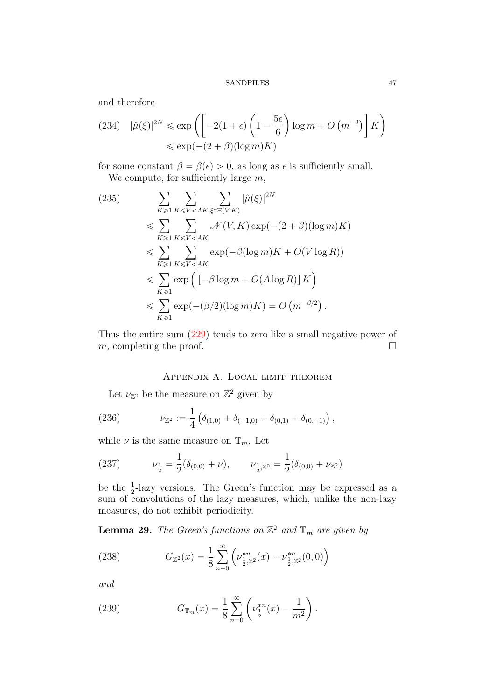and therefore

(234) 
$$
|\hat{\mu}(\xi)|^{2N} \le \exp\left(-2(1+\epsilon)\left(1-\frac{5\epsilon}{6}\right)\log m + O\left(m^{-2}\right)\right]K\right) \le \exp(-(2+\beta)(\log m)K)
$$

for some constant  $\beta = \beta(\epsilon) > 0$ , as long as  $\epsilon$  is sufficiently small. We compute, for sufficiently large  $m$ ,

(235)  
\n
$$
\sum_{K \geq 1} \sum_{K \leq V < AK} \sum_{\xi \in \Xi(V,K)} |\hat{\mu}(\xi)|^{2N}
$$
\n
$$
\leq \sum_{K \geq 1} \sum_{K \leq V < AK} \mathcal{N}(V,K) \exp(-(2+\beta)(\log m)K)
$$
\n
$$
\leq \sum_{K \geq 1} \sum_{K \leq V < AK} \exp(-\beta(\log m)K + O(V \log R))
$$
\n
$$
\leq \sum_{K \geq 1} \exp\left([- \beta \log m + O(A \log R)] K\right)
$$
\n
$$
\leq \sum_{K \geq 1} \exp(-(\beta/2)(\log m)K) = O\left(m^{-\beta/2}\right).
$$

Thus the entire sum [\(229\)](#page-45-0) tends to zero like a small negative power of m, completing the proof.  $\Box$ 

# Appendix A. Local limit theorem

<span id="page-46-0"></span>Let  $\nu_{\mathbb{Z}^2}$  be the measure on  $\mathbb{Z}^2$  given by

(236) 
$$
\nu_{\mathbb{Z}^2} := \frac{1}{4} \left( \delta_{(1,0)} + \delta_{(-1,0)} + \delta_{(0,1)} + \delta_{(0,-1)} \right),
$$

while  $\nu$  is the same measure on  $\mathbb{T}_m$ . Let

(237) 
$$
\nu_{\frac{1}{2}} = \frac{1}{2}(\delta_{(0,0)} + \nu), \qquad \nu_{\frac{1}{2},\mathbb{Z}^2} = \frac{1}{2}(\delta_{(0,0)} + \nu_{\mathbb{Z}^2})
$$

be the  $\frac{1}{2}$ -lazy versions. The Green's function may be expressed as a sum of convolutions of the lazy measures, which, unlike the non-lazy measures, do not exhibit periodicity.

**Lemma 29.** The Green's functions on  $\mathbb{Z}^2$  and  $\mathbb{T}_m$  are given by

(238) 
$$
G_{\mathbb{Z}^2}(x) = \frac{1}{8} \sum_{n=0}^{\infty} \left( \nu_{\frac{1}{2}, \mathbb{Z}^2}^{*n}(x) - \nu_{\frac{1}{2}, \mathbb{Z}^2}^{*n}(0, 0) \right)
$$

and

(239) 
$$
G_{\mathbb{T}_m}(x) = \frac{1}{8} \sum_{n=0}^{\infty} \left( \nu_{\frac{1}{2}}^{*n}(x) - \frac{1}{m^2} \right).
$$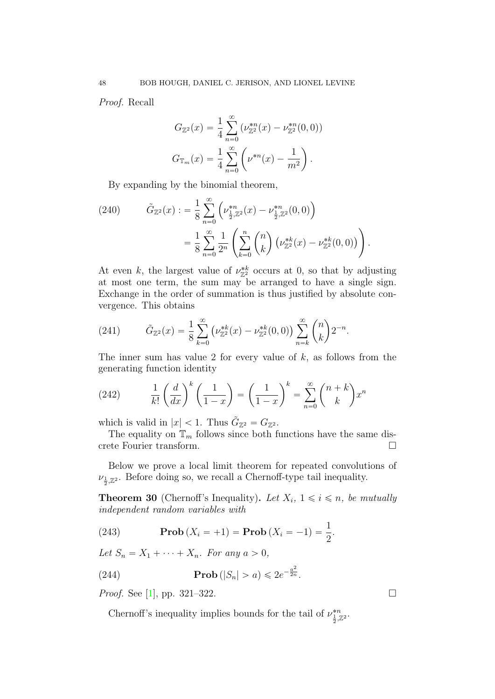Proof. Recall

$$
G_{\mathbb{Z}^2}(x) = \frac{1}{4} \sum_{n=0}^{\infty} (\nu_{\mathbb{Z}^2}^{*n}(x) - \nu_{\mathbb{Z}^2}^{*n}(0,0))
$$
  

$$
G_{\mathbb{T}_m}(x) = \frac{1}{4} \sum_{n=0}^{\infty} (\nu^{*n}(x) - \frac{1}{m^2}).
$$

By expanding by the binomial theorem,

(240) 
$$
\tilde{G}_{\mathbb{Z}^2}(x) := \frac{1}{8} \sum_{n=0}^{\infty} \left( \nu_{\frac{1}{2}, \mathbb{Z}^2}^{*n}(x) - \nu_{\frac{1}{2}, \mathbb{Z}^2}^{*n}(0, 0) \right)
$$

$$
= \frac{1}{8} \sum_{n=0}^{\infty} \frac{1}{2^n} \left( \sum_{k=0}^{n} {n \choose k} \left( \nu_{\mathbb{Z}^2}^{*k}(x) - \nu_{\mathbb{Z}^2}^{*k}(0, 0) \right) \right).
$$

At even k, the largest value of  $\nu_{\mathbb{Z}^2}^*$  occurs at 0, so that by adjusting at most one term, the sum may be arranged to have a single sign. Exchange in the order of summation is thus justified by absolute convergence. This obtains

(241) 
$$
\tilde{G}_{\mathbb{Z}^2}(x) = \frac{1}{8} \sum_{k=0}^{\infty} \left( \nu_{\mathbb{Z}^2}^{*k}(x) - \nu_{\mathbb{Z}^2}^{*k}(0,0) \right) \sum_{n=k}^{\infty} {n \choose k} 2^{-n}.
$$

The inner sum has value 2 for every value of  $k$ , as follows from the generating function identity

(242) 
$$
\frac{1}{k!} \left(\frac{d}{dx}\right)^k \left(\frac{1}{1-x}\right) = \left(\frac{1}{1-x}\right)^k = \sum_{n=0}^{\infty} {n+k \choose k} x^n
$$

which is valid in  $|x| < 1$ . Thus  $\tilde{G}_{\mathbb{Z}^2} = G_{\mathbb{Z}^2}$ .

The equality on  $\mathbb{T}_m$  follows since both functions have the same discrete Fourier transform.

Below we prove a local limit theorem for repeated convolutions of  $\nu_{\frac{1}{2},\mathbb{Z}^2}$ . Before doing so, we recall a Chernoff-type tail inequality.

<span id="page-47-0"></span>**Theorem 30** (Chernoff's Inequality). Let  $X_i$ ,  $1 \leq i \leq n$ , be mutually independent random variables with

(243) 
$$
\mathbf{Prob}(X_i = +1) = \mathbf{Prob}(X_i = -1) = \frac{1}{2}.
$$

Let  $S_n = X_1 + \cdots + X_n$ . For any  $a > 0$ ,

(244) 
$$
\mathbf{Prob}(|S_n| > a) \leq 2e^{-\frac{a^2}{2n}}.
$$

*Proof.* See [\[1\]](#page-56-13), pp. 321–322.

Chernoff's inequality implies bounds for the tail of  $\nu_{\frac{1}{2},\mathbb{Z}^2}^{*n}$ .

$$
48 \\
$$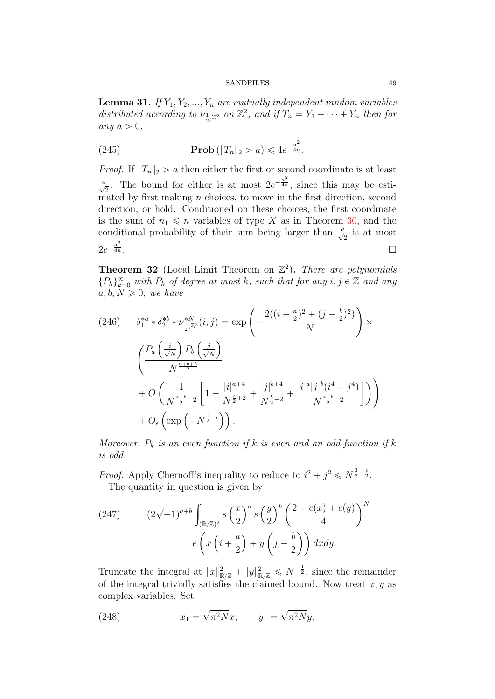<span id="page-48-0"></span>**Lemma 31.** If  $Y_1, Y_2, ..., Y_n$  are mutually independent random variables distributed according to  $\nu_{\frac{1}{2},\mathbb{Z}^2}$  on  $\mathbb{Z}^2$ , and if  $T_n = Y_1 + \cdots + Y_n$  then for any  $a > 0$ ,

(245) **Prob** 
$$
(||T_n||_2 > a) \leq 4e^{-\frac{a^2}{4n}}
$$
.

*Proof.* If  $||T_n||_2 > a$  then either the first or second coordinate is at least  $\frac{a}{\sqrt{2}}$ . The bound for either is at most  $2e^{-\frac{a^2}{4n}}$ , since this may be esti- $\frac{v^2}{m}$  mated by first making *n* choices, to move in the first direction, second direction, or hold. Conditioned on these choices, the first coordinate is the sum of  $n_1 \leq n$  variables of type X as in Theorem [30,](#page-47-0) and the conditional probability of their sum being larger than  $\frac{a}{\sqrt{2}}$  is at most  $2e^{-\frac{a^2}{4n}}$  $\frac{a^2}{4n}$ .

**Theorem 32** (Local Limit Theorem on  $\mathbb{Z}^2$ ). There are polynomials  ${P_k}_{k=0}^{\infty}$  with  $P_k$  of degree at most k, such that for any  $i, j \in \mathbb{Z}$  and any  $a, b, N \geq 0$ , we have

$$
(246) \qquad \delta_1^{*a} * \delta_2^{*b} * \nu_{\frac{1}{2},\mathbb{Z}^2}^{*N}(i,j) = \exp\left(-\frac{2((i+\frac{a}{2})^2 + (j+\frac{b}{2})^2)}{N}\right) \times \left(\frac{P_a\left(\frac{i}{\sqrt{N}}\right)P_b\left(\frac{j}{\sqrt{N}}\right)}{N^{\frac{a+b+2}{2}}} + O\left(\frac{1}{N^{\frac{a+b}{2}+2}}\left[1 + \frac{|i|^{a+4}}{N^{\frac{a}{2}+2}} + \frac{|j|^{b+4}}{N^{\frac{b}{2}+2}} + \frac{|i|^a|j|^b(i^4+j^4)}{N^{\frac{a+b}{2}+2}}\right]\right)\right) + O_{\epsilon}\left(\exp\left(-N^{\frac{1}{2}-\epsilon}\right)\right).
$$

Moreover,  $P_k$  is an even function if k is even and an odd function if k is odd.

*Proof.* Apply Chernoff's inequality to reduce to  $i^2 + j^2 \le N^{\frac{3}{2} - \frac{\epsilon}{2}}$ . The quantity in question is given by

(247) 
$$
(2\sqrt{-1})^{a+b} \int_{(\mathbb{R}/\mathbb{Z})^2} s\left(\frac{x}{2}\right)^a s\left(\frac{y}{2}\right)^b \left(\frac{2+c(x)+c(y)}{4}\right)^N
$$

$$
e\left(x\left(i+\frac{a}{2}\right)+y\left(j+\frac{b}{2}\right)\right)dxdy.
$$

Truncate the integral at  $||x||^2_{\mathbb{R}/\mathbb{Z}} + ||y||^2_{\mathbb{R}/\mathbb{Z}} \leq N^{-\frac{1}{2}}$ , since the remainder of the integral trivially satisfies the claimed bound. Now treat  $x, y$  as complex variables. Set

(248) 
$$
x_1 = \sqrt{\pi^2 N} x
$$
,  $y_1 = \sqrt{\pi^2 N} y$ .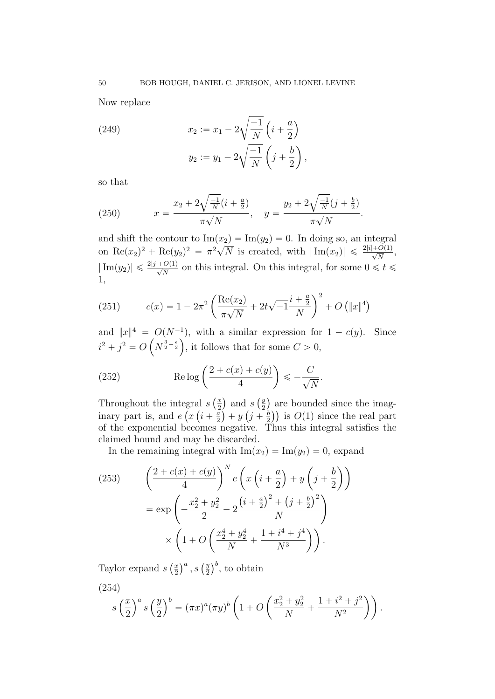Now replace

(249) 
$$
x_2 := x_1 - 2\sqrt{\frac{-1}{N}} \left(i + \frac{a}{2}\right) \n y_2 := y_1 - 2\sqrt{\frac{-1}{N}} \left(j + \frac{b}{2}\right),
$$

so that

(250) 
$$
x = \frac{x_2 + 2\sqrt{\frac{-1}{N}}(i + \frac{a}{2})}{\pi\sqrt{N}}, \quad y = \frac{y_2 + 2\sqrt{\frac{-1}{N}}(j + \frac{b}{2})}{\pi\sqrt{N}}.
$$

and shift the contour to  $\text{Im}(x_2) = \text{Im}(y_2) = 0$ . In doing so, an integral on Re $(x_2)^2$  + Re $(y_2)^2 = \pi^2 \sqrt{N}$  is created, with  $|\text{Im}(x_2)| \leq \frac{2|i|+O(1)}{\sqrt{N}}$ ,  $|\text{Im}(y_2)| \leq \frac{2|j|+O(1)}{\sqrt{N}}$  on this integral. On this integral, for some  $0 \leq t \leq \frac{2|j|+O(1)}{\sqrt{N}}$ 1,

(251) 
$$
c(x) = 1 - 2\pi^2 \left( \frac{\text{Re}(x_2)}{\pi\sqrt{N}} + 2t\sqrt{-1} \frac{i + \frac{a}{2}}{N} \right)^2 + O\left( \|x\|^4 \right)
$$

and  $||x||^4 = O(N^{-1})$ , with a similar expression for  $1 - c(y)$ . Since  $i^2 + j^2 = O\left(N^{\frac{3}{2} - \frac{\epsilon}{2}}\right)$ , it follows that for some  $C > 0$ ,

(252) 
$$
\operatorname{Re}\log\left(\frac{2+c(x)+c(y)}{4}\right) \leq -\frac{C}{\sqrt{N}}.
$$

Throughout the integral s  $\int \frac{x}{2}$ 2 and s ` y 2 are bounded since the imaginary part is, and e  $\epsilon$  $\boldsymbol{x}$  $^{\rm a}$  $i + \frac{a}{2}$ 2  $\cdot$  $+ y$  $\mathbf{1}$  $j + \frac{b}{2}$ 2  $\alpha$ is  $O(1)$  since the real part of the exponential becomes negative. Thus this integral satisfies the claimed bound and may be discarded.

In the remaining integral with  $\text{Im}(x_2) = \text{Im}(y_2) = 0$ , expand

(253) 
$$
\left(\frac{2+c(x)+c(y)}{4}\right)^N e\left(x\left(i+\frac{a}{2}\right)+y\left(j+\frac{b}{2}\right)\right) = \exp\left(-\frac{x_2^2+y_2^2}{2}-2\frac{\left(i+\frac{a}{2}\right)^2+\left(j+\frac{b}{2}\right)^2}{N}\right) \times \left(1+O\left(\frac{x_2^4+y_2^4}{N}+\frac{1+i^4+j^4}{N^3}\right)\right).
$$

Taylor expand s  $\int x$ 2  $\big)^a$ , s  $\big(\frac{y}{2}\big)$ 2  $\big)^b$ , to obtain

(254)

$$
s\left(\frac{x}{2}\right)^a s\left(\frac{y}{2}\right)^b = (\pi x)^a (\pi y)^b \left(1 + O\left(\frac{x_2^2 + y_2^2}{N} + \frac{1 + i^2 + j^2}{N^2}\right)\right).
$$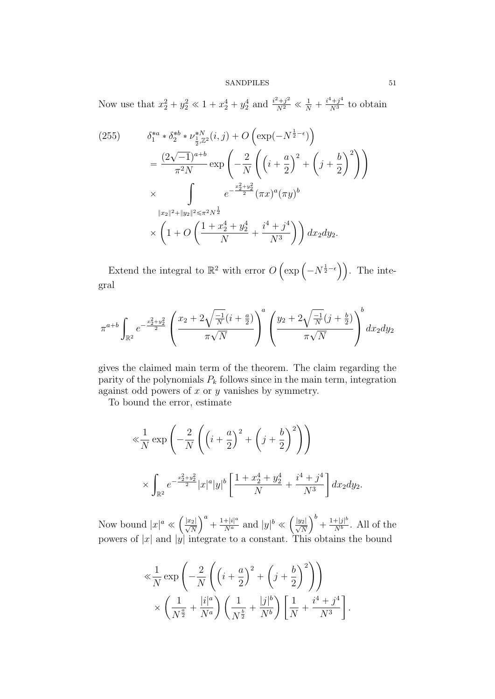Now use that  $x_2^2 + y_2^2 \ll 1 + x_2^4 + y_2^4$  and  $\frac{i^2 + j^2}{N^2} \ll \frac{1}{N} + \frac{i^4 + j^4}{N^3}$  to obtain

$$
(255) \qquad \delta_1^{*a} * \delta_2^{*b} * \nu_{\frac{1}{2},\mathbb{Z}^2}^{*N}(i,j) + O\left(\exp(-N^{\frac{1}{2}-\epsilon})\right)
$$
  

$$
= \frac{(2\sqrt{-1})^{a+b}}{\pi^2 N} \exp\left(-\frac{2}{N}\left(\left(i+\frac{a}{2}\right)^2 + \left(j+\frac{b}{2}\right)^2\right)\right)
$$
  

$$
\times \int_{\mathbb{Z}^2} e^{-\frac{x_2^2 + y_2^2}{2}} (\pi x)^a (\pi y)^b
$$
  

$$
\|x_2\|^2 + \|y_2\|^2 \le \pi^2 N^{\frac{1}{2}}
$$
  

$$
\times \left(1 + O\left(\frac{1 + x_2^4 + y_2^4}{N} + \frac{i^4 + j^4}{N^3}\right)\right) dx_2 dy_2.
$$

Extend the integral to  $\mathbb{R}^2$  with error O  $\left(\exp\left(-N^{\frac{1}{2}-\epsilon}\right)\right)$ **The Contract of Contract of Contract of Contract of Contract of Contract of Contract of Contract of Contract o** . The integral

$$
\pi^{a+b} \int_{\mathbb{R}^2} e^{-\frac{x_2^2 + y_2^2}{2}} \left( \frac{x_2 + 2\sqrt{\frac{-1}{N}}(i + \frac{a}{2})}{\pi \sqrt{N}} \right)^a \left( \frac{y_2 + 2\sqrt{\frac{-1}{N}}(j + \frac{b}{2})}{\pi \sqrt{N}} \right)^b dx_2 dy_2
$$

gives the claimed main term of the theorem. The claim regarding the parity of the polynomials  $P_k$  follows since in the main term, integration against odd powers of  $x$  or  $y$  vanishes by symmetry.

To bound the error, estimate

$$
\ll \frac{1}{N} \exp\left(-\frac{2}{N}\left(\left(i+\frac{a}{2}\right)^2 + \left(j+\frac{b}{2}\right)^2\right)\right)
$$
  
 
$$
\times \int_{\mathbb{R}^2} e^{-\frac{x_2^2 + y_2^2}{2}} |x|^a |y|^b \left[\frac{1 + x_2^4 + y_2^4}{N} + \frac{i^4 + j^4}{N^3}\right] dx_2 dy_2.
$$

Now bound  $|x|^a \ll$ **O**  $\frac{|x_2|}{\sqrt{N}}$  $\sqrt{a}$  $+$   $\frac{1+|i|^{a}}{N^{a}}$  and  $|y|^{b}$   $\ll$ **O**  $\frac{|y_2|}{\sqrt{N}}$  $\sqrt{b}$  $+\frac{1+|j|^{b}}{N^{b}}$  $\frac{+|j|^{\circ}}{N^b}$ . All of the powers of  $|x|$  and  $|y|$  integrate to a constant. This obtains the bound

$$
\ll \frac{1}{N} \exp\left(-\frac{2}{N}\left(\left(i+\frac{a}{2}\right)^2 + \left(j+\frac{b}{2}\right)^2\right)\right)
$$

$$
\times \left(\frac{1}{N^{\frac{a}{2}}} + \frac{|i|^a}{N^a}\right)\left(\frac{1}{N^{\frac{b}{2}}} + \frac{|j|^b}{N^b}\right)\left[\frac{1}{N} + \frac{i^4 + j^4}{N^3}\right]
$$

.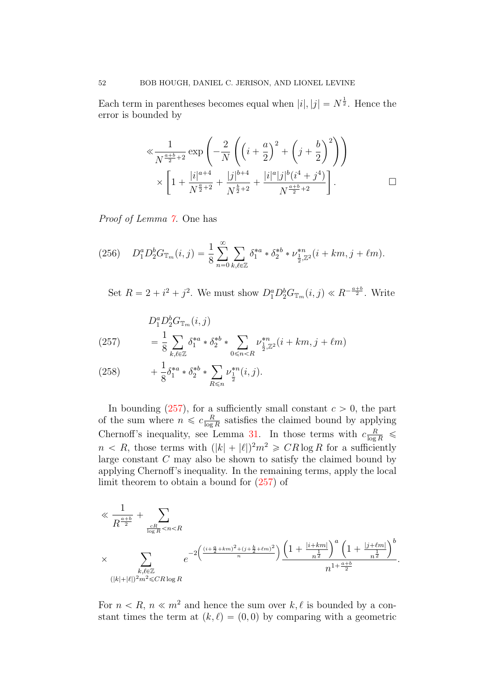Each term in parentheses becomes equal when  $|i|, |j| = N^{\frac{1}{2}}$ . Hence the error is bounded by

$$
\ll \frac{1}{N^{\frac{a+b}{2}+2}} \exp\left(-\frac{2}{N}\left(\left(i+\frac{a}{2}\right)^2 + \left(j+\frac{b}{2}\right)^2\right)\right) \times \left[1+\frac{|i|^{a+4}}{N^{\frac{a}{2}+2}} + \frac{|j|^{b+4}}{N^{\frac{b}{2}+2}} + \frac{|i|^a|j|^b(i^4+j^4)}{N^{\frac{a+b}{2}+2}}\right].
$$

Proof of Lemma [7.](#page-14-0) One has

(256) 
$$
D_1^a D_2^b G_{\mathbb{T}_m}(i,j) = \frac{1}{8} \sum_{n=0}^{\infty} \sum_{k,\ell \in \mathbb{Z}} \delta_1^{*a} * \delta_2^{*b} * \nu_{\frac{1}{2},\mathbb{Z}^2}^{*n} (i+km, j+ \ell m).
$$

Set  $R = 2 + i^2 + j^2$ . We must show  $D_1^a D_2^b G_{\mathbb{T}_m}(i, j) \ll R^{-\frac{a+b}{2}}$ . Write

<span id="page-51-0"></span>(257) 
$$
D_1^a D_2^b G_{\mathbb{T}_m}(i, j) = \frac{1}{8} \sum_{k, \ell \in \mathbb{Z}} \delta_1^{*a} * \delta_2^{*b} * \sum_{0 \le n < R} \nu_{\frac{1}{2}, \mathbb{Z}^2}^{*n} (i + km, j + \ell m)
$$

<span id="page-51-1"></span>(258) 
$$
+ \frac{1}{8} \delta_1^{*a} * \delta_2^{*b} * \sum_{R \leq n} \nu_{\frac{1}{2}}^{*n}(i,j).
$$

In bounding  $(257)$ , for a sufficiently small constant  $c > 0$ , the part of the sum where  $n \leqslant c \frac{R}{\log n}$  $\frac{R}{\log R}$  satisfies the claimed bound by applying Chernoff's inequality, see Lemma [31.](#page-48-0) In those terms with  $c \frac{R}{\log R} \leq$  $n < R$ , those terms with  $(|k| + |\ell|)^2 m^2 \geqslant CR \log R$  for a sufficiently large constant  $C$  may also be shown to satisfy the claimed bound by applying Chernoff's inequality. In the remaining terms, apply the local limit theorem to obtain a bound for [\(257\)](#page-51-0) of

$$
\begin{split} &\ll \frac{1}{R^{\frac{a+b}{2}}} + \sum_{\frac{cR}{\log R} < n < R \\ &\times \sum_{\substack{k,\ell \in \mathbb{Z} \\ (|k|+|\ell|)^2 m^2 \leq C R \log R}} e^{-2\left(\frac{(i+\frac{a}{2}+km)^2+(j+\frac{b}{2}+\ell m)^2}{n}\right)} \underbrace{\left(1+\frac{|i+km|}{n^{\frac{1}{2}}}\right)^a \left(1+\frac{|j+\ell m|}{n^{\frac{1}{2}}}\right)^b}_{n^{1+\frac{a+b}{2}}} . \end{split}
$$

For  $n \leq R$ ,  $n \leq m^2$  and hence the sum over k,  $\ell$  is bounded by a constant times the term at  $(k, \ell) = (0, 0)$  by comparing with a geometric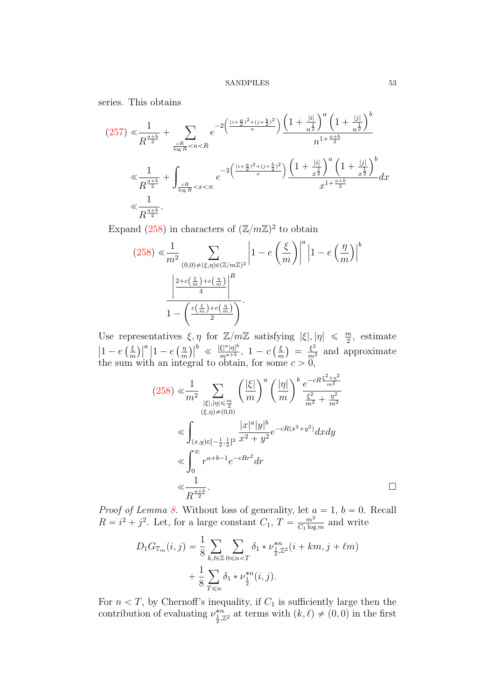series. This obtains

(257) 
$$
\ll \frac{1}{R^{\frac{a+b}{2}}} + \sum_{\frac{cR}{\log R} < n < R} e^{-2\left(\frac{(i+\frac{a}{2})^2 + (j+\frac{b}{2})^2}{n}\right)} \frac{\left(1 + \frac{|i|}{n^{\frac{1}{2}}}\right)^a \left(1 + \frac{|j|}{n^{\frac{1}{2}}}\right)^b}{n^{1 + \frac{a+b}{2}}} \ll \frac{1}{R^{\frac{a+b}{2}}} + \int_{\frac{cR}{\log R} < x < \infty} e^{-2\left(\frac{(i+\frac{a}{2})^2 + (j+\frac{b}{2})^2}{x}\right)} \frac{\left(1 + \frac{|i|}{x^{\frac{1}{2}}}\right)^a \left(1 + \frac{|j|}{x^{\frac{1}{2}}}\right)^b}{x^{1 + \frac{a+b}{2}}} dx
$$
\n
$$
\ll \frac{1}{R^{\frac{a+b}{2}}}.
$$

Expand [\(258\)](#page-51-1) in characters of  $(\mathbb{Z}/m\mathbb{Z})^2$  to obtain  $\frac{1}{2}$ <sup> $\frac{1}{2}$ </sup>

$$
(258) \ll \frac{1}{m^2} \sum_{\substack{(0,0)\neq(\xi,\eta)\in(\mathbb{Z}/m\mathbb{Z})^2\\4}} \left| 1 - e\left(\frac{\xi}{m}\right) \right|^a \left| 1 - e\left(\frac{\eta}{m}\right) \right|^b
$$

$$
\frac{\left| \frac{2+c\left(\frac{\xi}{m}\right)+c\left(\frac{\eta}{m}\right)}{4} \right|^R}{1 - \left(\frac{c\left(\frac{\xi}{m}\right)+c\left(\frac{\eta}{m}\right)}{2}\right)}.
$$

Use representatives  $\xi, \eta$  for  $\mathbb{Z}/m\mathbb{Z}$  satisfying  $|\xi|, |\eta| \leq \frac{m}{2}$ , estimate  $\left|1 - e\left(\frac{\xi}{m}\right)\right|^a \left|1 - e\left(\frac{\eta}{m}\right)\right|^b \ll \frac{|\xi|^a |\eta|^b}{m^{a+b}}$ ,  $1 - c\left(\frac{\xi}{m}\right) \approx \frac{\xi^2}{m^2}$  and approximate m esentatives<br>  $\big)\big|^a\,\big|1-e\left(\frac{\eta}{n}\right)$ m  $\left(\frac{1}{b}\right)^b \ll \frac{|\xi|^a |\eta|^b}{m^{a+b}}$  $rac{\xi|^{\alpha}|\eta|^{\alpha}}{m^{a+b}}, \; 1-c$ ειy<br>(ξ m µ<br>.  $\approx \frac{\xi^2}{m^2}$  and approximate the sum with an integral to obtain, for some  $c > 0$ ,

$$
(258) \ll \frac{1}{m^2} \sum_{\substack{|\xi|, |\eta| \leq \frac{m}{2} \\ (\xi, \eta) \neq (0,0)}} \left(\frac{|\xi|}{m}\right)^a \left(\frac{|\eta|}{m}\right)^b \frac{e^{-cR\frac{\xi^2 + \eta^2}{m^2}}}{\frac{\xi^2}{m^2} + \frac{\eta^2}{m^2}}
$$
  

$$
\ll \int_{(x,y)\in [-\frac{1}{2},\frac{1}{2}]^2} \frac{|x|^a |y|^b}{x^2 + y^2} e^{-cR(x^2 + y^2)} dx dy
$$
  

$$
\ll \int_0^\infty r^{a+b-1} e^{-cRr^2} dr
$$
  

$$
\ll \frac{1}{R^{\frac{a+b}{2}}}.
$$

*Proof of Lemma [8.](#page-14-1)* Without loss of generality, let  $a = 1$ ,  $b = 0$ . Recall  $R = i^2 + j^2$ . Let, for a large constant  $C_1$ ,  $T = \frac{m^2}{C_1 \log n}$  $\frac{m^2}{C_1 \log m}$  and write

$$
D_1 G_{\mathbb{T}_m}(i,j) = \frac{1}{8} \sum_{k,\ell \in \mathbb{Z}} \sum_{0 \le n < T} \delta_1 * \nu_{\frac{1}{2},\mathbb{Z}^2}^{*n} (i + km, j + \ell m) + \frac{1}{8} \sum_{T \le n} \delta_1 * \nu_{\frac{1}{2}}^{*n} (i, j).
$$

For  $n < T$ , by Chernoff's inequality, if  $C_1$  is sufficiently large then the contribution of evaluating  $\nu_{\frac{1}{2}, \mathbb{Z}^2}^{*n}$  at terms with  $(k, \ell) \neq (0, 0)$  in the first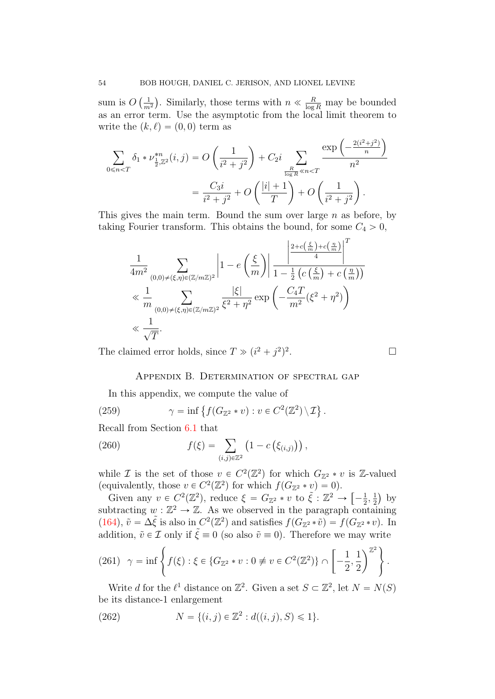sum is  $O$  $\sqrt{1}$  $m<sup>2</sup>$ . Similarly, those terms with  $n \ll \frac{R}{\log R}$  may be bounded as an error term. Use the asymptotic from the local limit theorem to write the  $(k, \ell) = (0, 0)$  term as on a construction of the construction of the construction of the construction of the construction of the construction of the construction of the construction of the construction of the construction of the construction of

$$
\sum_{0 \le n < T} \delta_1 * \nu_{\frac{1}{2}, \mathbb{Z}^2}^{*n}(i, j) = O\left(\frac{1}{i^2 + j^2}\right) + C_2 i \sum_{\frac{R}{\log R} \ll n < T} \frac{\exp\left(-\frac{2(i^2 + j^2)}{n}\right)}{n^2}
$$
\n
$$
= \frac{C_3 i}{i^2 + j^2} + O\left(\frac{|i| + 1}{T}\right) + O\left(\frac{1}{i^2 + j^2}\right).
$$

This gives the main term. Bound the sum over large  $n$  as before, by taking Fourier transform. This obtains the bound, for some  $C_4 > 0$ , ˇ ˇ

$$
\begin{split} &\frac{1}{4m^2}\sum_{(0,0)\neq(\xi,\eta)\in(\mathbb{Z}/m\mathbb{Z})^2}\left|1-e\left(\frac{\xi}{m}\right)\right|\frac{\left|\frac{2+c\left(\frac{\xi}{m}\right)+c\left(\frac{\eta}{m}\right)}{4}\right|^T}{1-\frac{1}{2}\left(c\left(\frac{\xi}{m}\right)+c\left(\frac{\eta}{m}\right)\right)}\\ &\ll \frac{1}{m}\sum_{(0,0)\neq(\xi,\eta)\in(\mathbb{Z}/m\mathbb{Z})^2}\frac{|\xi|}{\xi^2+\eta^2}\exp\left(-\frac{C_4T}{m^2}(\xi^2+\eta^2)\right)\\ &\ll \frac{1}{\sqrt{T}}. \end{split}
$$

The claimed error holds, since  $T \gg (i^2 + j^2)^2$ 

.

## Appendix B. Determination of spectral gap

<span id="page-53-0"></span>In this appendix, we compute the value of

(259) 
$$
\gamma = \inf \{ f(G_{\mathbb{Z}^2} * v) : v \in C^2(\mathbb{Z}^2) \setminus \mathcal{I} \}.
$$

Recall from Section 6.1 that  
\n(260) 
$$
f(\xi) = \sum_{(i,j)\in\mathbb{Z}^2} \left(1 - c\left(\xi_{(i,j)}\right)\right),
$$

while *I* is the set of those  $v \in C^2(\mathbb{Z}^2)$  for which  $G_{\mathbb{Z}^2} * v$  is Z-valued (equivalently, those  $v \in C^2(\mathbb{Z}^2)$  for which  $f(G_{\mathbb{Z}^2} * v) = 0$ ). "

Given any  $v \in C^2(\mathbb{Z}^2)$ , reduce  $\xi = G_{\mathbb{Z}^2} * v$  to  $\tilde{\xi} : \mathbb{Z}^2 \to$  $-\frac{1}{2}$  $\frac{1}{2}, \frac{1}{2}$ 2 by subtracting  $w : \mathbb{Z}^2 \to \mathbb{Z}$ . As we observed in the paragraph containing [\(164\)](#page-33-2),  $\tilde{v} = \Delta \tilde{\xi}$  is also in  $C^2(\mathbb{Z}^2)$  and satisfies  $f(G_{\mathbb{Z}^2} * \tilde{v}) = f(G_{\mathbb{Z}^2} * v)$ . In addition,  $\tilde{v} \in \mathcal{I}$  only if  $\tilde{\xi} \equiv 0$  (so also  $\tilde{v} \equiv 0$ ). Therefore we may write 2+

(261) 
$$
\gamma = \inf \left\{ f(\xi) : \xi \in \{G_{\mathbb{Z}^2} * v : 0 \neq v \in C^2(\mathbb{Z}^2) \} \cap \left[ -\frac{1}{2}, \frac{1}{2} \right)^{\mathbb{Z}^2} \right\}.
$$

Write d for the  $\ell^1$  distance on  $\mathbb{Z}^2$ . Given a set  $S \subset \mathbb{Z}^2$ , let  $N = N(S)$ be its distance-1 enlargement

(262) 
$$
N = \{(i, j) \in \mathbb{Z}^2 : d((i, j), S) \leq 1\}.
$$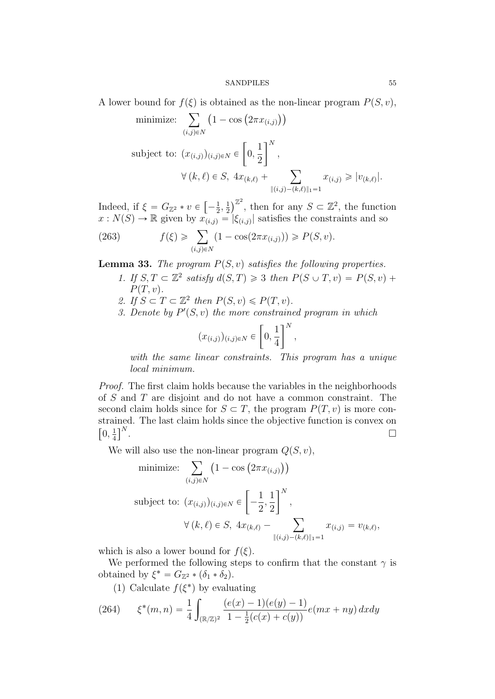A lower bound for 
$$
f(\xi)
$$
 is obtained as the non-linear program  $P(S, v)$ ,  
\nminimize:  $\sum_{(i,j)\in N} (1 - \cos(2\pi x_{(i,j)}))$   
\nsubject to:  $(x_{(i,j)})_{(i,j)\in N} \in [0, \frac{1}{2}]^N$ ,  
\n $\forall (k, \ell) \in S, 4x_{(k,\ell)} + \sum_{\|(i,j)-(k,\ell)\|_1=1} x_{(i,j)} \ge |v_{(k,\ell)}|.$ 

Indeed, if  $\xi = G_{\mathbb{Z}^2} * v \in$ "  $-\frac{1}{2}$  $\frac{1}{2}, \frac{1}{2}$ 2  $\int^{\mathbb{Z}^2}$ , then for any  $S \subset \mathbb{Z}^2$ , the function  $x : N(S) \to \mathbb{R}$  given by  $x_{(i,j)} = |\xi_{(i,j)}|$  satisfies the constraints and so<br>
(263)  $f(\xi) \geqslant \sum_{j=1}^{\infty} (1 - \cos(2\pi x_{(i,j)})) \geqslant P(S, v).$ 

(263) 
$$
f(\xi) \geq \sum_{(i,j)\in N} (1 - \cos(2\pi x_{(i,j)})) \geq P(S, v).
$$

**Lemma 33.** The program  $P(S, v)$  satisfies the following properties.

- 1. If  $S, T \subset \mathbb{Z}^2$  satisfy  $d(S, T) \geq 3$  then  $P(S \cup T, v) = P(S, v) +$  $P(T, v)$ .
- 2. If  $S \subset T \subset \mathbb{Z}^2$  then  $P(S, v) \leqslant P(T, v)$ .
- 3. Denote by  $P'(S, v)$  the more constrained program in which

$$
(x_{(i,j)})_{(i,j)\in N}\in\left[0,\frac{1}{4}\right]^N,
$$

with the same linear constraints. This program has a unique local minimum.

Proof. The first claim holds because the variables in the neighborhoods of S and T are disjoint and do not have a common constraint. The second claim holds since for  $S \subset T$ , the program  $P(T, v)$  is more constrained. The last claim holds since the objective function is convex on  $0, \frac{1}{4}$ 4  $\operatorname*{ne}\limits_{\mathsf{p}N}$ .

We will also use the non-linear program 
$$
Q(S, v)
$$
,  
\nminimize:  $\sum_{(i,j)\in N} (1 - \cos(2\pi x_{(i,j)}))$   
\nsubject to:  $(x_{(i,j)})_{(i,j)\in N} \in \left[-\frac{1}{2}, \frac{1}{2}\right]^N$ ,  
\n $\forall (k, \ell) \in S, 4x_{(k,\ell)} - \sum_{\|(i,j)-(k,\ell)\|_1=1} x_{(i,j)} = v_{(k,\ell)}$ ,

which is also a lower bound for  $f(\xi)$ .

We performed the following steps to confirm that the constant  $\gamma$  is obtained by  $\xi^* = G_{\mathbb{Z}^2} * (\delta_1 * \delta_2).$ 

<span id="page-54-0"></span>(1) Calculate  $f(\xi^*)$  by evaluating

(264) 
$$
\xi^*(m,n) = \frac{1}{4} \int_{(\mathbb{R}/\mathbb{Z})^2} \frac{(e(x)-1)(e(y)-1)}{1-\frac{1}{2}(c(x)+c(y))} e(mx+ny) dx dy
$$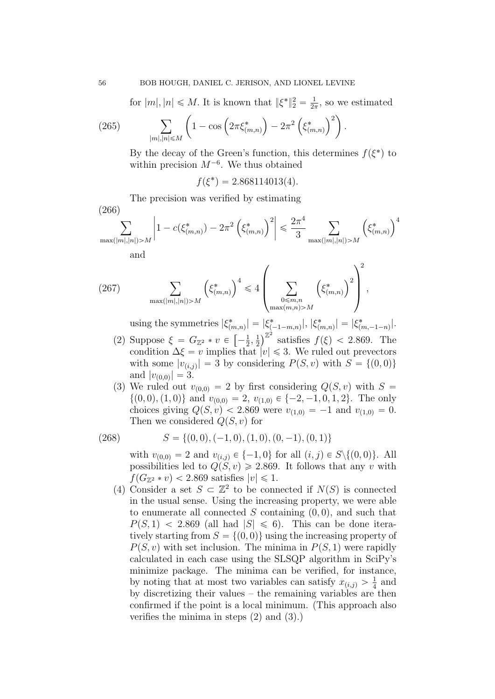for  $|m|, |n| \leq M$ . It is known that  $\|\xi^*\|_2^2 = \frac{1}{2i}$  $\frac{1}{2\pi}$ , so we estimated  $\frac{1}{2\pi}$ ;  $\frac{1}{2\pi}$ ;  $\frac{1}{2\pi}$ ;  $\frac{1}{2\pi}$ ;  $\frac{1}{2\pi}$ ;  $\frac{1}{2\pi}$ ;  $\frac{1}{2\pi}$ ;  $\frac{1}{2\pi}$ ;  $\frac{1}{2\pi}$ ;  $\frac{1}{2\pi}$ ;  $\frac{1}{2\pi}$ ;  $\frac{1}{2\pi}$ ;  $\frac{1}{2\pi}$ ;  $\frac{1}{2\pi}$ ;  $\frac{1}{2\pi}$ ;  $\frac{1}{2\pi}$ ;  $\frac{1}{2\pi}$ ;

(265) 
$$
\sum_{|m|,|n| \le M} \left(1 - \cos\left(2\pi \xi_{(m,n)}^*\right) - 2\pi^2 \left(\xi_{(m,n)}^*\right)^2\right).
$$

By the decay of the Green's function, this determines  $f(\xi^*)$  to within precision  $M^{-6}$ . We thus obtained

 $f(\xi^*) = 2.868114013(4).$ 

The precision was verified by estimating

$$
(266)
$$

$$
\sum_{\substack{\max(|m|,|n|) > M}} \left| 1 - c(\xi^*_{(m,n)}) - 2\pi^2 \left( \xi^*_{(m,n)} \right)^2 \right| \leq \frac{2\pi^4}{3} \sum_{\substack{\max(|m|,|n|) > M}} \left( \xi^*_{(m,n)} \right)^4
$$

(267) 
$$
\sum_{\max(|m|,|n|)>M} (\xi_{(m,n)}^*)^4 \le 4 \left( \sum_{\substack{0 \le m,n \\ \max(m,n)>M}} (\xi_{(m,n)}^*)^2 \right)^2,
$$

using the symmetries  $|\xi^*_{(m,n)}| = |\xi^*_{(-1-m,n)}|, |\xi^*_{(m,n)}| = |\xi^*_{(m,-1-n)}|.$  $\frac{n}{2}$  $\int_{0}^{\infty} \frac{(-1-m,n)!}{s(m,n)!}$  satisfies  $f(\xi) < 2.869$ . The

- (2) Suppose  $\xi = G_{\mathbb{Z}^2} * v \in$  $-\frac{1}{2}$  $\frac{1}{2}, \frac{1}{2}$ 2 condition  $\Delta \xi = v$  implies that  $|v| \leq 3$ . We ruled out prevectors with some  $|v_{(i,j)}| = 3$  by considering  $P(S, v)$  with  $S = \{(0, 0)\}\$ and  $|v_{(0,0)}| = 3$ .
- (3) We ruled out  $v_{(0,0)} = 2$  by first considering  $Q(S, v)$  with  $S =$  $\{(0, 0), (1, 0)\}\$ and  $v_{(0,0)} = 2, v_{(1,0)} \in \{-2, -1, 0, 1, 2\}.$  The only choices giving  $Q(S, v) < 2.869$  were  $v_{(1,0)} = -1$  and  $v_{(1,0)} = 0$ . Then we considered  $Q(S, v)$  for

(268) 
$$
S = \{(0,0), (-1,0), (1,0), (0,-1), (0,1)\}
$$

with  $v_{(0,0)} = 2$  and  $v_{(i,j)} \in \{-1, 0\}$  for all  $(i, j) \in S \setminus \{(0, 0)\}.$  All possibilities led to  $Q(S, v) \ge 2.869$ . It follows that any v with  $f(G_{\mathbb{Z}^2} * v) < 2.869$  satisfies  $|v| \leq 1$ .

(4) Consider a set  $S \subset \mathbb{Z}^2$  to be connected if  $N(S)$  is connected in the usual sense. Using the increasing property, we were able to enumerate all connected  $S$  containing  $(0, 0)$ , and such that  $P(S, 1)$  < 2.869 (all had  $|S| \le 6$ ). This can be done iteratively starting from  $S = \{(0, 0)\}\$ using the increasing property of  $P(S, v)$  with set inclusion. The minima in  $P(S, 1)$  were rapidly calculated in each case using the SLSQP algorithm in SciPy's minimize package. The minima can be verified, for instance, by noting that at most two variables can satisfy  $x_{(i,j)} > \frac{1}{4}$  $rac{1}{4}$  and by discretizing their values – the remaining variables are then confirmed if the point is a local minimum. (This approach also verifies the minima in steps (2) and (3).)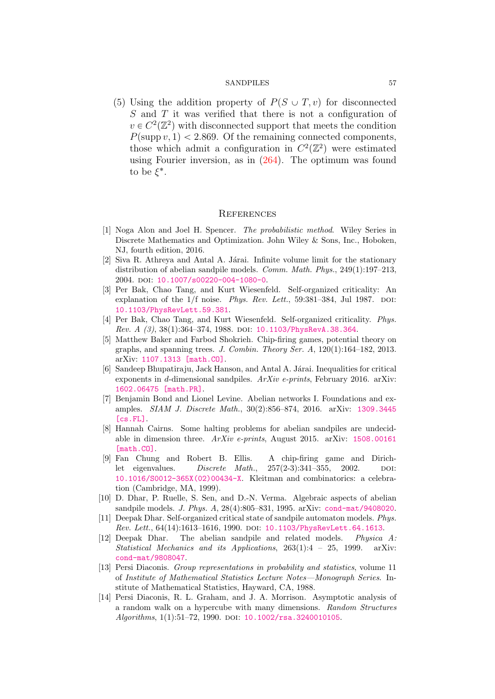(5) Using the addition property of  $P(S \cup T, v)$  for disconnected S and T it was verified that there is not a configuration of  $v \in C^2(\mathbb{Z}^2)$  with disconnected support that meets the condition  $P(\text{supp } v, 1) < 2.869$ . Of the remaining connected components, those which admit a configuration in  $C^2(\mathbb{Z}^2)$  were estimated using Fourier inversion, as in [\(264\)](#page-54-0). The optimum was found to be  $\xi^*$ .

## **REFERENCES**

- <span id="page-56-13"></span>[1] Noga Alon and Joel H. Spencer. The probabilistic method. Wiley Series in Discrete Mathematics and Optimization. John Wiley & Sons, Inc., Hoboken, NJ, fourth edition, 2016.
- <span id="page-56-9"></span>[2] Siva R. Athreya and Antal A. Járai. Infinite volume limit for the stationary distribution of abelian sandpile models. *Comm. Math. Phys.*, 249(1):197–213. 2004. doi: [10.1007/s00220-004-1080-0](http://dx.doi.org/10.1007/s00220-004-1080-0).
- <span id="page-56-3"></span>[3] Per Bak, Chao Tang, and Kurt Wiesenfeld. Self-organized criticality: An explanation of the  $1/f$  noise. Phys. Rev. Lett., 59:381–384, Jul 1987. DOI: [10.1103/PhysRevLett.59.381](http://dx.doi.org/10.1103/PhysRevLett.59.381).
- <span id="page-56-4"></span>[4] Per Bak, Chao Tang, and Kurt Wiesenfeld. Self-organized criticality. Phys. Rev. A (3), 38(1):364-374, 1988. DOI: [10.1103/PhysRevA.38.364](http://dx.doi.org/10.1103/PhysRevA.38.364).
- <span id="page-56-12"></span>[5] Matthew Baker and Farbod Shokrieh. Chip-firing games, potential theory on graphs, and spanning trees. J. Combin. Theory Ser.  $A$ , 120(1):164–182, 2013. arXiv: [1107.1313 \[math.CO\]](http://arxiv.org/abs/1107.1313).
- <span id="page-56-10"></span>[6] Sandeep Bhupatiraju, Jack Hanson, and Antal A. Járai. Inequalities for critical exponents in d-dimensional sandpiles.  $ArXiv$  e-prints, February 2016. arXiv: [1602.06475 \[math.PR\]](http://arxiv.org/abs/1602.06475).
- <span id="page-56-7"></span>[7] Benjamin Bond and Lionel Levine. Abelian networks I. Foundations and examples. SIAM J. Discrete Math., 30(2):856–874, 2016. arXiv: [1309.3445](http://arxiv.org/abs/1309.3445) [\[cs.FL\]](http://arxiv.org/abs/1309.3445).
- <span id="page-56-8"></span>[8] Hannah Cairns. Some halting problems for abelian sandpiles are undecidable in dimension three. ArXiv e-prints, August 2015. arXiv: [1508.00161](http://arxiv.org/abs/1508.00161) [\[math.CO\]](http://arxiv.org/abs/1508.00161).
- <span id="page-56-11"></span>[9] Fan Chung and Robert B. Ellis. A chip-firing game and Dirichlet eigenvalues. Discrete Math.,  $257(2-3):341-355$ ,  $2002$ . DOI: [10.1016/S0012-365X\(02\)00434-X](http://dx.doi.org/10.1016/S0012-365X(02)00434-X). Kleitman and combinatorics: a celebration (Cambridge, MA, 1999).
- <span id="page-56-5"></span>[10] D. Dhar, P. Ruelle, S. Sen, and D.-N. Verma. Algebraic aspects of abelian sandpile models. J. Phys. A, 28(4):805–831, 1995. arXiv: [cond-mat/9408020](http://arxiv.org/abs/cond-mat/9408020).
- <span id="page-56-0"></span>[11] Deepak Dhar. Self-organized critical state of sandpile automaton models. Phys. Rev. Lett., 64(14):1613–1616, 1990. doi: [10.1103/PhysRevLett.64.1613](http://dx.doi.org/10.1103/PhysRevLett.64.1613).
- <span id="page-56-6"></span>[12] Deepak Dhar. The abelian sandpile and related models. Physica A: Statistical Mechanics and its Applications,  $263(1):4 - 25$ , 1999. arXiv: [cond-mat/9808047](http://arxiv.org/abs/cond-mat/9808047).
- <span id="page-56-1"></span>[13] Persi Diaconis. Group representations in probability and statistics, volume 11 of Institute of Mathematical Statistics Lecture Notes—Monograph Series. Institute of Mathematical Statistics, Hayward, CA, 1988.
- <span id="page-56-2"></span>[14] Persi Diaconis, R. L. Graham, and J. A. Morrison. Asymptotic analysis of a random walk on a hypercube with many dimensions. Random Structures Algorithms, 1(1):51-72, 1990. DOI: [10.1002/rsa.3240010105](http://dx.doi.org/10.1002/rsa.3240010105).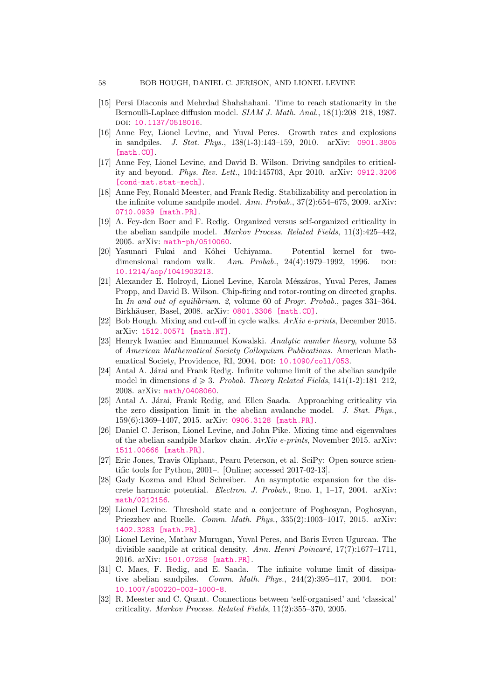- <span id="page-57-7"></span>[15] Persi Diaconis and Mehrdad Shahshahani. Time to reach stationarity in the Bernoulli-Laplace diffusion model. SIAM J. Math. Anal., 18(1):208–218, 1987. doi: [10.1137/0518016](http://dx.doi.org/10.1137/0518016).
- <span id="page-57-2"></span>[16] Anne Fey, Lionel Levine, and Yuval Peres. Growth rates and explosions in sandpiles. J. Stat. Phys., 138(1-3):143–159, 2010. arXiv: [0901.3805](http://arxiv.org/abs/0901.3805) [\[math.CO\]](http://arxiv.org/abs/0901.3805)
- <span id="page-57-12"></span>[17] Anne Fey, Lionel Levine, and David B. Wilson. Driving sandpiles to criticality and beyond. Phys. Rev. Lett., 104:145703, Apr 2010. arXiv: [0912.3206](http://arxiv.org/abs/0912.3206) [\[cond-mat.stat-mech\]](http://arxiv.org/abs/0912.3206).
- <span id="page-57-4"></span>[18] Anne Fey, Ronald Meester, and Frank Redig. Stabilizability and percolation in the infinite volume sandpile model. Ann. Probab.,  $37(2):654-675$ , 2009. arXiv: [0710.0939 \[math.PR\]](http://arxiv.org/abs/0710.0939).
- <span id="page-57-1"></span>[19] A. Fey-den Boer and F. Redig. Organized versus self-organized criticality in the abelian sandpile model. Markov Process. Related Fields, 11(3):425–442, 2005. arXiv: [math-ph/0510060](http://arxiv.org/abs/math-ph/0510060).
- <span id="page-57-5"></span>[20] Yasunari Fukai and Kôhei Uchiyama. Potential kernel for twodimensional random walk. Ann. Probab.,  $24(4):1979-1992$ , 1996. DOI: [10.1214/aop/1041903213](http://dx.doi.org/10.1214/aop/1041903213).
- <span id="page-57-17"></span>[21] Alexander E. Holroyd, Lionel Levine, Karola Mészáros, Yuval Peres, James Propp, and David B. Wilson. Chip-firing and rotor-routing on directed graphs. In In and out of equilibrium. 2, volume 60 of Progr. Probab., pages 331-364. Birkhäuser, Basel, 2008. arXiv: [0801.3306 \[math.CO\]](http://arxiv.org/abs/0801.3306).
- <span id="page-57-8"></span>[22] Bob Hough. Mixing and cut-off in cycle walks.  $ArXiv$  e-prints, December 2015. arXiv: [1512.00571 \[math.NT\]](http://arxiv.org/abs/1512.00571).
- <span id="page-57-15"></span>[23] Henryk Iwaniec and Emmanuel Kowalski. Analytic number theory, volume 53 of American Mathematical Society Colloquium Publications. American Math-ematical Society, Providence, RI, 2004. DOI: [10.1090/coll/053](http://dx.doi.org/10.1090/coll/053).
- <span id="page-57-9"></span>[24] Antal A. Járai and Frank Redig. Infinite volume limit of the abelian sandpile model in dimensions  $d \geq 3$ . Probab. Theory Related Fields, 141(1-2):181-212, 2008. arXiv: [math/0408060](http://arxiv.org/abs/math/0408060).
- <span id="page-57-11"></span>[25] Antal A. Járai, Frank Redig, and Ellen Saada. Approaching criticality via the zero dissipation limit in the abelian avalanche model. J. Stat. Phys., 159(6):1369–1407, 2015. arXiv: [0906.3128 \[math.PR\]](http://arxiv.org/abs/0906.3128).
- <span id="page-57-14"></span>[26] Daniel C. Jerison, Lionel Levine, and John Pike. Mixing time and eigenvalues of the abelian sandpile Markov chain. ArXiv e-prints, November 2015. arXiv: [1511.00666 \[math.PR\]](http://arxiv.org/abs/1511.00666).
- <span id="page-57-6"></span>[27] Eric Jones, Travis Oliphant, Pearu Peterson, et al. SciPy: Open source scientific tools for Python, 2001–. [Online; accessed 2017-02-13].
- <span id="page-57-16"></span>[28] Gady Kozma and Ehud Schreiber. An asymptotic expansion for the discrete harmonic potential. Electron. J. Probab., 9:no. 1, 1–17, 2004. arXiv: [math/0212156](http://arxiv.org/abs/math/0212156).
- <span id="page-57-13"></span>[29] Lionel Levine. Threshold state and a conjecture of Poghosyan, Poghosyan, Priezzhev and Ruelle. Comm. Math. Phys., 335(2):1003–1017, 2015. arXiv: [1402.3283 \[math.PR\]](http://arxiv.org/abs/1402.3283).
- <span id="page-57-3"></span>[30] Lionel Levine, Mathav Murugan, Yuval Peres, and Baris Evren Ugurcan. The divisible sandpile at critical density. Ann. Henri Poincaré,  $17(7)$ :1677–1711, 2016. arXiv: [1501.07258 \[math.PR\]](http://arxiv.org/abs/1501.07258).
- <span id="page-57-10"></span>[31] C. Maes, F. Redig, and E. Saada. The infinite volume limit of dissipative abelian sandpiles. *Comm. Math. Phys.*,  $244(2):395-417$ ,  $2004$ . doi: [10.1007/s00220-003-1000-8](http://dx.doi.org/10.1007/s00220-003-1000-8).
- <span id="page-57-0"></span>[32] R. Meester and C. Quant. Connections between 'self-organised' and 'classical' criticality. Markov Process. Related Fields, 11(2):355–370, 2005.